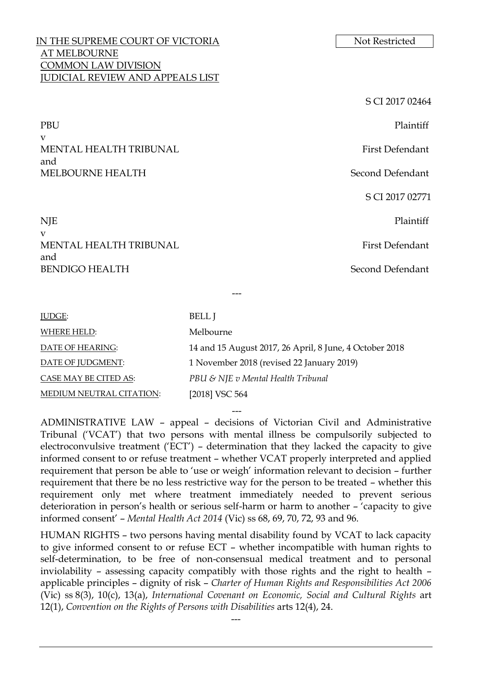# IN THE SUPREME COURT OF VICTORIA AT MELBOURNE COMMON LAW DIVISION JUDICIAL REVIEW AND APPEALS LIST

PBU Plaintiff v MENTAL HEALTH TRIBUNAL FIRST RESERVE TO A RESERVE THE FIRST Defendant and MELBOURNE HEALTH Second Defendant

# NJE Plaintiff v MENTAL HEALTH TRIBUNAL **First Defendant** and BENDIGO HEALTH Second Defendant

| Not Restricted |
|----------------|
|                |

S CI 2017 02464

S CI 2017 02771

| <b>JUDGE:</b>            | <b>BELL</b> I                                           |
|--------------------------|---------------------------------------------------------|
| WHERE HELD:              | Melbourne                                               |
| DATE OF HEARING:         | 14 and 15 August 2017, 26 April, 8 June, 4 October 2018 |
| DATE OF JUDGMENT:        | 1 November 2018 (revised 22 January 2019)               |
| CASE MAY BE CITED AS:    | PBU & NJE v Mental Health Tribunal                      |
| MEDIUM NEUTRAL CITATION: | [2018] VSC 564                                          |

---

--- ADMINISTRATIVE LAW – appeal – decisions of Victorian Civil and Administrative Tribunal ('VCAT') that two persons with mental illness be compulsorily subjected to electroconvulsive treatment ('ECT') – determination that they lacked the capacity to give informed consent to or refuse treatment – whether VCAT properly interpreted and applied requirement that person be able to 'use or weigh' information relevant to decision – further requirement that there be no less restrictive way for the person to be treated – whether this requirement only met where treatment immediately needed to prevent serious deterioration in person's health or serious self-harm or harm to another – 'capacity to give informed consent' – *Mental Health Act 2014* (Vic) ss 68, 69, 70, 72, 93 and 96.

HUMAN RIGHTS – two persons having mental disability found by VCAT to lack capacity to give informed consent to or refuse ECT – whether incompatible with human rights to self-determination, to be free of non-consensual medical treatment and to personal inviolability – assessing capacity compatibly with those rights and the right to health – applicable principles – dignity of risk – *Charter of Human Rights and Responsibilities Act 2006* (Vic) ss 8(3), 10(c), 13(a), *International Covenant on Economic, Social and Cultural Rights* art 12(1), *Convention on the Rights of Persons with Disabilities* arts 12(4), 24.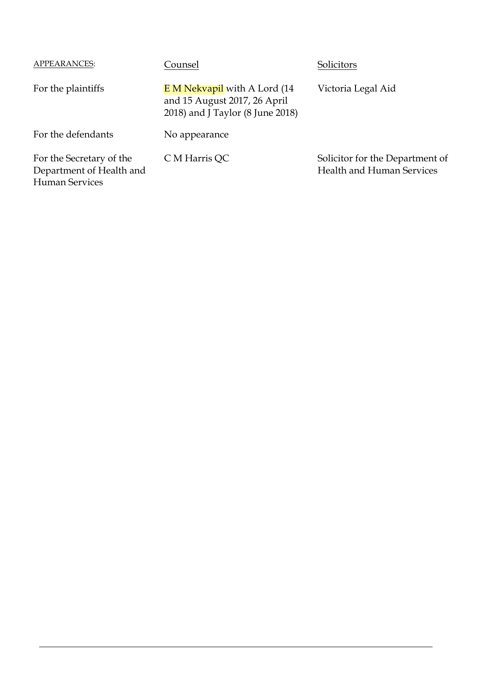| APPEARANCES:                                                                  | Counsel                                                                                                | Solicitors                                                          |
|-------------------------------------------------------------------------------|--------------------------------------------------------------------------------------------------------|---------------------------------------------------------------------|
| For the plaintiffs                                                            | <b>EM Nekvapil</b> with A Lord (14<br>and 15 August 2017, 26 April<br>2018) and J Taylor (8 June 2018) | Victoria Legal Aid                                                  |
| For the defendants                                                            | No appearance                                                                                          |                                                                     |
| For the Secretary of the<br>Department of Health and<br><b>Human Services</b> | C M Harris QC                                                                                          | Solicitor for the Department of<br><b>Health and Human Services</b> |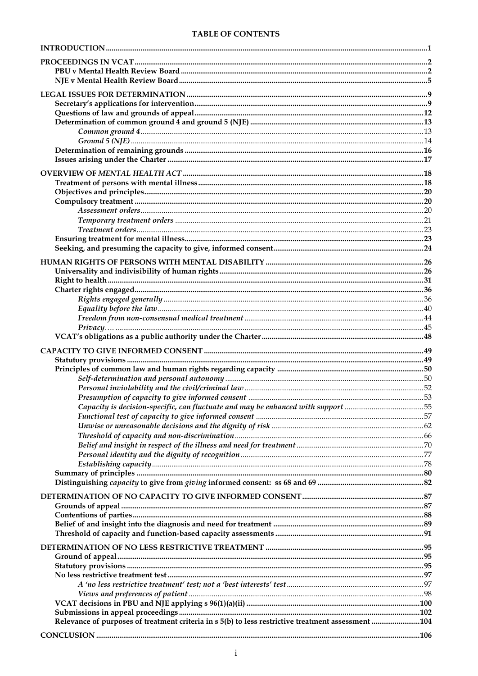### **TABLE OF CONTENTS**

| Relevance of purposes of treatment criteria in s 5(b) to less restrictive treatment assessment 104 |  |
|----------------------------------------------------------------------------------------------------|--|
|                                                                                                    |  |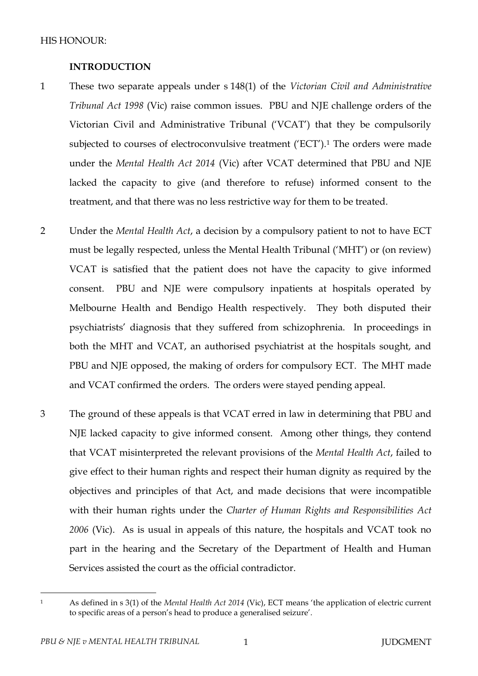## **INTRODUCTION**

- 1 These two separate appeals under s 148(1) of the *Victorian Civil and Administrative Tribunal Act 1998* (Vic) raise common issues. PBU and NJE challenge orders of the Victorian Civil and Administrative Tribunal ('VCAT') that they be compulsorily subjected to courses of electroconvulsive treatment ('ECT').<sup>1</sup> The orders were made under the *Mental Health Act 2014* (Vic) after VCAT determined that PBU and NJE lacked the capacity to give (and therefore to refuse) informed consent to the treatment, and that there was no less restrictive way for them to be treated.
- 2 Under the *Mental Health Act*, a decision by a compulsory patient to not to have ECT must be legally respected, unless the Mental Health Tribunal ('MHT') or (on review) VCAT is satisfied that the patient does not have the capacity to give informed consent. PBU and NJE were compulsory inpatients at hospitals operated by Melbourne Health and Bendigo Health respectively. They both disputed their psychiatrists' diagnosis that they suffered from schizophrenia. In proceedings in both the MHT and VCAT, an authorised psychiatrist at the hospitals sought, and PBU and NJE opposed, the making of orders for compulsory ECT. The MHT made and VCAT confirmed the orders. The orders were stayed pending appeal.
- 3 The ground of these appeals is that VCAT erred in law in determining that PBU and NJE lacked capacity to give informed consent. Among other things, they contend that VCAT misinterpreted the relevant provisions of the *Mental Health Act*, failed to give effect to their human rights and respect their human dignity as required by the objectives and principles of that Act, and made decisions that were incompatible with their human rights under the *Charter of Human Rights and Responsibilities Act 2006* (Vic). As is usual in appeals of this nature, the hospitals and VCAT took no part in the hearing and the Secretary of the Department of Health and Human Services assisted the court as the official contradictor.

<sup>1</sup> As defined in s 3(1) of the *Mental Health Act 2014* (Vic), ECT means 'the application of electric current to specific areas of a person's head to produce a generalised seizure'.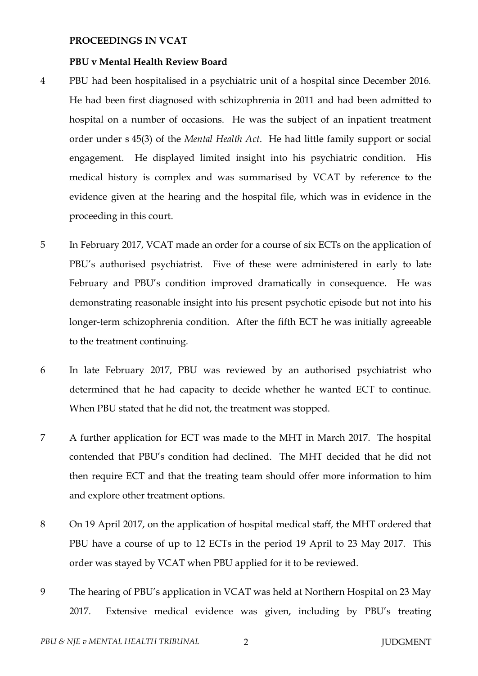#### **PROCEEDINGS IN VCAT**

#### **PBU v Mental Health Review Board**

- 4 PBU had been hospitalised in a psychiatric unit of a hospital since December 2016. He had been first diagnosed with schizophrenia in 2011 and had been admitted to hospital on a number of occasions. He was the subject of an inpatient treatment order under s 45(3) of the *Mental Health Act*. He had little family support or social engagement. He displayed limited insight into his psychiatric condition. His medical history is complex and was summarised by VCAT by reference to the evidence given at the hearing and the hospital file, which was in evidence in the proceeding in this court.
- 5 In February 2017, VCAT made an order for a course of six ECTs on the application of PBU's authorised psychiatrist. Five of these were administered in early to late February and PBU's condition improved dramatically in consequence. He was demonstrating reasonable insight into his present psychotic episode but not into his longer-term schizophrenia condition. After the fifth ECT he was initially agreeable to the treatment continuing.
- 6 In late February 2017, PBU was reviewed by an authorised psychiatrist who determined that he had capacity to decide whether he wanted ECT to continue. When PBU stated that he did not, the treatment was stopped.
- 7 A further application for ECT was made to the MHT in March 2017. The hospital contended that PBU's condition had declined. The MHT decided that he did not then require ECT and that the treating team should offer more information to him and explore other treatment options.
- 8 On 19 April 2017, on the application of hospital medical staff, the MHT ordered that PBU have a course of up to 12 ECTs in the period 19 April to 23 May 2017. This order was stayed by VCAT when PBU applied for it to be reviewed.
- 9 The hearing of PBU's application in VCAT was held at Northern Hospital on 23 May 2017. Extensive medical evidence was given, including by PBU's treating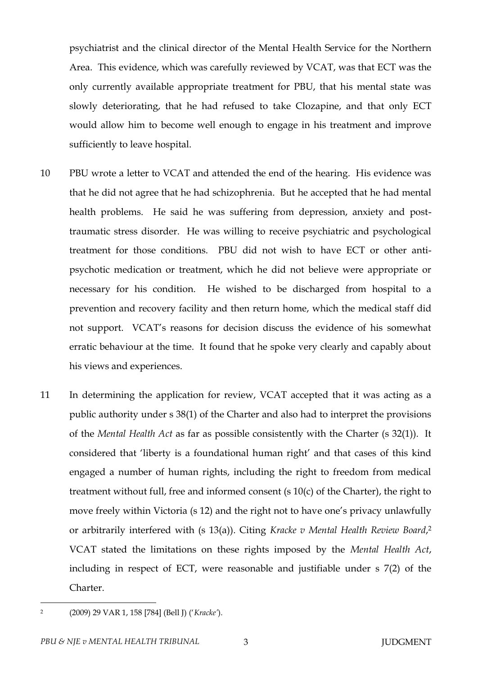psychiatrist and the clinical director of the Mental Health Service for the Northern Area. This evidence, which was carefully reviewed by VCAT, was that ECT was the only currently available appropriate treatment for PBU, that his mental state was slowly deteriorating, that he had refused to take Clozapine, and that only ECT would allow him to become well enough to engage in his treatment and improve sufficiently to leave hospital.

- 10 PBU wrote a letter to VCAT and attended the end of the hearing. His evidence was that he did not agree that he had schizophrenia. But he accepted that he had mental health problems. He said he was suffering from depression, anxiety and posttraumatic stress disorder. He was willing to receive psychiatric and psychological treatment for those conditions. PBU did not wish to have ECT or other antipsychotic medication or treatment, which he did not believe were appropriate or necessary for his condition. He wished to be discharged from hospital to a prevention and recovery facility and then return home, which the medical staff did not support. VCAT's reasons for decision discuss the evidence of his somewhat erratic behaviour at the time. It found that he spoke very clearly and capably about his views and experiences.
- 11 In determining the application for review, VCAT accepted that it was acting as a public authority under s 38(1) of the Charter and also had to interpret the provisions of the *Mental Health Act* as far as possible consistently with the Charter (s 32(1)). It considered that 'liberty is a foundational human right' and that cases of this kind engaged a number of human rights, including the right to freedom from medical treatment without full, free and informed consent (s 10(c) of the Charter), the right to move freely within Victoria (s 12) and the right not to have one's privacy unlawfully or arbitrarily interfered with (s 13(a)). Citing *Kracke v Mental Health Review Board*, 2 VCAT stated the limitations on these rights imposed by the *Mental Health Act*, including in respect of ECT, were reasonable and justifiable under s 7(2) of the Charter.
- $\overline{a}$ 2

<sup>(2009) 29</sup> VAR 1, 158 [784] (Bell J) ('*Kracke'*).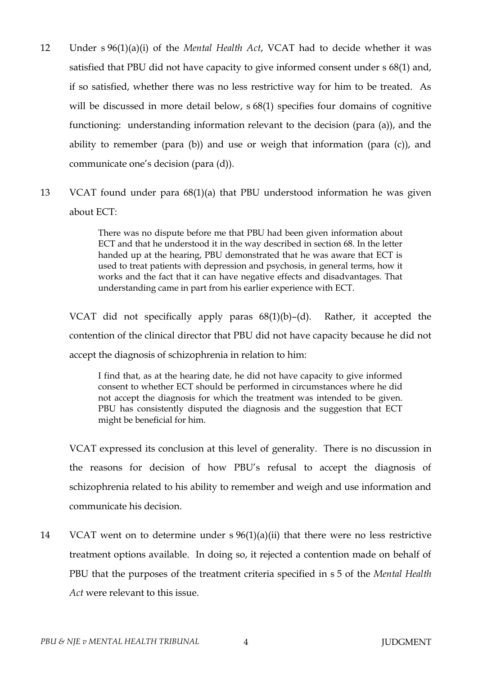- 12 Under s 96(1)(a)(i) of the *Mental Health Act*, VCAT had to decide whether it was satisfied that PBU did not have capacity to give informed consent under s 68(1) and, if so satisfied, whether there was no less restrictive way for him to be treated. As will be discussed in more detail below,  $s$  68(1) specifies four domains of cognitive functioning: understanding information relevant to the decision (para (a)), and the ability to remember (para (b)) and use or weigh that information (para (c)), and communicate one's decision (para (d)).
- 13 VCAT found under para 68(1)(a) that PBU understood information he was given about ECT:

There was no dispute before me that PBU had been given information about ECT and that he understood it in the way described in section 68. In the letter handed up at the hearing, PBU demonstrated that he was aware that ECT is used to treat patients with depression and psychosis, in general terms, how it works and the fact that it can have negative effects and disadvantages. That understanding came in part from his earlier experience with ECT.

VCAT did not specifically apply paras  $68(1)(b)$ –(d). Rather, it accepted the contention of the clinical director that PBU did not have capacity because he did not accept the diagnosis of schizophrenia in relation to him:

I find that, as at the hearing date, he did not have capacity to give informed consent to whether ECT should be performed in circumstances where he did not accept the diagnosis for which the treatment was intended to be given. PBU has consistently disputed the diagnosis and the suggestion that ECT might be beneficial for him.

VCAT expressed its conclusion at this level of generality. There is no discussion in the reasons for decision of how PBU's refusal to accept the diagnosis of schizophrenia related to his ability to remember and weigh and use information and communicate his decision.

14 VCAT went on to determine under s 96(1)(a)(ii) that there were no less restrictive treatment options available. In doing so, it rejected a contention made on behalf of PBU that the purposes of the treatment criteria specified in s 5 of the *Mental Health Act* were relevant to this issue.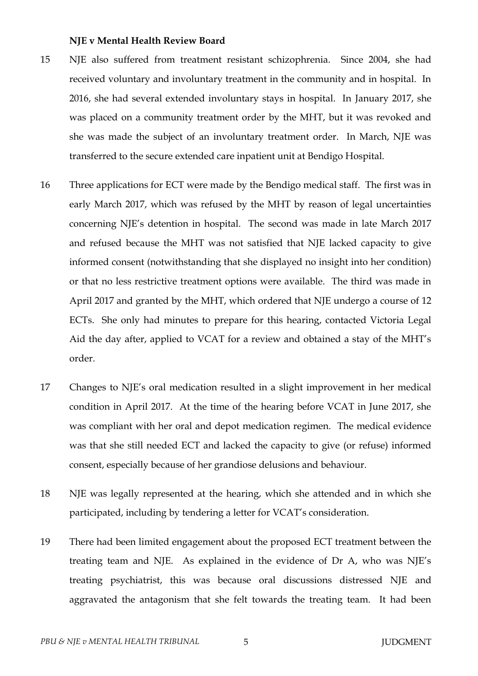#### **NJE v Mental Health Review Board**

- 15 NJE also suffered from treatment resistant schizophrenia. Since 2004, she had received voluntary and involuntary treatment in the community and in hospital. In 2016, she had several extended involuntary stays in hospital. In January 2017, she was placed on a community treatment order by the MHT, but it was revoked and she was made the subject of an involuntary treatment order. In March, NJE was transferred to the secure extended care inpatient unit at Bendigo Hospital.
- 16 Three applications for ECT were made by the Bendigo medical staff. The first was in early March 2017, which was refused by the MHT by reason of legal uncertainties concerning NJE's detention in hospital. The second was made in late March 2017 and refused because the MHT was not satisfied that NJE lacked capacity to give informed consent (notwithstanding that she displayed no insight into her condition) or that no less restrictive treatment options were available. The third was made in April 2017 and granted by the MHT, which ordered that NJE undergo a course of 12 ECTs. She only had minutes to prepare for this hearing, contacted Victoria Legal Aid the day after, applied to VCAT for a review and obtained a stay of the MHT's order.
- 17 Changes to NJE's oral medication resulted in a slight improvement in her medical condition in April 2017. At the time of the hearing before VCAT in June 2017, she was compliant with her oral and depot medication regimen. The medical evidence was that she still needed ECT and lacked the capacity to give (or refuse) informed consent, especially because of her grandiose delusions and behaviour.
- 18 NJE was legally represented at the hearing, which she attended and in which she participated, including by tendering a letter for VCAT's consideration.
- 19 There had been limited engagement about the proposed ECT treatment between the treating team and NJE. As explained in the evidence of Dr A, who was NJE's treating psychiatrist, this was because oral discussions distressed NJE and aggravated the antagonism that she felt towards the treating team. It had been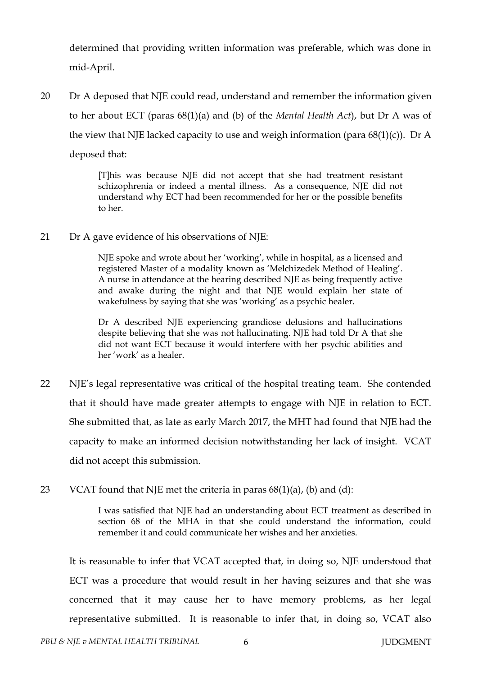determined that providing written information was preferable, which was done in mid-April.

20 Dr A deposed that NJE could read, understand and remember the information given to her about ECT (paras 68(1)(a) and (b) of the *Mental Health Act*), but Dr A was of the view that NJE lacked capacity to use and weigh information (para  $68(1)(c)$ ). Dr A deposed that:

> [T]his was because NJE did not accept that she had treatment resistant schizophrenia or indeed a mental illness. As a consequence, NJE did not understand why ECT had been recommended for her or the possible benefits to her.

21 Dr A gave evidence of his observations of NJE:

NJE spoke and wrote about her 'working', while in hospital, as a licensed and registered Master of a modality known as 'Melchizedek Method of Healing'. A nurse in attendance at the hearing described NJE as being frequently active and awake during the night and that NJE would explain her state of wakefulness by saying that she was 'working' as a psychic healer.

Dr A described NJE experiencing grandiose delusions and hallucinations despite believing that she was not hallucinating. NJE had told Dr A that she did not want ECT because it would interfere with her psychic abilities and her 'work' as a healer.

- 22 NJE's legal representative was critical of the hospital treating team. She contended that it should have made greater attempts to engage with NJE in relation to ECT. She submitted that, as late as early March 2017, the MHT had found that NJE had the capacity to make an informed decision notwithstanding her lack of insight. VCAT did not accept this submission.
- 23 VCAT found that NJE met the criteria in paras  $68(1)(a)$ , (b) and (d):

I was satisfied that NJE had an understanding about ECT treatment as described in section 68 of the MHA in that she could understand the information, could remember it and could communicate her wishes and her anxieties.

It is reasonable to infer that VCAT accepted that, in doing so, NJE understood that ECT was a procedure that would result in her having seizures and that she was concerned that it may cause her to have memory problems, as her legal representative submitted. It is reasonable to infer that, in doing so, VCAT also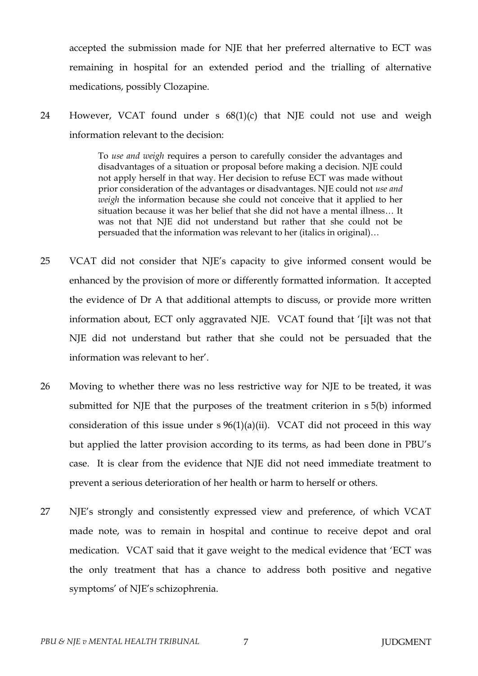accepted the submission made for NJE that her preferred alternative to ECT was remaining in hospital for an extended period and the trialling of alternative medications, possibly Clozapine.

24 However, VCAT found under s 68(1)(c) that NJE could not use and weigh information relevant to the decision:

> To *use and weigh* requires a person to carefully consider the advantages and disadvantages of a situation or proposal before making a decision. NJE could not apply herself in that way. Her decision to refuse ECT was made without prior consideration of the advantages or disadvantages. NJE could not *use and weigh* the information because she could not conceive that it applied to her situation because it was her belief that she did not have a mental illness… It was not that NJE did not understand but rather that she could not be persuaded that the information was relevant to her (italics in original)…

- 25 VCAT did not consider that NJE's capacity to give informed consent would be enhanced by the provision of more or differently formatted information. It accepted the evidence of Dr A that additional attempts to discuss, or provide more written information about, ECT only aggravated NJE. VCAT found that '[i]t was not that NJE did not understand but rather that she could not be persuaded that the information was relevant to her'.
- 26 Moving to whether there was no less restrictive way for NJE to be treated, it was submitted for NJE that the purposes of the treatment criterion in s 5(b) informed consideration of this issue under  $s \frac{96(1)(a)(ii)}{i}$ . VCAT did not proceed in this way but applied the latter provision according to its terms, as had been done in PBU's case. It is clear from the evidence that NJE did not need immediate treatment to prevent a serious deterioration of her health or harm to herself or others.
- 27 NJE's strongly and consistently expressed view and preference, of which VCAT made note, was to remain in hospital and continue to receive depot and oral medication. VCAT said that it gave weight to the medical evidence that 'ECT was the only treatment that has a chance to address both positive and negative symptoms' of NJE's schizophrenia.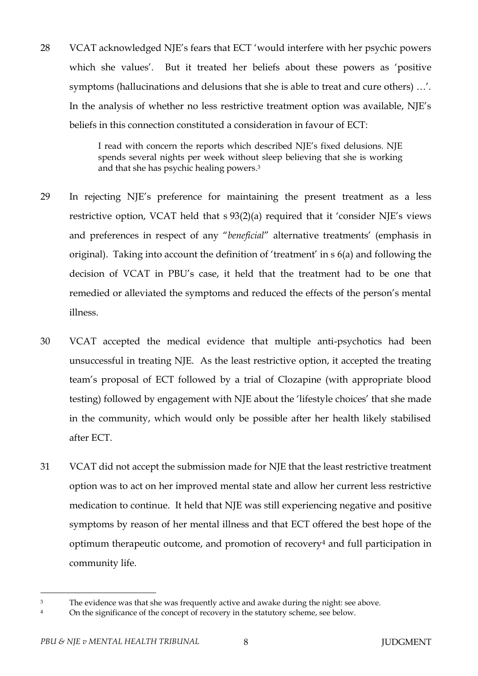28 VCAT acknowledged NJE's fears that ECT 'would interfere with her psychic powers which she values'. But it treated her beliefs about these powers as 'positive symptoms (hallucinations and delusions that she is able to treat and cure others) …'. In the analysis of whether no less restrictive treatment option was available, NJE's beliefs in this connection constituted a consideration in favour of ECT:

> I read with concern the reports which described NJE's fixed delusions. NJE spends several nights per week without sleep believing that she is working and that she has psychic healing powers.<sup>3</sup>

- 29 In rejecting NJE's preference for maintaining the present treatment as a less restrictive option, VCAT held that s 93(2)(a) required that it 'consider NJE's views and preferences in respect of any "*beneficial*" alternative treatments' (emphasis in original). Taking into account the definition of 'treatment' in s 6(a) and following the decision of VCAT in PBU's case, it held that the treatment had to be one that remedied or alleviated the symptoms and reduced the effects of the person's mental illness.
- 30 VCAT accepted the medical evidence that multiple anti-psychotics had been unsuccessful in treating NJE. As the least restrictive option, it accepted the treating team's proposal of ECT followed by a trial of Clozapine (with appropriate blood testing) followed by engagement with NJE about the 'lifestyle choices' that she made in the community, which would only be possible after her health likely stabilised after ECT.
- 31 VCAT did not accept the submission made for NJE that the least restrictive treatment option was to act on her improved mental state and allow her current less restrictive medication to continue. It held that NJE was still experiencing negative and positive symptoms by reason of her mental illness and that ECT offered the best hope of the optimum therapeutic outcome, and promotion of recovery<sup>4</sup> and full participation in community life.

<sup>&</sup>lt;sup>3</sup> The evidence was that she was frequently active and awake during the night: see above.

<sup>&</sup>lt;sup>4</sup> On the significance of the concept of recovery in the statutory scheme, see below.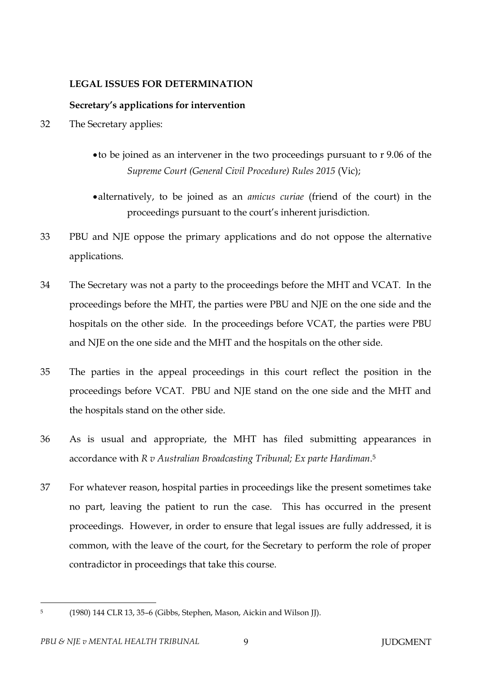## **LEGAL ISSUES FOR DETERMINATION**

## **Secretary's applications for intervention**

- 32 The Secretary applies:
	- to be joined as an intervener in the two proceedings pursuant to r 9.06 of the *Supreme Court (General Civil Procedure) Rules 2015* (Vic);
	- alternatively, to be joined as an *amicus curiae* (friend of the court) in the proceedings pursuant to the court's inherent jurisdiction.
- 33 PBU and NJE oppose the primary applications and do not oppose the alternative applications.
- 34 The Secretary was not a party to the proceedings before the MHT and VCAT. In the proceedings before the MHT, the parties were PBU and NJE on the one side and the hospitals on the other side. In the proceedings before VCAT, the parties were PBU and NJE on the one side and the MHT and the hospitals on the other side.
- 35 The parties in the appeal proceedings in this court reflect the position in the proceedings before VCAT. PBU and NJE stand on the one side and the MHT and the hospitals stand on the other side.
- 36 As is usual and appropriate, the MHT has filed submitting appearances in accordance with *R v Australian Broadcasting Tribunal; Ex parte Hardiman*. 5
- 37 For whatever reason, hospital parties in proceedings like the present sometimes take no part, leaving the patient to run the case. This has occurred in the present proceedings. However, in order to ensure that legal issues are fully addressed, it is common, with the leave of the court, for the Secretary to perform the role of proper contradictor in proceedings that take this course.

 $\overline{a}$ 5

<sup>(1980) 144</sup> CLR 13, 35–6 (Gibbs, Stephen, Mason, Aickin and Wilson JJ).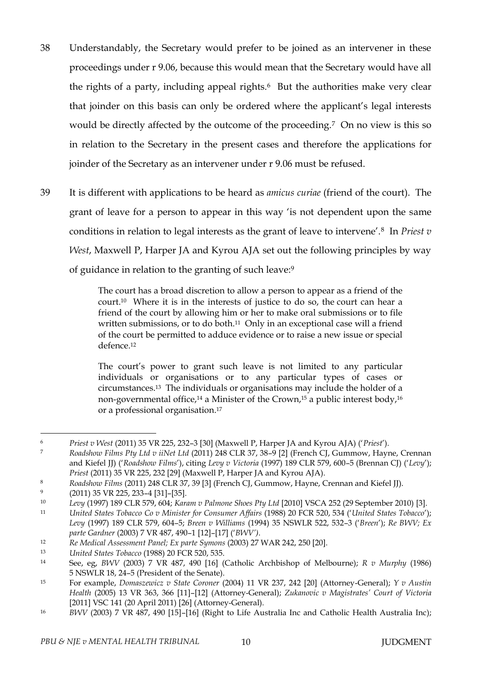- 38 Understandably, the Secretary would prefer to be joined as an intervener in these proceedings under r 9.06, because this would mean that the Secretary would have all the rights of a party, including appeal rights.<sup>6</sup> But the authorities make very clear that joinder on this basis can only be ordered where the applicant's legal interests would be directly affected by the outcome of the proceeding.7 On no view is this so in relation to the Secretary in the present cases and therefore the applications for joinder of the Secretary as an intervener under r 9.06 must be refused.
- 39 It is different with applications to be heard as *amicus curiae* (friend of the court). The grant of leave for a person to appear in this way 'is not dependent upon the same conditions in relation to legal interests as the grant of leave to intervene'.8 In *Priest v West*, Maxwell P, Harper JA and Kyrou AJA set out the following principles by way of guidance in relation to the granting of such leave:<sup>9</sup>

The court has a broad discretion to allow a person to appear as a friend of the court. <sup>10</sup> Where it is in the interests of justice to do so, the court can hear a friend of the court by allowing him or her to make oral submissions or to file written submissions, or to do both.<sup>11</sup> Only in an exceptional case will a friend of the court be permitted to adduce evidence or to raise a new issue or special defence.<sup>12</sup>

The court's power to grant such leave is not limited to any particular individuals or organisations or to any particular types of cases or circumstances.13 The individuals or organisations may include the holder of a non-governmental office,<sup>14</sup> a Minister of the Crown,<sup>15</sup> a public interest body,<sup>16</sup> or a professional organisation.<sup>17</sup>

<sup>6</sup> *Priest v West* (2011) 35 VR 225, 232–3 [30] (Maxwell P, Harper JA and Kyrou AJA) ('*Priest*').

<sup>7</sup> *Roadshow Films Pty Ltd v iiNet Ltd* (2011) 248 CLR 37, 38–9 [2] (French CJ, Gummow, Hayne, Crennan and Kiefel JJ) ('*Roadshow Films*'), citing *Levy v Victoria* (1997) 189 CLR 579, 600–5 (Brennan CJ) ('*Levy*'); *Priest* (2011) 35 VR 225, 232 [29] (Maxwell P, Harper JA and Kyrou AJA).

<sup>8</sup> *Roadshow Films* (2011) 248 CLR 37, 39 [3] (French CJ, Gummow, Hayne, Crennan and Kiefel JJ).

<sup>9</sup> (2011) 35 VR 225, 233–4 [31]–[35].

<sup>10</sup> *Levy* (1997) 189 CLR 579, 604; *Karam v Palmone Shoes Pty Ltd* [2010] VSCA 252 (29 September 2010) [3].

<sup>11</sup> *United States Tobacco Co v Minister for Consumer Affairs* (1988) 20 FCR 520, 534 ('*United States Tobacco*'); *Levy* (1997) 189 CLR 579, 604–5; *Breen v Williams* (1994) 35 NSWLR 522, 532–3 ('*Breen*'); *Re BWV; Ex parte Gardner* (2003) 7 VR 487, 490–1 [12]–[17] ('*BWV')*.

<sup>12</sup> *Re Medical Assessment Panel; Ex parte Symons* (2003) 27 WAR 242, 250 [20].

<sup>13</sup> *United States Tobacco* (1988) 20 FCR 520, 535.

<sup>14</sup> See, eg, *BWV* (2003) 7 VR 487, 490 [16] (Catholic Archbishop of Melbourne); *R v Murphy* (1986) 5 NSWLR 18, 24–5 (President of the Senate).

<sup>15</sup> For example, *Domaszewicz v State Coroner* (2004) 11 VR 237, 242 [20] (Attorney-General); *Y v Austin Health* (2005) 13 VR 363, 366 [11]–[12] (Attorney-General); *Zukanovic v Magistrates' Court of Victoria*  [2011] VSC 141 (20 April 2011) [26] (Attorney-General).

<sup>16</sup> *BWV* (2003) 7 VR 487, 490 [15]–[16] (Right to Life Australia Inc and Catholic Health Australia Inc);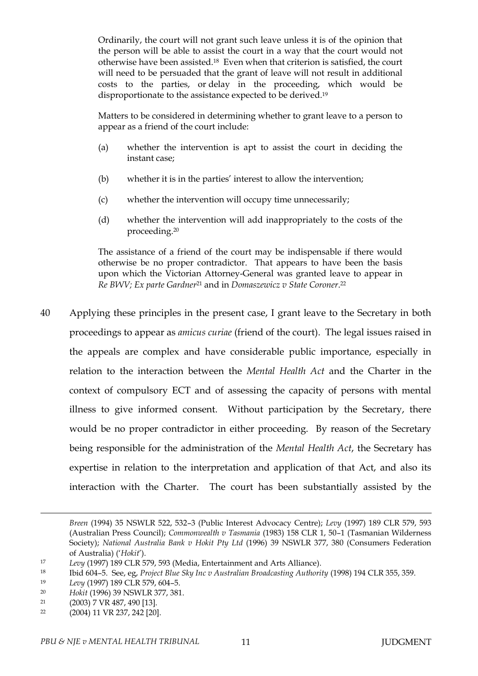Ordinarily, the court will not grant such leave unless it is of the opinion that the person will be able to assist the court in a way that the court would not otherwise have been assisted.18 Even when that criterion is satisfied, the court will need to be persuaded that the grant of leave will not result in additional costs to the parties, or delay in the proceeding, which would be disproportionate to the assistance expected to be derived.<sup>19</sup>

Matters to be considered in determining whether to grant leave to a person to appear as a friend of the court include:

- (a) whether the intervention is apt to assist the court in deciding the instant case;
- (b) whether it is in the parties' interest to allow the intervention;
- (c) whether the intervention will occupy time unnecessarily;
- (d) whether the intervention will add inappropriately to the costs of the proceeding.<sup>20</sup>

The assistance of a friend of the court may be indispensable if there would otherwise be no proper contradictor. That appears to have been the basis upon which the Victorian Attorney-General was granted leave to appear in *Re BWV; Ex parte Gardner*<sup>21</sup> and in *Domaszewicz v State Coroner*. 22

40 Applying these principles in the present case, I grant leave to the Secretary in both proceedings to appear as *amicus curiae* (friend of the court). The legal issues raised in the appeals are complex and have considerable public importance, especially in relation to the interaction between the *Mental Health Act* and the Charter in the context of compulsory ECT and of assessing the capacity of persons with mental illness to give informed consent. Without participation by the Secretary, there would be no proper contradictor in either proceeding. By reason of the Secretary being responsible for the administration of the *Mental Health Act*, the Secretary has expertise in relation to the interpretation and application of that Act, and also its interaction with the Charter. The court has been substantially assisted by the

*Breen* (1994) 35 NSWLR 522, 532–3 (Public Interest Advocacy Centre); *Levy* (1997) 189 CLR 579, 593 (Australian Press Council); *Commonwealth v Tasmania* (1983) 158 CLR 1, 50–1 (Tasmanian Wilderness Society); *National Australia Bank v Hokit Pty Ltd* (1996) 39 NSWLR 377, 380 (Consumers Federation of Australia) ('*Hokit*').

<sup>17</sup> *Levy* (1997) 189 CLR 579, 593 (Media, Entertainment and Arts Alliance).

<sup>18</sup> Ibid 604–5. See, eg, *Project Blue Sky Inc v Australian Broadcasting Authority* (1998) 194 CLR 355, 359.

<sup>19</sup> *Levy* (1997) 189 CLR 579, 604–5.

<sup>20</sup> *Hokit* (1996) 39 NSWLR 377, 381.

<sup>21</sup> (2003) 7 VR 487, 490 [13].

<sup>22</sup> (2004) 11 VR 237, 242 [20].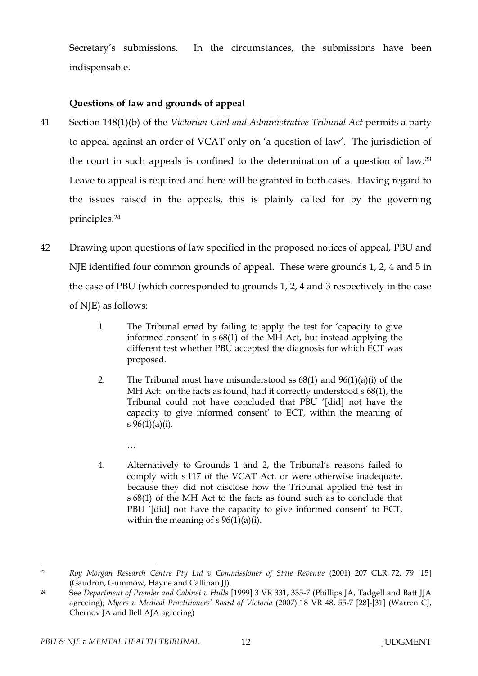Secretary's submissions. In the circumstances, the submissions have been indispensable.

# **Questions of law and grounds of appeal**

- 41 Section 148(1)(b) of the *Victorian Civil and Administrative Tribunal Act* permits a party to appeal against an order of VCAT only on 'a question of law'. The jurisdiction of the court in such appeals is confined to the determination of a question of law.<sup>23</sup> Leave to appeal is required and here will be granted in both cases. Having regard to the issues raised in the appeals, this is plainly called for by the governing principles.<sup>24</sup>
- 42 Drawing upon questions of law specified in the proposed notices of appeal, PBU and NJE identified four common grounds of appeal. These were grounds 1, 2, 4 and 5 in the case of PBU (which corresponded to grounds 1, 2, 4 and 3 respectively in the case of NJE) as follows:
	- 1. The Tribunal erred by failing to apply the test for 'capacity to give informed consent' in s 68(1) of the MH Act, but instead applying the different test whether PBU accepted the diagnosis for which ECT was proposed.
	- 2. The Tribunal must have misunderstood ss  $68(1)$  and  $96(1)(a)(i)$  of the MH Act: on the facts as found, had it correctly understood s 68(1), the Tribunal could not have concluded that PBU '[did] not have the capacity to give informed consent' to ECT, within the meaning of s  $96(1)(a)(i)$ .
	- 4. Alternatively to Grounds 1 and 2, the Tribunal's reasons failed to comply with s 117 of the VCAT Act, or were otherwise inadequate, because they did not disclose how the Tribunal applied the test in s 68(1) of the MH Act to the facts as found such as to conclude that PBU '[did] not have the capacity to give informed consent' to ECT, within the meaning of  $s \frac{96(1)}{a}(i)$ .

…

 $\overline{a}$ <sup>23</sup> *Roy Morgan Research Centre Pty Ltd v Commissioner of State Revenue* (2001) 207 CLR 72, 79 [15] (Gaudron, Gummow, Hayne and Callinan JJ).

<sup>24</sup> See *Department of Premier and Cabinet v Hulls* [1999] 3 VR 331, 335-7 (Phillips JA, Tadgell and Batt JJA agreeing); *Myers v Medical Practitioners' Board of Victoria* (2007) 18 VR 48, 55-7 [28]-[31] (Warren CJ, Chernov JA and Bell AJA agreeing)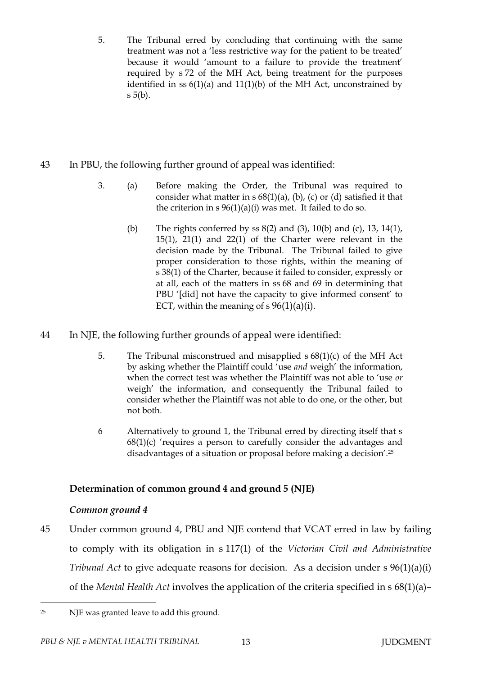- 5. The Tribunal erred by concluding that continuing with the same treatment was not a 'less restrictive way for the patient to be treated' because it would 'amount to a failure to provide the treatment' required by s 72 of the MH Act, being treatment for the purposes identified in ss  $6(1)(a)$  and  $11(1)(b)$  of the MH Act, unconstrained by s 5(b).
- 43 In PBU, the following further ground of appeal was identified:
	- 3. (a) Before making the Order, the Tribunal was required to consider what matter in  $s$  68(1)(a), (b), (c) or (d) satisfied it that the criterion in  $s \frac{96(1)(a)(i)}{i}$  was met. It failed to do so.
		- (b) The rights conferred by ss 8(2) and (3), 10(b) and (c), 13, 14(1), 15(1), 21(1) and 22(1) of the Charter were relevant in the decision made by the Tribunal. The Tribunal failed to give proper consideration to those rights, within the meaning of s 38(1) of the Charter, because it failed to consider, expressly or at all, each of the matters in ss 68 and 69 in determining that PBU '[did] not have the capacity to give informed consent' to ECT, within the meaning of s  $96(1)(a)(i)$ .
- 44 In NJE, the following further grounds of appeal were identified:
	- 5. The Tribunal misconstrued and misapplied s 68(1)(c) of the MH Act by asking whether the Plaintiff could 'use *and* weigh' the information, when the correct test was whether the Plaintiff was not able to 'use *or* weigh' the information, and consequently the Tribunal failed to consider whether the Plaintiff was not able to do one, or the other, but not both.
	- 6 Alternatively to ground 1, the Tribunal erred by directing itself that s  $68(1)(c)$  'requires a person to carefully consider the advantages and disadvantages of a situation or proposal before making a decision'.<sup>25</sup>

# **Determination of common ground 4 and ground 5 (NJE)**

# *Common ground 4*

45 Under common ground 4, PBU and NJE contend that VCAT erred in law by failing to comply with its obligation in s 117(1) of the *Victorian Civil and Administrative Tribunal Act* to give adequate reasons for decision. As a decision under s 96(1)(a)(i) of the *Mental Health Act* involves the application of the criteria specified in s 68(1)(a)–

 $\overline{a}$ <sup>25</sup> NJE was granted leave to add this ground.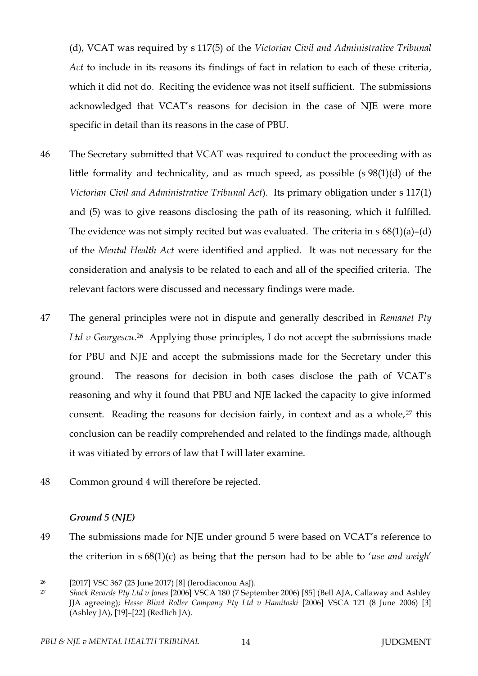(d), VCAT was required by s 117(5) of the *Victorian Civil and Administrative Tribunal Act* to include in its reasons its findings of fact in relation to each of these criteria, which it did not do. Reciting the evidence was not itself sufficient. The submissions acknowledged that VCAT's reasons for decision in the case of NJE were more specific in detail than its reasons in the case of PBU.

- 46 The Secretary submitted that VCAT was required to conduct the proceeding with as little formality and technicality, and as much speed, as possible (s 98(1)(d) of the *Victorian Civil and Administrative Tribunal Act*). Its primary obligation under s 117(1) and (5) was to give reasons disclosing the path of its reasoning, which it fulfilled. The evidence was not simply recited but was evaluated. The criteria in  $s$  68(1)(a)–(d) of the *Mental Health Act* were identified and applied. It was not necessary for the consideration and analysis to be related to each and all of the specified criteria. The relevant factors were discussed and necessary findings were made.
- 47 The general principles were not in dispute and generally described in *Remanet Pty*  Ltd v Georgescu.<sup>26</sup> Applying those principles, I do not accept the submissions made for PBU and NJE and accept the submissions made for the Secretary under this ground. The reasons for decision in both cases disclose the path of VCAT's reasoning and why it found that PBU and NJE lacked the capacity to give informed consent. Reading the reasons for decision fairly, in context and as a whole,<sup>27</sup> this conclusion can be readily comprehended and related to the findings made, although it was vitiated by errors of law that I will later examine.
- 48 Common ground 4 will therefore be rejected.

#### *Ground 5 (NJE)*

 $\overline{a}$ 

49 The submissions made for NJE under ground 5 were based on VCAT's reference to the criterion in s 68(1)(c) as being that the person had to be able to '*use and weigh*'

<sup>26</sup> [2017] VSC 367 (23 June 2017) [8] (Ierodiaconou AsJ).

<sup>27</sup> *Shock Records Pty Ltd v Jones* [2006] VSCA 180 (7 September 2006) [85] (Bell AJA, Callaway and Ashley JJA agreeing); *Hesse Blind Roller Company Pty Ltd v Hamitoski* [2006] VSCA 121 (8 June 2006) [3] (Ashley JA), [19]–[22] (Redlich JA).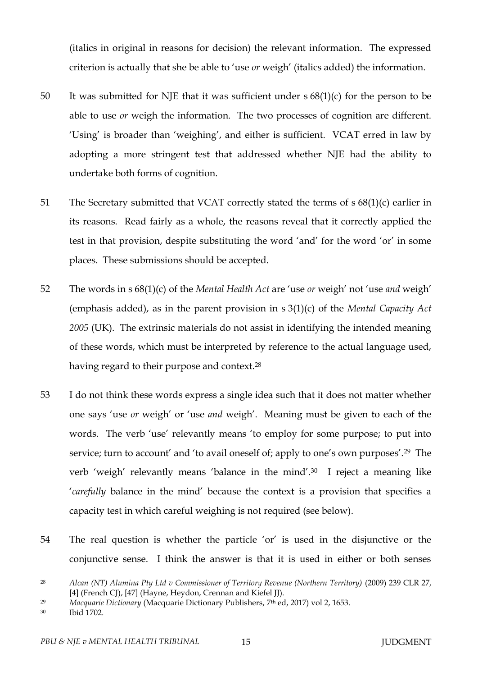(italics in original in reasons for decision) the relevant information. The expressed criterion is actually that she be able to 'use *or* weigh' (italics added) the information.

- 50 It was submitted for NJE that it was sufficient under s 68(1)(c) for the person to be able to use *or* weigh the information. The two processes of cognition are different. 'Using' is broader than 'weighing', and either is sufficient. VCAT erred in law by adopting a more stringent test that addressed whether NJE had the ability to undertake both forms of cognition.
- 51 The Secretary submitted that VCAT correctly stated the terms of s 68(1)(c) earlier in its reasons. Read fairly as a whole, the reasons reveal that it correctly applied the test in that provision, despite substituting the word 'and' for the word 'or' in some places. These submissions should be accepted.
- 52 The words in s 68(1)(c) of the *Mental Health Act* are 'use *or* weigh' not 'use *and* weigh' (emphasis added), as in the parent provision in s 3(1)(c) of the *Mental Capacity Act 2005* (UK). The extrinsic materials do not assist in identifying the intended meaning of these words, which must be interpreted by reference to the actual language used, having regard to their purpose and context.<sup>28</sup>
- 53 I do not think these words express a single idea such that it does not matter whether one says 'use *or* weigh' or 'use *and* weigh'. Meaning must be given to each of the words. The verb 'use' relevantly means 'to employ for some purpose; to put into service; turn to account' and 'to avail oneself of; apply to one's own purposes'.29 The verb 'weigh' relevantly means 'balance in the mind'.30 I reject a meaning like '*carefully* balance in the mind' because the context is a provision that specifies a capacity test in which careful weighing is not required (see below).
- 54 The real question is whether the particle 'or' is used in the disjunctive or the conjunctive sense. I think the answer is that it is used in either or both senses

<sup>28</sup> *Alcan (NT) Alumina Pty Ltd v Commissioner of Territory Revenue (Northern Territory)* (2009) 239 CLR 27, [4] (French CJ), [47] (Hayne, Heydon, Crennan and Kiefel JJ).

<sup>29</sup> *Macquarie Dictionary* (Macquarie Dictionary Publishers, 7th ed, 2017) vol 2, 1653.

<sup>30</sup> Ibid 1702.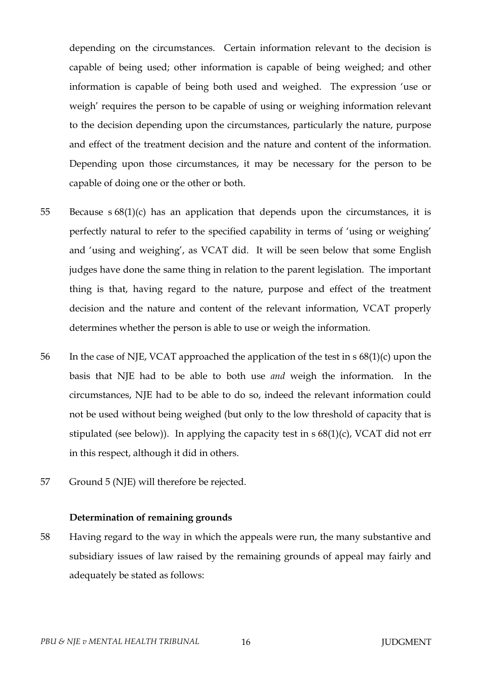depending on the circumstances. Certain information relevant to the decision is capable of being used; other information is capable of being weighed; and other information is capable of being both used and weighed. The expression 'use or weigh' requires the person to be capable of using or weighing information relevant to the decision depending upon the circumstances, particularly the nature, purpose and effect of the treatment decision and the nature and content of the information. Depending upon those circumstances, it may be necessary for the person to be capable of doing one or the other or both.

- 55 Because  $s 68(1)(c)$  has an application that depends upon the circumstances, it is perfectly natural to refer to the specified capability in terms of 'using or weighing' and 'using and weighing', as VCAT did. It will be seen below that some English judges have done the same thing in relation to the parent legislation. The important thing is that, having regard to the nature, purpose and effect of the treatment decision and the nature and content of the relevant information, VCAT properly determines whether the person is able to use or weigh the information.
- 56 In the case of NJE, VCAT approached the application of the test in s 68(1)(c) upon the basis that NJE had to be able to both use *and* weigh the information. In the circumstances, NJE had to be able to do so, indeed the relevant information could not be used without being weighed (but only to the low threshold of capacity that is stipulated (see below)). In applying the capacity test in  $s$  68(1)(c), VCAT did not err in this respect, although it did in others.
- 57 Ground 5 (NJE) will therefore be rejected.

#### **Determination of remaining grounds**

58 Having regard to the way in which the appeals were run, the many substantive and subsidiary issues of law raised by the remaining grounds of appeal may fairly and adequately be stated as follows: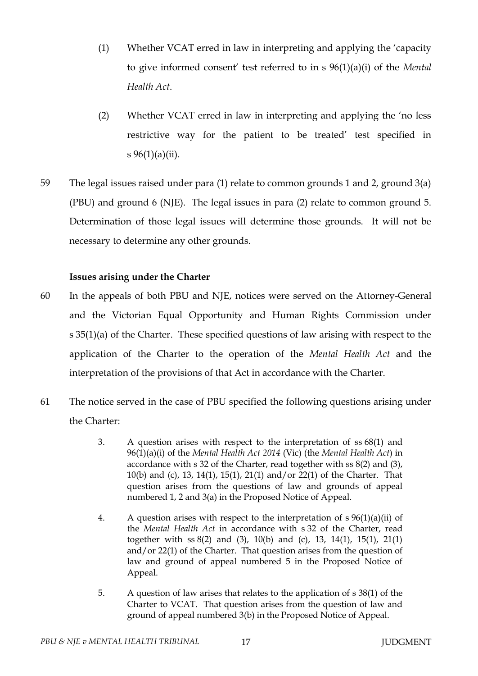- (1) Whether VCAT erred in law in interpreting and applying the 'capacity to give informed consent' test referred to in s 96(1)(a)(i) of the *Mental Health Act*.
- (2) Whether VCAT erred in law in interpreting and applying the 'no less restrictive way for the patient to be treated' test specified in s  $96(1)(a)(ii)$ .
- 59 The legal issues raised under para (1) relate to common grounds 1 and 2, ground 3(a) (PBU) and ground 6 (NJE). The legal issues in para (2) relate to common ground 5. Determination of those legal issues will determine those grounds. It will not be necessary to determine any other grounds.

## **Issues arising under the Charter**

- 60 In the appeals of both PBU and NJE, notices were served on the Attorney-General and the Victorian Equal Opportunity and Human Rights Commission under s 35(1)(a) of the Charter. These specified questions of law arising with respect to the application of the Charter to the operation of the *Mental Health Act* and the interpretation of the provisions of that Act in accordance with the Charter.
- 61 The notice served in the case of PBU specified the following questions arising under the Charter:
	- 3. A question arises with respect to the interpretation of ss 68(1) and 96(1)(a)(i) of the *Mental Health Act 2014* (Vic) (the *Mental Health Act*) in accordance with s 32 of the Charter, read together with ss 8(2) and (3), 10(b) and (c), 13, 14(1), 15(1), 21(1) and/or 22(1) of the Charter. That question arises from the questions of law and grounds of appeal numbered 1, 2 and 3(a) in the Proposed Notice of Appeal.
	- 4. A question arises with respect to the interpretation of  $s \frac{96(1)}{a}$  (ii) of the *Mental Health Act* in accordance with s 32 of the Charter, read together with ss 8(2) and (3), 10(b) and (c), 13, 14(1), 15(1), 21(1) and/or 22(1) of the Charter. That question arises from the question of law and ground of appeal numbered 5 in the Proposed Notice of Appeal.
	- 5. A question of law arises that relates to the application of s 38(1) of the Charter to VCAT. That question arises from the question of law and ground of appeal numbered 3(b) in the Proposed Notice of Appeal.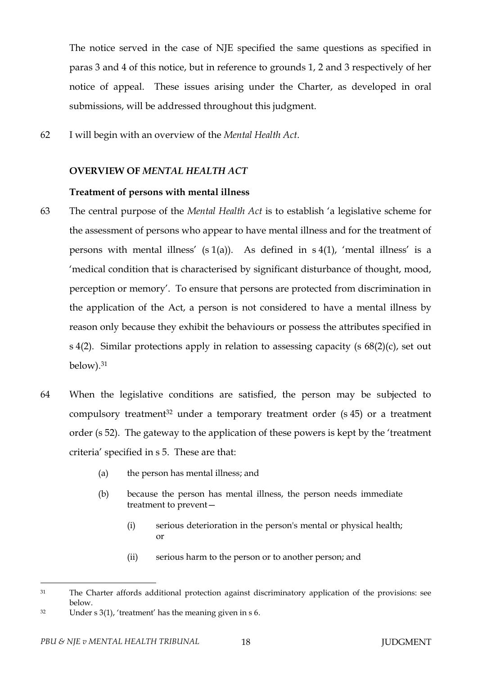The notice served in the case of NJE specified the same questions as specified in paras 3 and 4 of this notice, but in reference to grounds 1, 2 and 3 respectively of her notice of appeal. These issues arising under the Charter, as developed in oral submissions, will be addressed throughout this judgment.

62 I will begin with an overview of the *Mental Health Act*.

#### **OVERVIEW OF** *MENTAL HEALTH ACT*

#### **Treatment of persons with mental illness**

- 63 The central purpose of the *Mental Health Act* is to establish 'a legislative scheme for the assessment of persons who appear to have mental illness and for the treatment of persons with mental illness'  $(s 1(a))$ . As defined in  $s 4(1)$ , 'mental illness' is a 'medical condition that is characterised by significant disturbance of thought, mood, perception or memory'. To ensure that persons are protected from discrimination in the application of the Act, a person is not considered to have a mental illness by reason only because they exhibit the behaviours or possess the attributes specified in s 4(2). Similar protections apply in relation to assessing capacity (s 68(2)(c), set out below).<sup>31</sup>
- 64 When the legislative conditions are satisfied, the person may be subjected to compulsory treatment<sup>32</sup> under a temporary treatment order  $(s 45)$  or a treatment order (s 52). The gateway to the application of these powers is kept by the 'treatment criteria' specified in s 5. These are that:
	- (a) the person has mental illness; and
	- (b) because the person has mental illness, the person needs immediate treatment to prevent—
		- (i) serious deterioration in the person's mental or physical health; or
		- (ii) serious harm to the person or to another person; and

<sup>&</sup>lt;sup>31</sup> The Charter affords additional protection against discriminatory application of the provisions: see below.

<sup>32</sup> Under s 3(1), 'treatment' has the meaning given in s 6.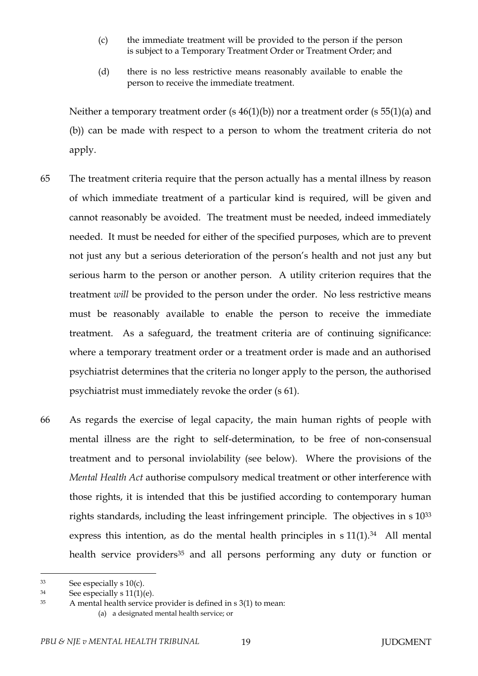- (c) the immediate treatment will be provided to the person if the person is subject to a Temporary Treatment Order or Treatment Order; and
- (d) there is no less restrictive means reasonably available to enable the person to receive the immediate treatment.

Neither a temporary treatment order (s 46(1)(b)) nor a treatment order (s 55(1)(a) and (b)) can be made with respect to a person to whom the treatment criteria do not apply.

- 65 The treatment criteria require that the person actually has a mental illness by reason of which immediate treatment of a particular kind is required, will be given and cannot reasonably be avoided. The treatment must be needed, indeed immediately needed. It must be needed for either of the specified purposes, which are to prevent not just any but a serious deterioration of the person's health and not just any but serious harm to the person or another person. A utility criterion requires that the treatment *will* be provided to the person under the order. No less restrictive means must be reasonably available to enable the person to receive the immediate treatment. As a safeguard, the treatment criteria are of continuing significance: where a temporary treatment order or a treatment order is made and an authorised psychiatrist determines that the criteria no longer apply to the person, the authorised psychiatrist must immediately revoke the order (s 61).
- 66 As regards the exercise of legal capacity, the main human rights of people with mental illness are the right to self-determination, to be free of non-consensual treatment and to personal inviolability (see below). Where the provisions of the *Mental Health Act* authorise compulsory medical treatment or other interference with those rights, it is intended that this be justified according to contemporary human rights standards, including the least infringement principle. The objectives in s 10<sup>33</sup> express this intention, as do the mental health principles in  $s 11(1).<sup>34</sup>$  All mental health service providers<sup>35</sup> and all persons performing any duty or function or

 $33$  See especially s 10(c).

 $34$  See especially s 11(1)(e).

<sup>35</sup> A mental health service provider is defined in s 3(1) to mean:

<sup>(</sup>a) a designated mental health service; or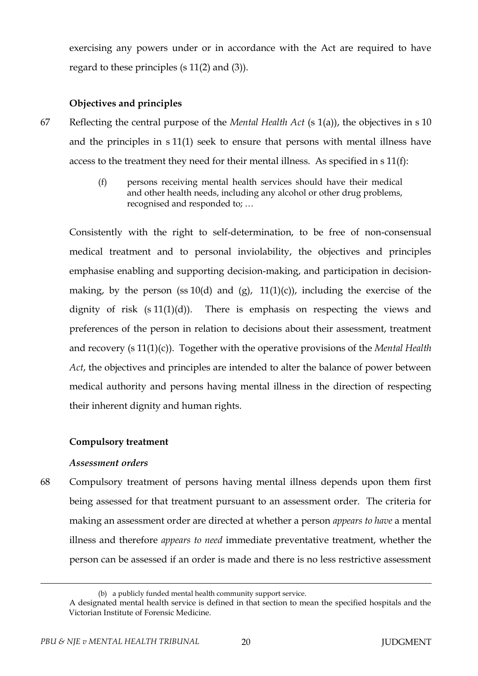exercising any powers under or in accordance with the Act are required to have regard to these principles (s 11(2) and (3)).

# **Objectives and principles**

- 67 Reflecting the central purpose of the *Mental Health Act* (s 1(a)), the objectives in s 10 and the principles in s 11(1) seek to ensure that persons with mental illness have access to the treatment they need for their mental illness. As specified in s 11(f):
	- (f) persons receiving mental health services should have their medical and other health needs, including any alcohol or other drug problems, recognised and responded to; …

Consistently with the right to self-determination, to be free of non-consensual medical treatment and to personal inviolability, the objectives and principles emphasise enabling and supporting decision-making, and participation in decisionmaking, by the person (ss  $10(d)$  and (g),  $11(1)(c)$ ), including the exercise of the dignity of risk  $(s 11(1)(d))$ . There is emphasis on respecting the views and preferences of the person in relation to decisions about their assessment, treatment and recovery (s 11(1)(c)). Together with the operative provisions of the *Mental Health Act*, the objectives and principles are intended to alter the balance of power between medical authority and persons having mental illness in the direction of respecting their inherent dignity and human rights.

## **Compulsory treatment**

## *Assessment orders*

68 Compulsory treatment of persons having mental illness depends upon them first being assessed for that treatment pursuant to an assessment order. The criteria for making an assessment order are directed at whether a person *appears to have* a mental illness and therefore *appears to need* immediate preventative treatment, whether the person can be assessed if an order is made and there is no less restrictive assessment

<sup>(</sup>b) a publicly funded mental health community support service.

A designated mental health service is defined in that section to mean the specified hospitals and the Victorian Institute of Forensic Medicine.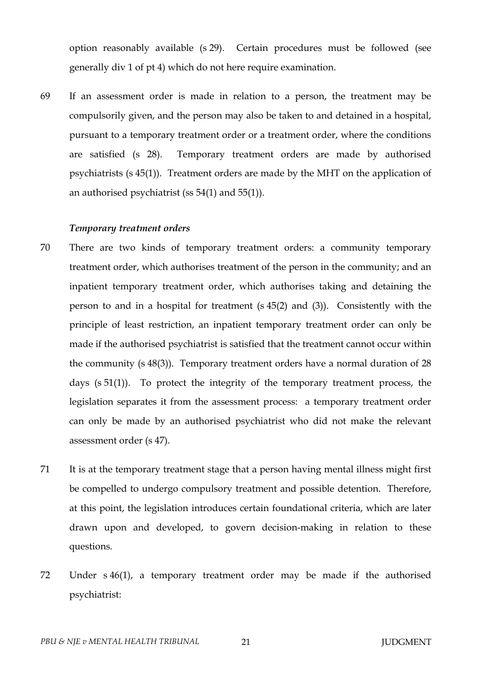option reasonably available (s 29). Certain procedures must be followed (see generally div 1 of pt 4) which do not here require examination.

69 If an assessment order is made in relation to a person, the treatment may be compulsorily given, and the person may also be taken to and detained in a hospital, pursuant to a temporary treatment order or a treatment order, where the conditions are satisfied (s 28). Temporary treatment orders are made by authorised psychiatrists (s 45(1)). Treatment orders are made by the MHT on the application of an authorised psychiatrist (ss 54(1) and 55(1)).

#### *Temporary treatment orders*

- 70 There are two kinds of temporary treatment orders: a community temporary treatment order, which authorises treatment of the person in the community; and an inpatient temporary treatment order, which authorises taking and detaining the person to and in a hospital for treatment (s 45(2) and (3)). Consistently with the principle of least restriction, an inpatient temporary treatment order can only be made if the authorised psychiatrist is satisfied that the treatment cannot occur within the community (s 48(3)). Temporary treatment orders have a normal duration of 28 days (s 51(1)). To protect the integrity of the temporary treatment process, the legislation separates it from the assessment process: a temporary treatment order can only be made by an authorised psychiatrist who did not make the relevant assessment order (s 47).
- 71 It is at the temporary treatment stage that a person having mental illness might first be compelled to undergo compulsory treatment and possible detention. Therefore, at this point, the legislation introduces certain foundational criteria, which are later drawn upon and developed, to govern decision-making in relation to these questions.
- 72 Under s 46(1), a temporary treatment order may be made if the authorised psychiatrist: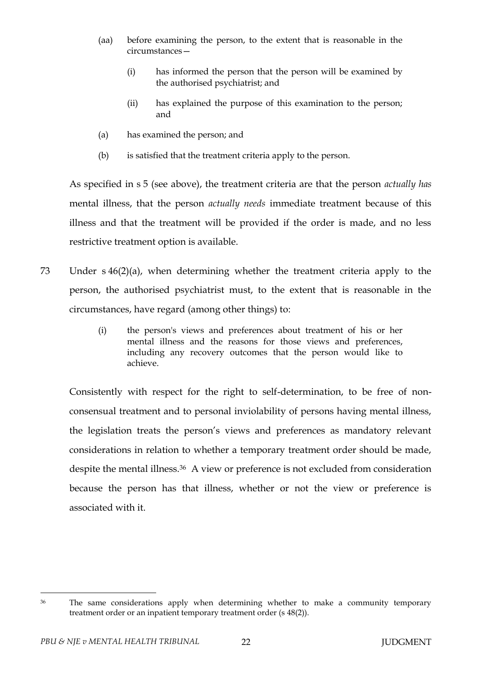- (aa) before examining the person, to the extent that is reasonable in the circumstances—
	- (i) has informed the person that the person will be examined by the authorised psychiatrist; and
	- (ii) has explained the purpose of this examination to the person; and
- (a) has examined the person; and
- (b) is satisfied that the treatment criteria apply to the person.

As specified in s 5 (see above), the treatment criteria are that the person *actually has*  mental illness, that the person *actually needs* immediate treatment because of this illness and that the treatment will be provided if the order is made, and no less restrictive treatment option is available.

- 73 Under s 46(2)(a), when determining whether the treatment criteria apply to the person, the authorised psychiatrist must, to the extent that is reasonable in the circumstances, have regard (among other things) to:
	- (i) the person's views and preferences about treatment of his or her mental illness and the reasons for those views and preferences, including any recovery outcomes that the person would like to achieve.

Consistently with respect for the right to self-determination, to be free of nonconsensual treatment and to personal inviolability of persons having mental illness, the legislation treats the person's views and preferences as mandatory relevant considerations in relation to whether a temporary treatment order should be made, despite the mental illness.36 A view or preference is not excluded from consideration because the person has that illness, whether or not the view or preference is associated with it.

<sup>&</sup>lt;sup>36</sup> The same considerations apply when determining whether to make a community temporary treatment order or an inpatient temporary treatment order (s 48(2)).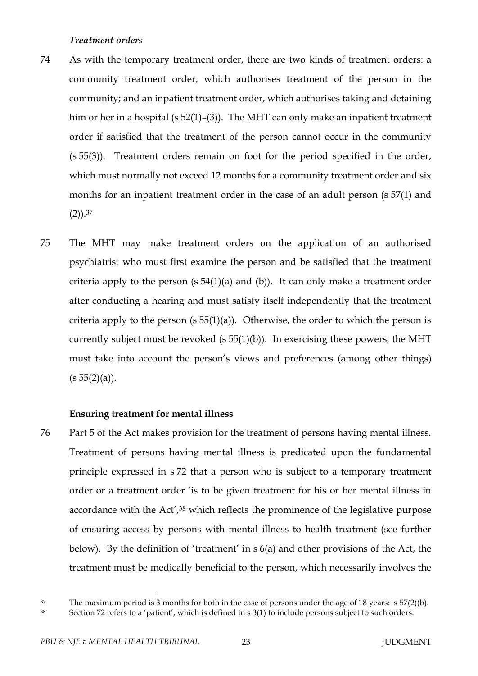#### *Treatment orders*

- 74 As with the temporary treatment order, there are two kinds of treatment orders: a community treatment order, which authorises treatment of the person in the community; and an inpatient treatment order, which authorises taking and detaining him or her in a hospital (s 52(1)–(3)). The MHT can only make an inpatient treatment order if satisfied that the treatment of the person cannot occur in the community (s 55(3)). Treatment orders remain on foot for the period specified in the order, which must normally not exceed 12 months for a community treatment order and six months for an inpatient treatment order in the case of an adult person (s 57(1) and  $(2)$ ).<sup>37</sup>
- 75 The MHT may make treatment orders on the application of an authorised psychiatrist who must first examine the person and be satisfied that the treatment criteria apply to the person  $(s 54(1)(a)$  and  $(b)$ ). It can only make a treatment order after conducting a hearing and must satisfy itself independently that the treatment criteria apply to the person  $(s 55(1)(a))$ . Otherwise, the order to which the person is currently subject must be revoked ( $s$  55(1)(b)). In exercising these powers, the MHT must take into account the person's views and preferences (among other things)  $(s 55(2)(a)).$

#### **Ensuring treatment for mental illness**

76 Part 5 of the Act makes provision for the treatment of persons having mental illness. Treatment of persons having mental illness is predicated upon the fundamental principle expressed in s 72 that a person who is subject to a temporary treatment order or a treatment order 'is to be given treatment for his or her mental illness in accordance with the Act',<sup>38</sup> which reflects the prominence of the legislative purpose of ensuring access by persons with mental illness to health treatment (see further below). By the definition of 'treatment' in s 6(a) and other provisions of the Act, the treatment must be medically beneficial to the person, which necessarily involves the

<sup>&</sup>lt;sup>37</sup> The maximum period is 3 months for both in the case of persons under the age of 18 years: s 57(2)(b).

<sup>38</sup> Section 72 refers to a 'patient', which is defined in s 3(1) to include persons subject to such orders.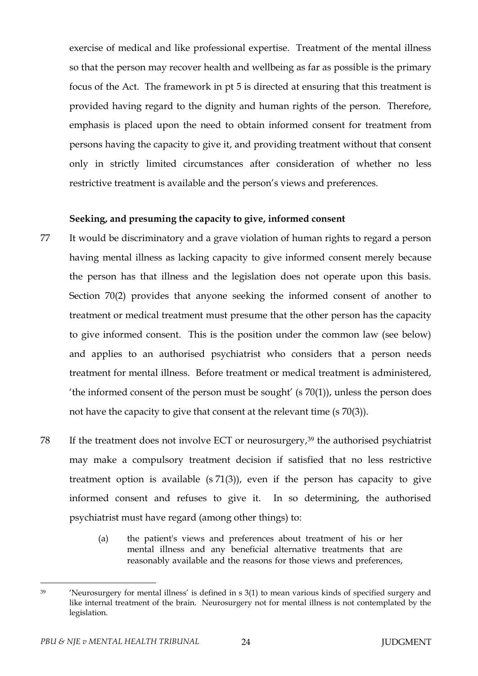exercise of medical and like professional expertise. Treatment of the mental illness so that the person may recover health and wellbeing as far as possible is the primary focus of the Act. The framework in pt 5 is directed at ensuring that this treatment is provided having regard to the dignity and human rights of the person. Therefore, emphasis is placed upon the need to obtain informed consent for treatment from persons having the capacity to give it, and providing treatment without that consent only in strictly limited circumstances after consideration of whether no less restrictive treatment is available and the person's views and preferences.

#### **Seeking, and presuming the capacity to give, informed consent**

- 77 It would be discriminatory and a grave violation of human rights to regard a person having mental illness as lacking capacity to give informed consent merely because the person has that illness and the legislation does not operate upon this basis. Section 70(2) provides that anyone seeking the informed consent of another to treatment or medical treatment must presume that the other person has the capacity to give informed consent. This is the position under the common law (see below) and applies to an authorised psychiatrist who considers that a person needs treatment for mental illness. Before treatment or medical treatment is administered, 'the informed consent of the person must be sought' (s  $70(1)$ ), unless the person does not have the capacity to give that consent at the relevant time (s 70(3)).
- 78 If the treatment does not involve ECT or neurosurgery,<sup>39</sup> the authorised psychiatrist may make a compulsory treatment decision if satisfied that no less restrictive treatment option is available  $(s 71(3))$ , even if the person has capacity to give informed consent and refuses to give it. In so determining, the authorised psychiatrist must have regard (among other things) to:
	- (a) the patient's views and preferences about treatment of his or her mental illness and any beneficial alternative treatments that are reasonably available and the reasons for those views and preferences,

<sup>39</sup> 'Neurosurgery for mental illness' is defined in s 3(1) to mean various kinds of specified surgery and like internal treatment of the brain. Neurosurgery not for mental illness is not contemplated by the legislation.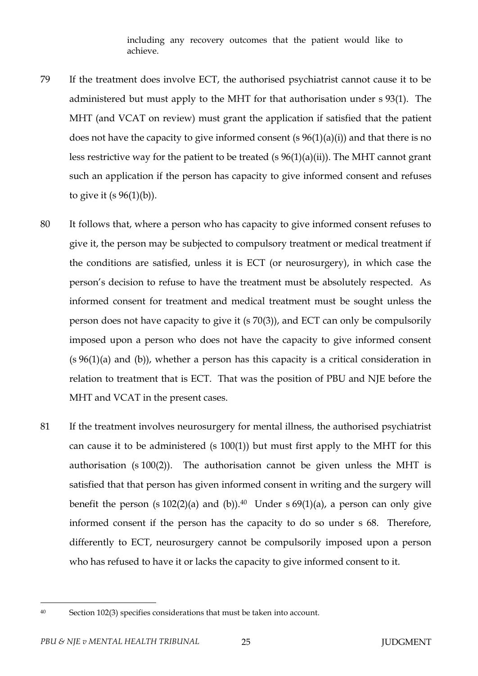including any recovery outcomes that the patient would like to achieve.

- 79 If the treatment does involve ECT, the authorised psychiatrist cannot cause it to be administered but must apply to the MHT for that authorisation under s 93(1). The MHT (and VCAT on review) must grant the application if satisfied that the patient does not have the capacity to give informed consent (s  $96(1)(a)(i)$ ) and that there is no less restrictive way for the patient to be treated (s  $96(1)(a)(ii)$ ). The MHT cannot grant such an application if the person has capacity to give informed consent and refuses to give it  $(s 96(1)(b))$ .
- 80 It follows that, where a person who has capacity to give informed consent refuses to give it, the person may be subjected to compulsory treatment or medical treatment if the conditions are satisfied, unless it is ECT (or neurosurgery), in which case the person's decision to refuse to have the treatment must be absolutely respected. As informed consent for treatment and medical treatment must be sought unless the person does not have capacity to give it (s 70(3)), and ECT can only be compulsorily imposed upon a person who does not have the capacity to give informed consent (s 96(1)(a) and (b)), whether a person has this capacity is a critical consideration in relation to treatment that is ECT. That was the position of PBU and NJE before the MHT and VCAT in the present cases.
- 81 If the treatment involves neurosurgery for mental illness, the authorised psychiatrist can cause it to be administered (s  $100(1)$ ) but must first apply to the MHT for this authorisation (s 100(2)). The authorisation cannot be given unless the MHT is satisfied that that person has given informed consent in writing and the surgery will benefit the person (s  $102(2)(a)$  and (b)).<sup>40</sup> Under s  $69(1)(a)$ , a person can only give informed consent if the person has the capacity to do so under s 68. Therefore, differently to ECT, neurosurgery cannot be compulsorily imposed upon a person who has refused to have it or lacks the capacity to give informed consent to it.

<sup>40</sup> Section 102(3) specifies considerations that must be taken into account.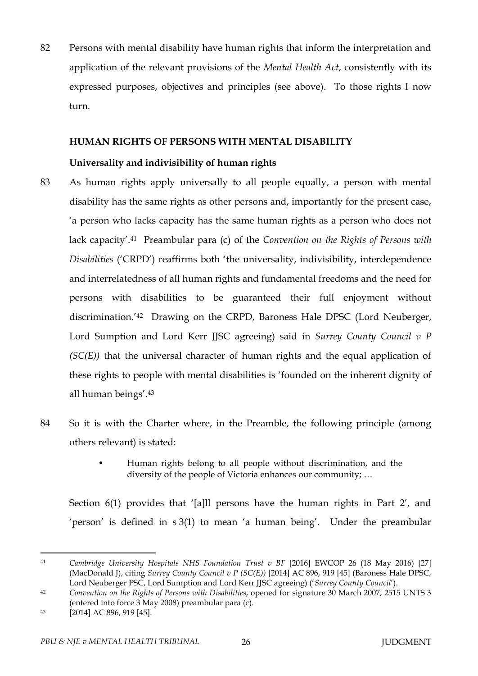82 Persons with mental disability have human rights that inform the interpretation and application of the relevant provisions of the *Mental Health Act*, consistently with its expressed purposes, objectives and principles (see above). To those rights I now turn.

## **HUMAN RIGHTS OF PERSONS WITH MENTAL DISABILITY**

## **Universality and indivisibility of human rights**

- 83 As human rights apply universally to all people equally, a person with mental disability has the same rights as other persons and, importantly for the present case, 'a person who lacks capacity has the same human rights as a person who does not lack capacity'.41 Preambular para (c) of the *Convention on the Rights of Persons with Disabilities* ('CRPD') reaffirms both 'the universality, indivisibility, interdependence and interrelatedness of all human rights and fundamental freedoms and the need for persons with disabilities to be guaranteed their full enjoyment without discrimination.'42 Drawing on the CRPD, Baroness Hale DPSC (Lord Neuberger, Lord Sumption and Lord Kerr JJSC agreeing) said in *Surrey County Council v P (SC(E))* that the universal character of human rights and the equal application of these rights to people with mental disabilities is 'founded on the inherent dignity of all human beings'.<sup>43</sup>
- 84 So it is with the Charter where, in the Preamble, the following principle (among others relevant) is stated:
	- Human rights belong to all people without discrimination, and the diversity of the people of Victoria enhances our community; …

Section 6(1) provides that '[a]ll persons have the human rights in Part 2', and 'person' is defined in s 3(1) to mean 'a human being'. Under the preambular

<sup>41</sup> *Cambridge University Hospitals NHS Foundation Trust v BF* [2016] EWCOP 26 (18 May 2016) [27] (MacDonald J), citing *Surrey County Council v P (SC(E))* [2014] AC 896, 919 [45] (Baroness Hale DPSC, Lord Neuberger PSC, Lord Sumption and Lord Kerr JJSC agreeing) ('*Surrey County Council*').

<sup>42</sup> *Convention on the Rights of Persons with Disabilities*, opened for signature 30 March 2007, 2515 UNTS 3 (entered into force 3 May 2008) preambular para (c).

<sup>43</sup> [2014] AC 896, 919 [45].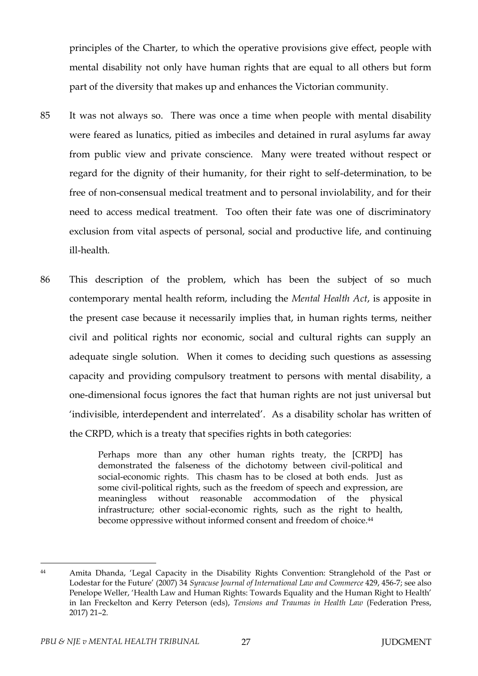principles of the Charter, to which the operative provisions give effect, people with mental disability not only have human rights that are equal to all others but form part of the diversity that makes up and enhances the Victorian community.

- 85 It was not always so. There was once a time when people with mental disability were feared as lunatics, pitied as imbeciles and detained in rural asylums far away from public view and private conscience. Many were treated without respect or regard for the dignity of their humanity, for their right to self-determination, to be free of non-consensual medical treatment and to personal inviolability, and for their need to access medical treatment. Too often their fate was one of discriminatory exclusion from vital aspects of personal, social and productive life, and continuing ill-health.
- 86 This description of the problem, which has been the subject of so much contemporary mental health reform, including the *Mental Health Act*, is apposite in the present case because it necessarily implies that, in human rights terms, neither civil and political rights nor economic, social and cultural rights can supply an adequate single solution. When it comes to deciding such questions as assessing capacity and providing compulsory treatment to persons with mental disability, a one-dimensional focus ignores the fact that human rights are not just universal but 'indivisible, interdependent and interrelated'. As a disability scholar has written of the CRPD, which is a treaty that specifies rights in both categories:

Perhaps more than any other human rights treaty, the [CRPD] has demonstrated the falseness of the dichotomy between civil-political and social-economic rights. This chasm has to be closed at both ends. Just as some civil-political rights, such as the freedom of speech and expression, are meaningless without reasonable accommodation of the physical infrastructure; other social-economic rights, such as the right to health, become oppressive without informed consent and freedom of choice. 44

 $\overline{a}$ <sup>44</sup> Amita Dhanda, 'Legal Capacity in the Disability Rights Convention: Stranglehold of the Past or Lodestar for the Future' (2007) 34 *Syracuse Journal of International Law and Commerce* 429, 456-7; see also Penelope Weller, 'Health Law and Human Rights: Towards Equality and the Human Right to Health' in Ian Freckelton and Kerry Peterson (eds), *Tensions and Traumas in Health Law* (Federation Press, 2017) 21–2.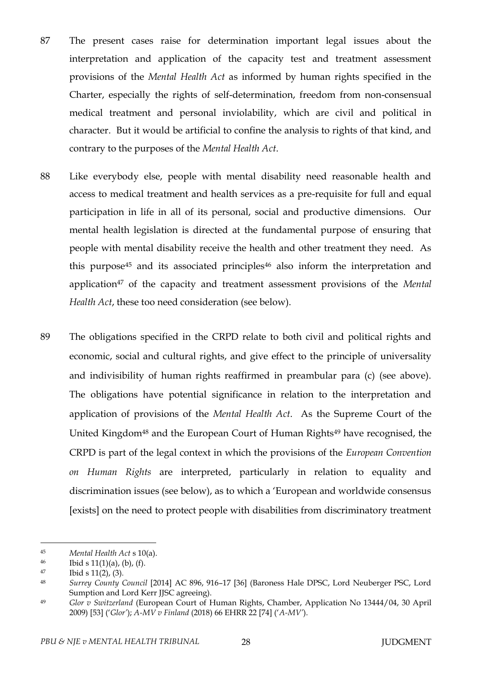- 87 The present cases raise for determination important legal issues about the interpretation and application of the capacity test and treatment assessment provisions of the *Mental Health Act* as informed by human rights specified in the Charter, especially the rights of self-determination, freedom from non-consensual medical treatment and personal inviolability, which are civil and political in character. But it would be artificial to confine the analysis to rights of that kind, and contrary to the purposes of the *Mental Health Act*.
- 88 Like everybody else, people with mental disability need reasonable health and access to medical treatment and health services as a pre-requisite for full and equal participation in life in all of its personal, social and productive dimensions. Our mental health legislation is directed at the fundamental purpose of ensuring that people with mental disability receive the health and other treatment they need. As this purpose<sup>45</sup> and its associated principles<sup>46</sup> also inform the interpretation and application<sup>47</sup> of the capacity and treatment assessment provisions of the *Mental Health Act*, these too need consideration (see below).
- 89 The obligations specified in the CRPD relate to both civil and political rights and economic, social and cultural rights, and give effect to the principle of universality and indivisibility of human rights reaffirmed in preambular para (c) (see above). The obligations have potential significance in relation to the interpretation and application of provisions of the *Mental Health Act*. As the Supreme Court of the United Kingdom<sup>48</sup> and the European Court of Human Rights<sup>49</sup> have recognised, the CRPD is part of the legal context in which the provisions of the *European Convention on Human Rights* are interpreted, particularly in relation to equality and discrimination issues (see below), as to which a 'European and worldwide consensus [exists] on the need to protect people with disabilities from discriminatory treatment

<sup>45</sup> *Mental Health Act* s 10(a).

<sup>46</sup> Ibid s  $11(1)(a)$ , (b), (f).

<sup>47</sup> Ibid s 11(2), (3)*.*

<sup>48</sup> *Surrey County Council* [2014] AC 896, 916–17 [36] (Baroness Hale DPSC, Lord Neuberger PSC, Lord Sumption and Lord Kerr JJSC agreeing).

<sup>49</sup> *Glor v Switzerland* (European Court of Human Rights, Chamber, Application No 13444/04, 30 April 2009) [53] ('*Glor'*); *A-MV v Finland* (2018) 66 EHRR 22 [74] ('*A-MV'*).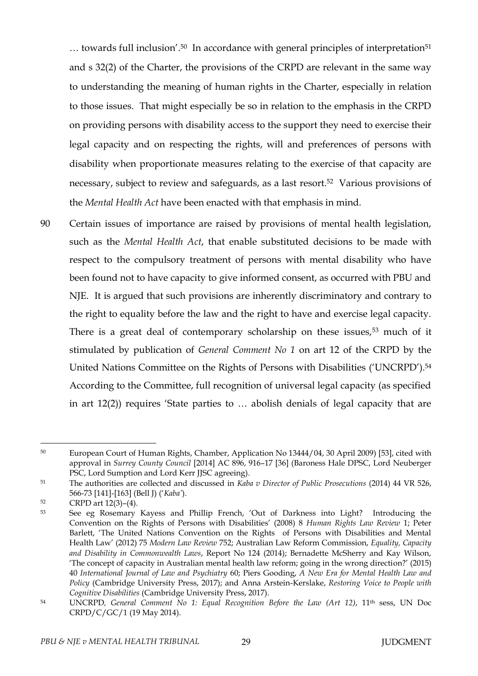$\dots$  towards full inclusion'.<sup>50</sup> In accordance with general principles of interpretation<sup>51</sup> and s 32(2) of the Charter, the provisions of the CRPD are relevant in the same way to understanding the meaning of human rights in the Charter, especially in relation to those issues. That might especially be so in relation to the emphasis in the CRPD on providing persons with disability access to the support they need to exercise their legal capacity and on respecting the rights, will and preferences of persons with disability when proportionate measures relating to the exercise of that capacity are necessary, subject to review and safeguards, as a last resort.52 Various provisions of the *Mental Health Act* have been enacted with that emphasis in mind.

90 Certain issues of importance are raised by provisions of mental health legislation, such as the *Mental Health Act*, that enable substituted decisions to be made with respect to the compulsory treatment of persons with mental disability who have been found not to have capacity to give informed consent, as occurred with PBU and NJE. It is argued that such provisions are inherently discriminatory and contrary to the right to equality before the law and the right to have and exercise legal capacity. There is a great deal of contemporary scholarship on these issues,<sup>53</sup> much of it stimulated by publication of *General Comment No 1* on art 12 of the CRPD by the United Nations Committee on the Rights of Persons with Disabilities ('UNCRPD').<sup>54</sup> According to the Committee, full recognition of universal legal capacity (as specified in art 12(2)) requires 'State parties to … abolish denials of legal capacity that are

 $\overline{a}$ <sup>50</sup> European Court of Human Rights, Chamber, Application No 13444/04, 30 April 2009) [53], cited with approval in *Surrey County Council* [2014] AC 896, 916–17 [36] (Baroness Hale DPSC, Lord Neuberger PSC, Lord Sumption and Lord Kerr JJSC agreeing).

<sup>51</sup> The authorities are collected and discussed in *Kaba v Director of Public Prosecutions* (2014) 44 VR 526, 566-73 [141]-[163] (Bell J) ('*Kaba'*).

<sup>52</sup> CRPD art 12(3)–(4).

<sup>53</sup> See eg Rosemary Kayess and Phillip French, 'Out of Darkness into Light? Introducing the Convention on the Rights of Persons with Disabilities' (2008) 8 *Human Rights Law Review* 1; Peter Barlett, 'The United Nations Convention on the Rights of Persons with Disabilities and Mental Health Law' (2012) 75 *Modern Law Review* 752; Australian Law Reform Commission, *Equality, Capacity and Disability in Commonwealth Laws*, Report No 124 (2014); Bernadette McSherry and Kay Wilson, 'The concept of capacity in Australian mental health law reform; going in the wrong direction?' (2015) 40 *International Journal of Law and Psychiatry* 60; Piers Gooding, *A New Era for Mental Health Law and Policy* (Cambridge University Press, 2017); and Anna Arstein-Kerslake, *Restoring Voice to People with Cognitive Disabilities* (Cambridge University Press, 2017).

<sup>54</sup> UNCRPD*, General Comment No 1: Equal Recognition Before the Law (Art 12)*, 11th sess, UN Doc CRPD/C/GC/1 (19 May 2014).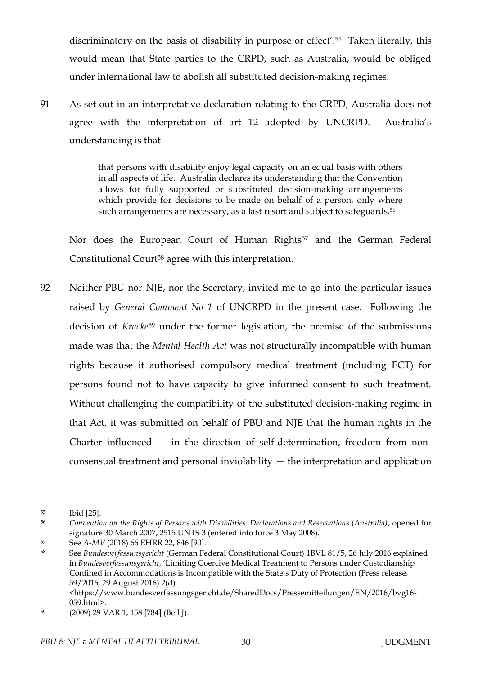discriminatory on the basis of disability in purpose or effect'.55 Taken literally, this would mean that State parties to the CRPD, such as Australia, would be obliged under international law to abolish all substituted decision-making regimes.

91 As set out in an interpretative declaration relating to the CRPD, Australia does not agree with the interpretation of art 12 adopted by UNCRPD. Australia's understanding is that

> that persons with disability enjoy legal capacity on an equal basis with others in all aspects of life. Australia declares its understanding that the Convention allows for fully supported or substituted decision-making arrangements which provide for decisions to be made on behalf of a person, only where such arrangements are necessary, as a last resort and subject to safeguards.<sup>56</sup>

Nor does the European Court of Human Rights<sup>57</sup> and the German Federal Constitutional Court<sup>58</sup> agree with this interpretation.

92 Neither PBU nor NJE, nor the Secretary, invited me to go into the particular issues raised by *General Comment No 1* of UNCRPD in the present case. Following the decision of *Kracke*<sup>59</sup> under the former legislation, the premise of the submissions made was that the *Mental Health Act* was not structurally incompatible with human rights because it authorised compulsory medical treatment (including ECT) for persons found not to have capacity to give informed consent to such treatment. Without challenging the compatibility of the substituted decision-making regime in that Act, it was submitted on behalf of PBU and NJE that the human rights in the Charter influenced — in the direction of self-determination, freedom from nonconsensual treatment and personal inviolability — the interpretation and application

 $\overline{a}$ 

<https://www.bundesverfassungsgericht.de/SharedDocs/Pressemitteilungen/EN/2016/bvg16- 059.html>.

<sup>55</sup> Ibid [25].

<sup>56</sup> *Convention on the Rights of Persons with Disabilities: Declarations and Reservations (Australia)*, opened for signature 30 March 2007, 2515 UNTS 3 (entered into force 3 May 2008).

<sup>57</sup> See *A-MV* (2018) 66 EHRR 22, 846 [90].

<sup>58</sup> See *Bundesverfassunsgericht* (German Federal Constitutional Court) 1BVL 81/5, 26 July 2016 explained in *Bundesverfassunsgericht*, 'Limiting Coercive Medical Treatment to Persons under Custodianship Confined in Accommodations is Incompatible with the State's Duty of Protection (Press release, 59/2016, 29 August 2016) 2(d)

<sup>59</sup> (2009) 29 VAR 1, 158 [784] (Bell J).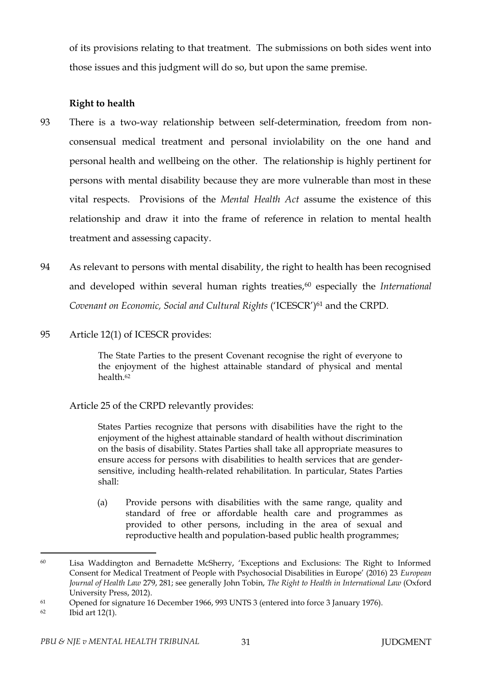of its provisions relating to that treatment. The submissions on both sides went into those issues and this judgment will do so, but upon the same premise.

### **Right to health**

- 93 There is a two-way relationship between self-determination, freedom from nonconsensual medical treatment and personal inviolability on the one hand and personal health and wellbeing on the other. The relationship is highly pertinent for persons with mental disability because they are more vulnerable than most in these vital respects. Provisions of the *Mental Health Act* assume the existence of this relationship and draw it into the frame of reference in relation to mental health treatment and assessing capacity.
- 94 As relevant to persons with mental disability, the right to health has been recognised and developed within several human rights treaties,<sup>60</sup> especially the *International Covenant on Economic, Social and Cultural Rights* ('ICESCR') <sup>61</sup> and the CRPD.
- 95 Article 12(1) of ICESCR provides:

The State Parties to the present Covenant recognise the right of everyone to the enjoyment of the highest attainable standard of physical and mental health.<sup>62</sup>

Article 25 of the CRPD relevantly provides:

States Parties recognize that persons with disabilities have the right to the enjoyment of the highest attainable standard of health without discrimination on the basis of disability. States Parties shall take all appropriate measures to ensure access for persons with disabilities to health services that are gendersensitive, including health-related rehabilitation. In particular, States Parties shall:

(a) Provide persons with disabilities with the same range, quality and standard of free or affordable health care and programmes as provided to other persons, including in the area of sexual and reproductive health and population-based public health programmes;

<sup>60</sup> Lisa Waddington and Bernadette McSherry, 'Exceptions and Exclusions: The Right to Informed Consent for Medical Treatment of People with Psychosocial Disabilities in Europe' (2016) 23 *European Journal of Health Law* 279, 281; see generally John Tobin, *The Right to Health in International Law* (Oxford University Press, 2012).

<sup>61</sup> Opened for signature 16 December 1966, 993 UNTS 3 (entered into force 3 January 1976).

<sup>62</sup> Ibid art 12(1).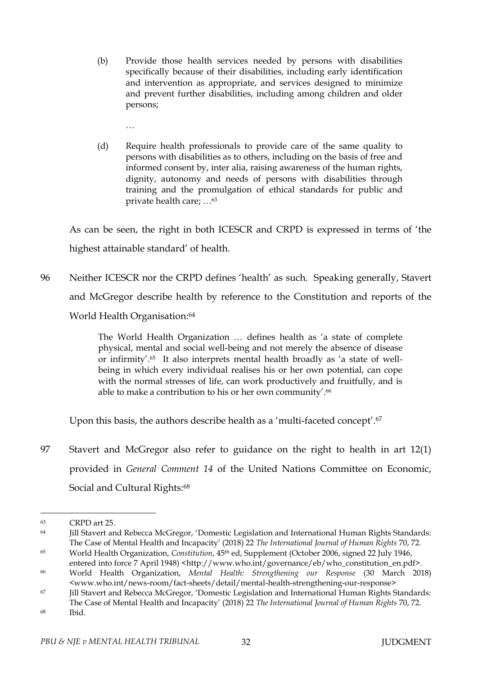- (b) Provide those health services needed by persons with disabilities specifically because of their disabilities, including early identification and intervention as appropriate, and services designed to minimize and prevent further disabilities, including among children and older persons;
	- …
- (d) Require health professionals to provide care of the same quality to persons with disabilities as to others, including on the basis of free and informed consent by, inter alia, raising awareness of the human rights, dignity, autonomy and needs of persons with disabilities through training and the promulgation of ethical standards for public and private health care; …<sup>63</sup>

As can be seen, the right in both ICESCR and CRPD is expressed in terms of 'the highest attainable standard' of health.

96 Neither ICESCR nor the CRPD defines 'health' as such. Speaking generally, Stavert and McGregor describe health by reference to the Constitution and reports of the World Health Organisation:<sup>64</sup>

> The World Health Organization … defines health as 'a state of complete physical, mental and social well-being and not merely the absence of disease or infirmity'.65 It also interprets mental health broadly as 'a state of wellbeing in which every individual realises his or her own potential, can cope with the normal stresses of life, can work productively and fruitfully, and is able to make a contribution to his or her own community'.<sup>66</sup>

Upon this basis, the authors describe health as a 'multi-faceted concept'.<sup>67</sup>

97 Stavert and McGregor also refer to guidance on the right to health in art 12(1) provided in *General Comment 14* of the United Nations Committee on Economic, Social and Cultural Rights:<sup>68</sup>

<sup>63</sup> CRPD art 25.

<sup>64</sup> Jill Stavert and Rebecca McGregor, 'Domestic Legislation and International Human Rights Standards: The Case of Mental Health and Incapacity' (2018) 22 *The International Journal of Human Rights* 70, 72.

<sup>65</sup> World Health Organization, *Constitution*, 45th ed, Supplement (October 2006, signed 22 July 1946, entered into force 7 April 1948) <http://www.who.int/governance/eb/who\_constitution\_en.pdf>.

<sup>66</sup> World Health Organization, *Mental Health: Strengthening our Response* (30 March 2018) <www.who.int/news-room/fact-sheets/detail/mental-health-strengthening-our-response>

<sup>67</sup> Jill Stavert and Rebecca McGregor, 'Domestic Legislation and International Human Rights Standards: The Case of Mental Health and Incapacity' (2018) 22 *The International Journal of Human Rights* 70, 72. <sup>68</sup> Ibid.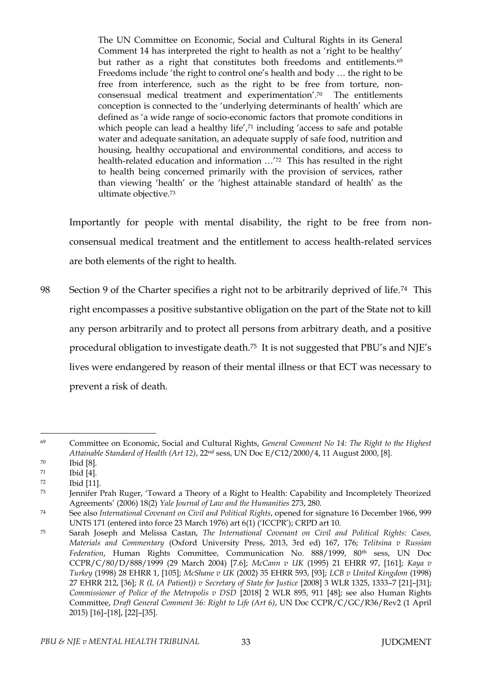The UN Committee on Economic, Social and Cultural Rights in its General Comment 14 has interpreted the right to health as not a 'right to be healthy' but rather as a right that constitutes both freedoms and entitlements.<sup>69</sup> Freedoms include 'the right to control one's health and body … the right to be free from interference, such as the right to be free from torture, nonconsensual medical treatment and experimentation'. <sup>70</sup> The entitlements conception is connected to the 'underlying determinants of health' which are defined as 'a wide range of socio-economic factors that promote conditions in which people can lead a healthy life',<sup>71</sup> including 'access to safe and potable water and adequate sanitation, an adequate supply of safe food, nutrition and housing, healthy occupational and environmental conditions, and access to health-related education and information …'72 This has resulted in the right to health being concerned primarily with the provision of services, rather than viewing 'health' or the 'highest attainable standard of health' as the ultimate objective.<sup>73</sup>

Importantly for people with mental disability, the right to be free from nonconsensual medical treatment and the entitlement to access health-related services are both elements of the right to health.

98 Section 9 of the Charter specifies a right not to be arbitrarily deprived of life.<sup>74</sup> This right encompasses a positive substantive obligation on the part of the State not to kill any person arbitrarily and to protect all persons from arbitrary death, and a positive procedural obligation to investigate death.<sup>75</sup> It is not suggested that PBU's and NJE's lives were endangered by reason of their mental illness or that ECT was necessary to prevent a risk of death.

<sup>69</sup> Committee on Economic, Social and Cultural Rights, *General Comment No 14: The Right to the Highest Attainable Standard of Health (Art 12)*, 22nd sess, UN Doc E/C12/2000/4, 11 August 2000, [8].

<sup>70</sup> Ibid [8].

<sup>71</sup> Ibid [4].

<sup>72</sup> Ibid [11].

<sup>73</sup> Jennifer Prah Ruger, 'Toward a Theory of a Right to Health: Capability and Incompletely Theorized Agreements' (2006) 18(2) *Yale Journal of Law and the Humanities* 273, 280.

<sup>74</sup> See also *International Covenant on Civil and Political Rights*, opened for signature 16 December 1966, 999 UNTS 171 (entered into force 23 March 1976) art 6(1) ('ICCPR'); CRPD art 10.

<sup>75</sup> Sarah Joseph and Melissa Castan, *The International Covenant on Civil and Political Rights: Cases, Materials and Commentary* (Oxford University Press, 2013, 3rd ed) 167, 176; *Telitsina v Russian Federation*, Human Rights Committee, Communication No. 888/1999, 80th sess, UN Doc CCPR/C/80/D/888/1999 (29 March 2004) [7.6]; *McCann v UK* (1995) 21 EHRR 97, [161]; *Kaya v Turkey* (1998) 28 EHRR 1, [105]; *McShane v UK* (2002) 35 EHRR 593, [93]; *LCB v United Kingdom* (1998) 27 EHRR 212, [36]; *R (L (A Patient)) v Secretary of State for Justice* [2008] 3 WLR 1325, 1333–7 [21]–[31]; *Commissioner of Police of the Metropolis v DSD* [2018] 2 WLR 895, 911 [48]; see also Human Rights Committee, *Draft General Comment 36: Right to Life (Art 6)*, UN Doc CCPR/C/GC/R36/Rev2 (1 April 2015) [16]–[18], [22]–[35].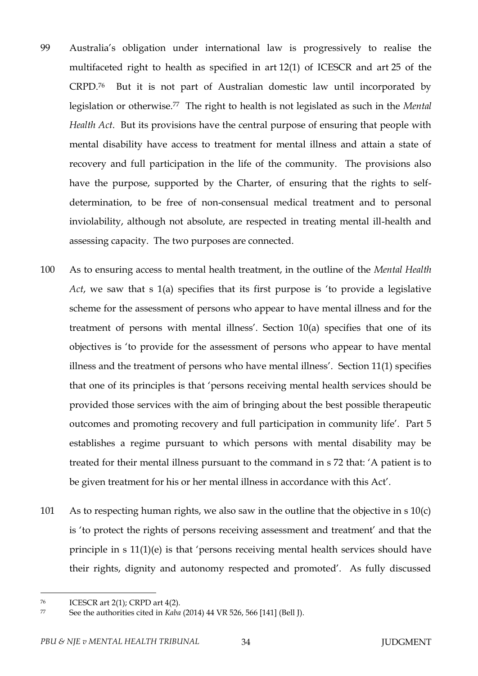- 99 Australia's obligation under international law is progressively to realise the multifaceted right to health as specified in art 12(1) of ICESCR and art 25 of the CRPD.<sup>76</sup> But it is not part of Australian domestic law until incorporated by legislation or otherwise.77 The right to health is not legislated as such in the *Mental Health Act*. But its provisions have the central purpose of ensuring that people with mental disability have access to treatment for mental illness and attain a state of recovery and full participation in the life of the community. The provisions also have the purpose, supported by the Charter, of ensuring that the rights to selfdetermination, to be free of non-consensual medical treatment and to personal inviolability, although not absolute, are respected in treating mental ill-health and assessing capacity. The two purposes are connected.
- 100 As to ensuring access to mental health treatment, in the outline of the *Mental Health Act*, we saw that s 1(a) specifies that its first purpose is 'to provide a legislative scheme for the assessment of persons who appear to have mental illness and for the treatment of persons with mental illness'. Section 10(a) specifies that one of its objectives is 'to provide for the assessment of persons who appear to have mental illness and the treatment of persons who have mental illness'. Section 11(1) specifies that one of its principles is that 'persons receiving mental health services should be provided those services with the aim of bringing about the best possible therapeutic outcomes and promoting recovery and full participation in community life'. Part 5 establishes a regime pursuant to which persons with mental disability may be treated for their mental illness pursuant to the command in s 72 that: 'A patient is to be given treatment for his or her mental illness in accordance with this Act'.
- 101 As to respecting human rights, we also saw in the outline that the objective in s 10(c) is 'to protect the rights of persons receiving assessment and treatment' and that the principle in s 11(1)(e) is that 'persons receiving mental health services should have their rights, dignity and autonomy respected and promoted'. As fully discussed

<sup>76</sup> ICESCR art 2(1); CRPD art 4(2).

<sup>77</sup> See the authorities cited in *Kaba* (2014) 44 VR 526, 566 [141] (Bell J).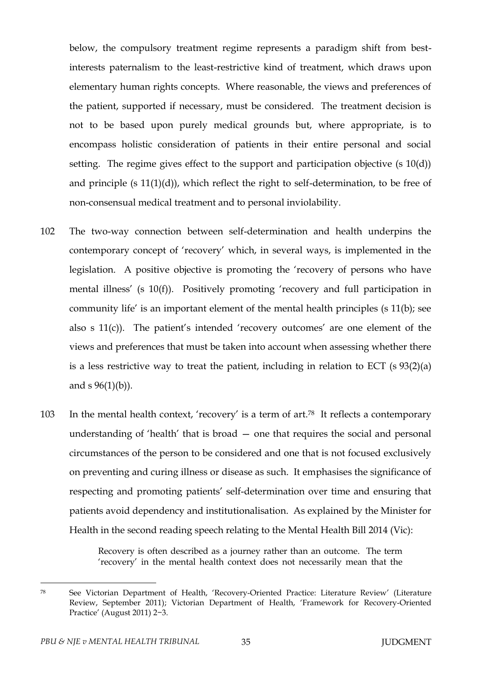below, the compulsory treatment regime represents a paradigm shift from bestinterests paternalism to the least-restrictive kind of treatment, which draws upon elementary human rights concepts. Where reasonable, the views and preferences of the patient, supported if necessary, must be considered. The treatment decision is not to be based upon purely medical grounds but, where appropriate, is to encompass holistic consideration of patients in their entire personal and social setting. The regime gives effect to the support and participation objective (s 10(d)) and principle (s 11(1)(d)), which reflect the right to self-determination, to be free of non-consensual medical treatment and to personal inviolability.

- 102 The two-way connection between self-determination and health underpins the contemporary concept of 'recovery' which, in several ways, is implemented in the legislation. A positive objective is promoting the 'recovery of persons who have mental illness' (s 10(f)). Positively promoting 'recovery and full participation in community life' is an important element of the mental health principles (s 11(b); see also s 11(c)). The patient's intended 'recovery outcomes' are one element of the views and preferences that must be taken into account when assessing whether there is a less restrictive way to treat the patient, including in relation to ECT  $(s 93(2)(a)$ and  $s \ 96(1)(b)$ ).
- 103 In the mental health context, 'recovery' is a term of art.<sup>78</sup> It reflects a contemporary understanding of 'health' that is broad — one that requires the social and personal circumstances of the person to be considered and one that is not focused exclusively on preventing and curing illness or disease as such. It emphasises the significance of respecting and promoting patients' self-determination over time and ensuring that patients avoid dependency and institutionalisation. As explained by the Minister for Health in the second reading speech relating to the Mental Health Bill 2014 (Vic):

Recovery is often described as a journey rather than an outcome. The term 'recovery' in the mental health context does not necessarily mean that the

<sup>78</sup> See Victorian Department of Health, 'Recovery-Oriented Practice: Literature Review' (Literature Review, September 2011); Victorian Department of Health, 'Framework for Recovery-Oriented Practice' (August 2011) 2−3.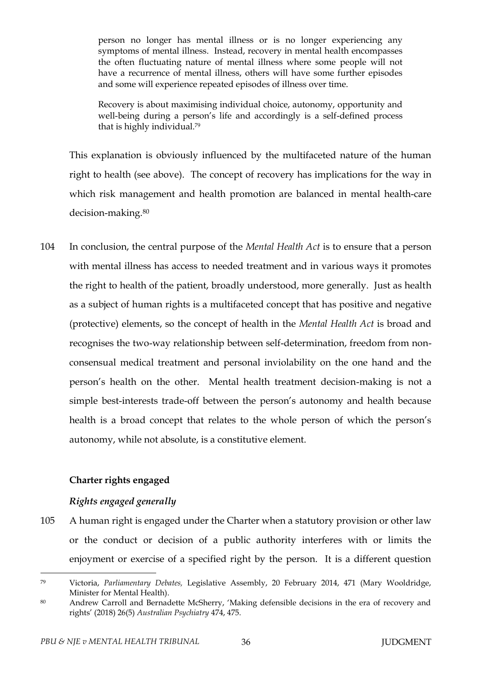person no longer has mental illness or is no longer experiencing any symptoms of mental illness. Instead, recovery in mental health encompasses the often fluctuating nature of mental illness where some people will not have a recurrence of mental illness, others will have some further episodes and some will experience repeated episodes of illness over time.

Recovery is about maximising individual choice, autonomy, opportunity and well-being during a person's life and accordingly is a self-defined process that is highly individual.<sup>79</sup>

This explanation is obviously influenced by the multifaceted nature of the human right to health (see above). The concept of recovery has implications for the way in which risk management and health promotion are balanced in mental health-care decision-making.<sup>80</sup>

104 In conclusion, the central purpose of the *Mental Health Act* is to ensure that a person with mental illness has access to needed treatment and in various ways it promotes the right to health of the patient, broadly understood, more generally. Just as health as a subject of human rights is a multifaceted concept that has positive and negative (protective) elements, so the concept of health in the *Mental Health Act* is broad and recognises the two-way relationship between self-determination, freedom from nonconsensual medical treatment and personal inviolability on the one hand and the person's health on the other. Mental health treatment decision-making is not a simple best-interests trade-off between the person's autonomy and health because health is a broad concept that relates to the whole person of which the person's autonomy, while not absolute, is a constitutive element.

### **Charter rights engaged**

#### *Rights engaged generally*

105 A human right is engaged under the Charter when a statutory provision or other law or the conduct or decision of a public authority interferes with or limits the enjoyment or exercise of a specified right by the person. It is a different question

<sup>79</sup> Victoria, *Parliamentary Debates,* Legislative Assembly, 20 February 2014, 471 (Mary Wooldridge, Minister for Mental Health).

<sup>80</sup> Andrew Carroll and Bernadette McSherry, 'Making defensible decisions in the era of recovery and rights' (2018) 26(5) *Australian Psychiatry* 474, 475.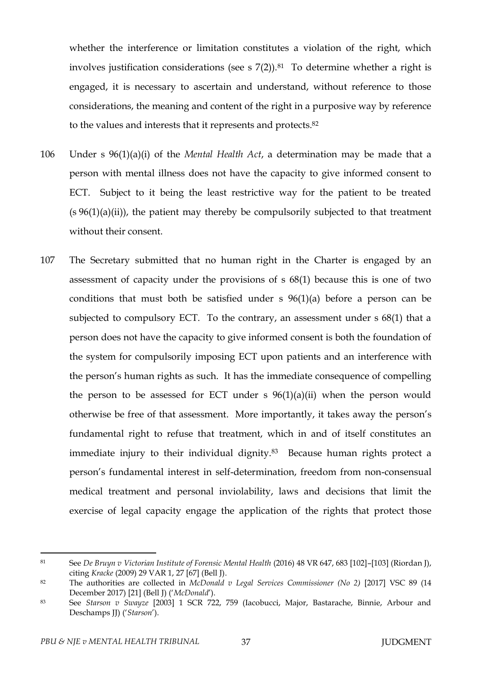whether the interference or limitation constitutes a violation of the right, which involves justification considerations (see s  $7(2)$ ).<sup>81</sup> To determine whether a right is engaged, it is necessary to ascertain and understand, without reference to those considerations, the meaning and content of the right in a purposive way by reference to the values and interests that it represents and protects.<sup>82</sup>

- 106 Under s 96(1)(a)(i) of the *Mental Health Act*, a determination may be made that a person with mental illness does not have the capacity to give informed consent to ECT. Subject to it being the least restrictive way for the patient to be treated  $(s 96(1)(a)(ii))$ , the patient may thereby be compulsorily subjected to that treatment without their consent.
- 107 The Secretary submitted that no human right in the Charter is engaged by an assessment of capacity under the provisions of s 68(1) because this is one of two conditions that must both be satisfied under s 96(1)(a) before a person can be subjected to compulsory ECT. To the contrary, an assessment under s 68(1) that a person does not have the capacity to give informed consent is both the foundation of the system for compulsorily imposing ECT upon patients and an interference with the person's human rights as such. It has the immediate consequence of compelling the person to be assessed for ECT under  $s$  96(1)(a)(ii) when the person would otherwise be free of that assessment. More importantly, it takes away the person's fundamental right to refuse that treatment, which in and of itself constitutes an immediate injury to their individual dignity.<sup>83</sup> Because human rights protect a person's fundamental interest in self-determination, freedom from non-consensual medical treatment and personal inviolability, laws and decisions that limit the exercise of legal capacity engage the application of the rights that protect those

<sup>81</sup> See *De Bruyn v Victorian Institute of Forensic Mental Health* (2016) 48 VR 647, 683 [102]–[103] (Riordan J), citing *Kracke* (2009) 29 VAR 1, 27 [67] (Bell J).

<sup>82</sup> The authorities are collected in *McDonald v Legal Services Commissioner (No 2)* [2017] VSC 89 (14 December 2017) [21] (Bell J) ('*McDonald*').

<sup>83</sup> See *Starson v Swayze* [2003] 1 SCR 722, 759 (Iacobucci, Major, Bastarache, Binnie, Arbour and Deschamps JJ) ('*Starson*').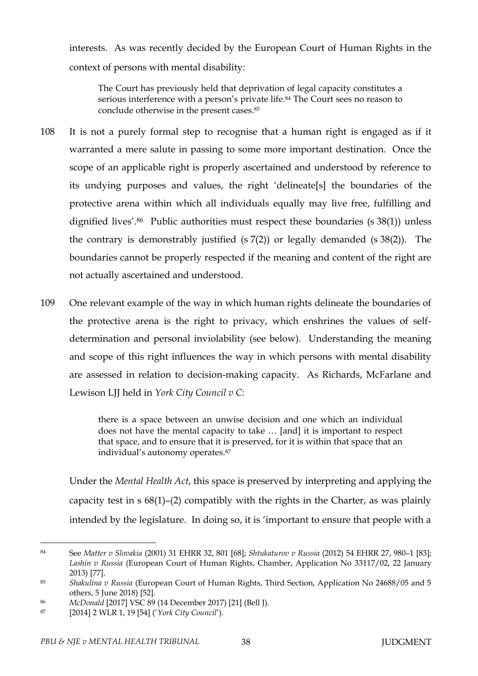interests. As was recently decided by the European Court of Human Rights in the context of persons with mental disability:

The Court has previously held that deprivation of legal capacity constitutes a serious interference with a person's private life. <sup>84</sup> The Court sees no reason to conclude otherwise in the present cases.<sup>85</sup>

- 108 It is not a purely formal step to recognise that a human right is engaged as if it warranted a mere salute in passing to some more important destination. Once the scope of an applicable right is properly ascertained and understood by reference to its undying purposes and values, the right 'delineate[s] the boundaries of the protective arena within which all individuals equally may live free, fulfilling and dignified lives'.<sup>86</sup> Public authorities must respect these boundaries (s 38(1)) unless the contrary is demonstrably justified  $(s 7(2))$  or legally demanded  $(s 38(2))$ . The boundaries cannot be properly respected if the meaning and content of the right are not actually ascertained and understood.
- 109 One relevant example of the way in which human rights delineate the boundaries of the protective arena is the right to privacy, which enshrines the values of selfdetermination and personal inviolability (see below). Understanding the meaning and scope of this right influences the way in which persons with mental disability are assessed in relation to decision-making capacity. As Richards, McFarlane and Lewison LJJ held in *York City Council v C*:

there is a space between an unwise decision and one which an individual does not have the mental capacity to take … [and] it is important to respect that space, and to ensure that it is preserved, for it is within that space that an individual's autonomy operates.<sup>87</sup>

Under the *Mental Health Act*, this space is preserved by interpreting and applying the capacity test in s 68(1)–(2) compatibly with the rights in the Charter, as was plainly intended by the legislature. In doing so, it is 'important to ensure that people with a

 $\overline{a}$ <sup>84</sup> See *Matter v Slovakia* (2001) 31 EHRR 32, 801 [68]; *Shtukaturov v Russia* (2012) 54 EHRR 27, 980–1 [83]; *Lashin v Russia* (European Court of Human Rights, Chamber, Application No 33117/02, 22 January 2013) [77].

<sup>85</sup> *Shakulina v Russia* (European Court of Human Rights, Third Section, Application No 24688/05 and 5 others, 5 June 2018) [52].

<sup>86</sup> *McDonald* [2017] VSC 89 (14 December 2017) [21] (Bell J).

<sup>87</sup> [2014] 2 WLR 1, 19 [54] ('*York City Council*').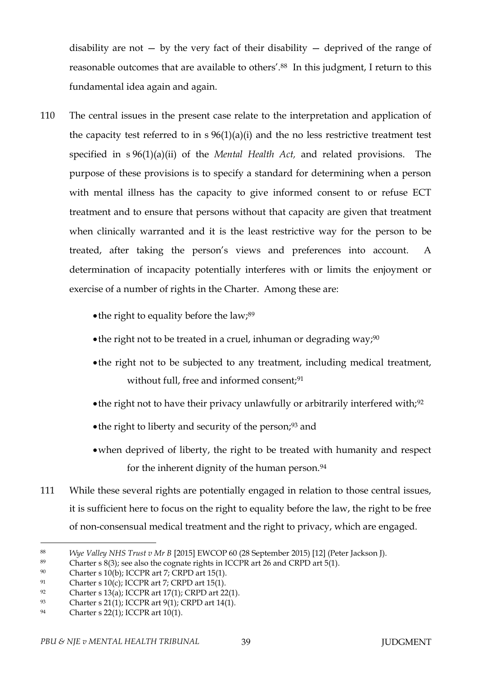disability are not  $-$  by the very fact of their disability  $-$  deprived of the range of reasonable outcomes that are available to others'.88 In this judgment, I return to this fundamental idea again and again.

- 110 The central issues in the present case relate to the interpretation and application of the capacity test referred to in  $s$  96(1)(a)(i) and the no less restrictive treatment test specified in s 96(1)(a)(ii) of the *Mental Health Act,* and related provisions. The purpose of these provisions is to specify a standard for determining when a person with mental illness has the capacity to give informed consent to or refuse ECT treatment and to ensure that persons without that capacity are given that treatment when clinically warranted and it is the least restrictive way for the person to be treated, after taking the person's views and preferences into account. A determination of incapacity potentially interferes with or limits the enjoyment or exercise of a number of rights in the Charter. Among these are:
	- $\bullet$  the right to equality before the law;<sup>89</sup>
	- the right not to be treated in a cruel, inhuman or degrading way;  $90$
	- the right not to be subjected to any treatment, including medical treatment, without full, free and informed consent;<sup>91</sup>
	- $\bullet$  the right not to have their privacy unlawfully or arbitrarily interfered with;<sup>92</sup>
	- the right to liberty and security of the person;<sup>93</sup> and
	- when deprived of liberty, the right to be treated with humanity and respect for the inherent dignity of the human person.<sup>94</sup>
- 111 While these several rights are potentially engaged in relation to those central issues, it is sufficient here to focus on the right to equality before the law, the right to be free of non-consensual medical treatment and the right to privacy, which are engaged.

<sup>88</sup> *Wye Valley NHS Trust v Mr B* [2015] EWCOP 60 (28 September 2015) [12] (Peter Jackson J).

<sup>89</sup> Charter s 8(3); see also the cognate rights in ICCPR art 26 and CRPD art 5(1).

<sup>90</sup> Charter s 10(b); ICCPR art 7; CRPD art 15(1).

<sup>&</sup>lt;sup>91</sup> Charter s 10(c); ICCPR art 7; CRPD art 15(1).

<sup>&</sup>lt;sup>92</sup> Charter s 13(a); ICCPR art 17(1); CRPD art 22(1).

<sup>93</sup> Charter s 21(1); ICCPR art 9(1); CRPD art 14(1).

<sup>94</sup> Charter s 22(1); ICCPR art 10(1).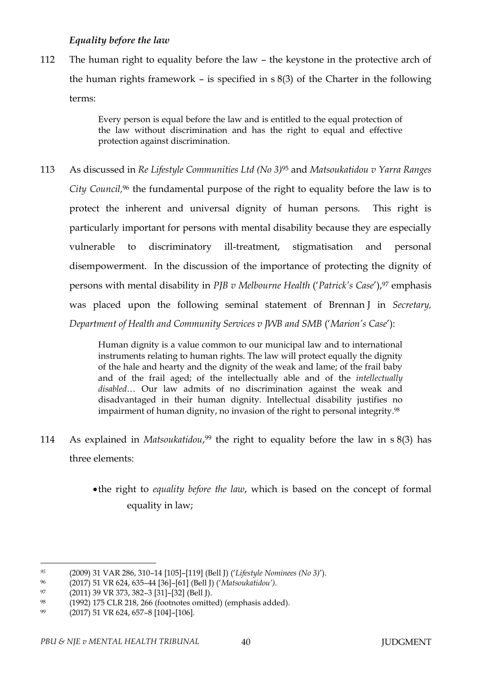# *Equality before the law*

112 The human right to equality before the law – the keystone in the protective arch of the human rights framework – is specified in s 8(3) of the Charter in the following terms:

> Every person is equal before the law and is entitled to the equal protection of the law without discrimination and has the right to equal and effective protection against discrimination.

113 As discussed in *Re Lifestyle Communities Ltd (No 3)*<sup>95</sup> and *Matsoukatidou v Yarra Ranges City Council,* <sup>96</sup> the fundamental purpose of the right to equality before the law is to protect the inherent and universal dignity of human persons. This right is particularly important for persons with mental disability because they are especially vulnerable to discriminatory ill-treatment, stigmatisation and personal disempowerment. In the discussion of the importance of protecting the dignity of persons with mental disability in *PJB v Melbourne Health* ('*Patrick's Case*'),<sup>97</sup> emphasis was placed upon the following seminal statement of Brennan J in *Secretary, Department of Health and Community Services v JWB and SMB* ('*Marion's Case*'):

> Human dignity is a value common to our municipal law and to international instruments relating to human rights. The law will protect equally the dignity of the hale and hearty and the dignity of the weak and lame; of the frail baby and of the frail aged; of the intellectually able and of the *intellectually disabled*… Our law admits of no discrimination against the weak and disadvantaged in their human dignity. Intellectual disability justifies no impairment of human dignity, no invasion of the right to personal integrity.<sup>98</sup>

- 114 As explained in *Matsoukatidou*, <sup>99</sup> the right to equality before the law in s 8(3) has three elements:
	- the right to *equality before the law*, which is based on the concept of formal equality in law;

*<sup>95</sup>* (2009) 31 VAR 286, 310–14 [105]–[119] (Bell J) ('*Lifestyle Nominees (No 3)*').

<sup>96</sup> (2017) 51 VR 624, 635–44 [36]–[61] (Bell J) ('*Matsoukatidou')*.

<sup>97</sup> (2011) 39 VR 373, 382–3 [31]–[32] (Bell J).

<sup>98</sup> (1992) 175 CLR 218, 266 (footnotes omitted) (emphasis added).

<sup>99</sup> (2017) 51 VR 624, 657–8 [104]–[106].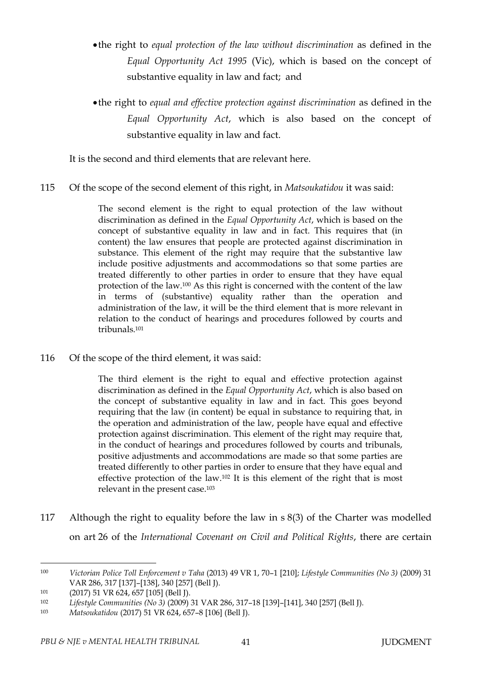- the right to *equal protection of the law without discrimination* as defined in the *Equal Opportunity Act 1995* (Vic), which is based on the concept of substantive equality in law and fact; and
- the right to *equal and effective protection against discrimination* as defined in the *Equal Opportunity Act*, which is also based on the concept of substantive equality in law and fact.

It is the second and third elements that are relevant here.

115 Of the scope of the second element of this right, in *Matsoukatidou* it was said:

The second element is the right to equal protection of the law without discrimination as defined in the *Equal Opportunity Act*, which is based on the concept of substantive equality in law and in fact. This requires that (in content) the law ensures that people are protected against discrimination in substance. This element of the right may require that the substantive law include positive adjustments and accommodations so that some parties are treated differently to other parties in order to ensure that they have equal protection of the law.<sup>100</sup> As this right is concerned with the content of the law in terms of (substantive) equality rather than the operation and administration of the law, it will be the third element that is more relevant in relation to the conduct of hearings and procedures followed by courts and tribunals.<sup>101</sup>

116 Of the scope of the third element, it was said:

The third element is the right to equal and effective protection against discrimination as defined in the *Equal Opportunity Act*, which is also based on the concept of substantive equality in law and in fact. This goes beyond requiring that the law (in content) be equal in substance to requiring that, in the operation and administration of the law, people have equal and effective protection against discrimination. This element of the right may require that, in the conduct of hearings and procedures followed by courts and tribunals, positive adjustments and accommodations are made so that some parties are treated differently to other parties in order to ensure that they have equal and effective protection of the law.<sup>102</sup> It is this element of the right that is most relevant in the present case.<sup>103</sup>

117 Although the right to equality before the law in s 8(3) of the Charter was modelled on art 26 of the *International Covenant on Civil and Political Rights*, there are certain

<sup>100</sup> *Victorian Police Toll Enforcement v Taha* (2013) 49 VR 1, 70–1 [210]; *Lifestyle Communities (No 3)* (2009) 31 VAR 286, 317 [137]–[138], 340 [257] (Bell J).

<sup>101</sup> (2017) 51 VR 624, 657 [105] (Bell J).

<sup>102</sup> *Lifestyle Communities (No 3)* (2009) 31 VAR 286, 317–18 [139]–[141], 340 [257] (Bell J).

<sup>103</sup> *Matsoukatidou* (2017) 51 VR 624, 657–8 [106] (Bell J).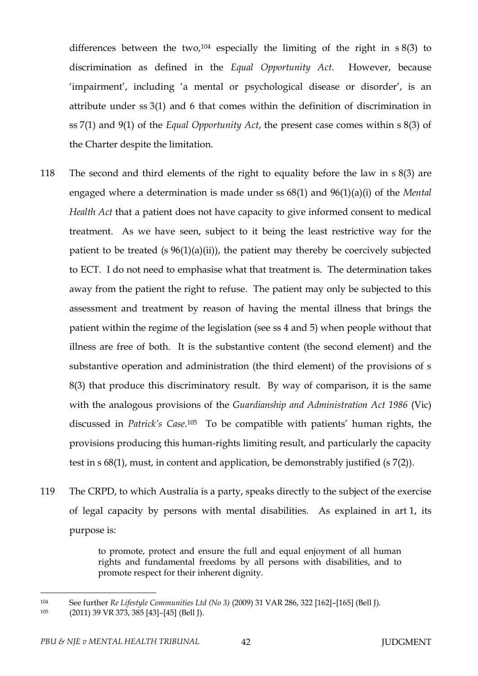differences between the two,<sup>104</sup> especially the limiting of the right in  $s 8(3)$  to discrimination as defined in the *Equal Opportunity Act*. However, because 'impairment', including 'a mental or psychological disease or disorder', is an attribute under ss 3(1) and 6 that comes within the definition of discrimination in ss 7(1) and 9(1) of the *Equal Opportunity Act*, the present case comes within s 8(3) of the Charter despite the limitation.

- 118 The second and third elements of the right to equality before the law in s 8(3) are engaged where a determination is made under ss 68(1) and 96(1)(a)(i) of the *Mental Health Act* that a patient does not have capacity to give informed consent to medical treatment. As we have seen, subject to it being the least restrictive way for the patient to be treated (s 96(1)(a)(ii)), the patient may thereby be coercively subjected to ECT. I do not need to emphasise what that treatment is. The determination takes away from the patient the right to refuse. The patient may only be subjected to this assessment and treatment by reason of having the mental illness that brings the patient within the regime of the legislation (see ss 4 and 5) when people without that illness are free of both. It is the substantive content (the second element) and the substantive operation and administration (the third element) of the provisions of s 8(3) that produce this discriminatory result. By way of comparison, it is the same with the analogous provisions of the *Guardianship and Administration Act 1986* (Vic) discussed in *Patrick's Case*. <sup>105</sup> To be compatible with patients' human rights, the provisions producing this human-rights limiting result, and particularly the capacity test in s 68(1), must, in content and application, be demonstrably justified (s 7(2)).
- 119 The CRPD, to which Australia is a party, speaks directly to the subject of the exercise of legal capacity by persons with mental disabilities. As explained in art 1, its purpose is:

to promote, protect and ensure the full and equal enjoyment of all human rights and fundamental freedoms by all persons with disabilities, and to promote respect for their inherent dignity.

<sup>104</sup> See further *Re Lifestyle Communities Ltd (No 3)* (2009) 31 VAR 286, 322 [162]–[165] (Bell J).

<sup>105</sup> (2011) 39 VR 373, 385 [43]–[45] (Bell J).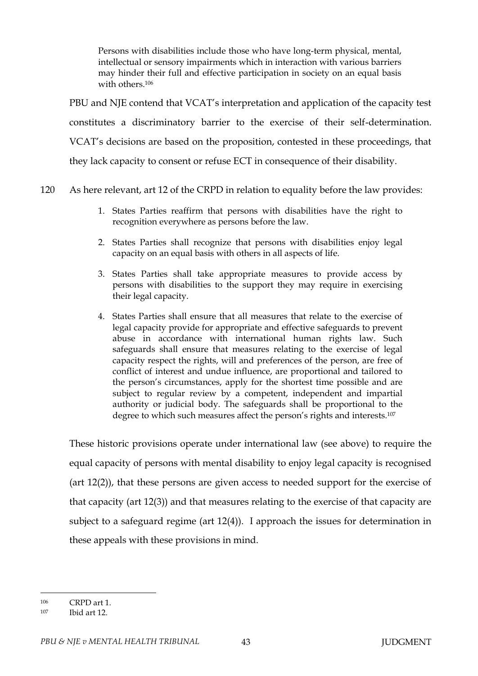Persons with disabilities include those who have long-term physical, mental, intellectual or sensory impairments which in interaction with various barriers may hinder their full and effective participation in society on an equal basis with others.<sup>106</sup>

PBU and NJE contend that VCAT's interpretation and application of the capacity test constitutes a discriminatory barrier to the exercise of their self-determination. VCAT's decisions are based on the proposition, contested in these proceedings, that they lack capacity to consent or refuse ECT in consequence of their disability.

120 As here relevant, art 12 of the CRPD in relation to equality before the law provides:

- 1. States Parties reaffirm that persons with disabilities have the right to recognition everywhere as persons before the law.
- 2. States Parties shall recognize that persons with disabilities enjoy legal capacity on an equal basis with others in all aspects of life.
- 3. States Parties shall take appropriate measures to provide access by persons with disabilities to the support they may require in exercising their legal capacity.
- 4. States Parties shall ensure that all measures that relate to the exercise of legal capacity provide for appropriate and effective safeguards to prevent abuse in accordance with international human rights law. Such safeguards shall ensure that measures relating to the exercise of legal capacity respect the rights, will and preferences of the person, are free of conflict of interest and undue influence, are proportional and tailored to the person's circumstances, apply for the shortest time possible and are subject to regular review by a competent, independent and impartial authority or judicial body. The safeguards shall be proportional to the degree to which such measures affect the person's rights and interests.<sup>107</sup>

These historic provisions operate under international law (see above) to require the equal capacity of persons with mental disability to enjoy legal capacity is recognised (art 12(2)), that these persons are given access to needed support for the exercise of that capacity (art 12(3)) and that measures relating to the exercise of that capacity are subject to a safeguard regime (art 12(4)). I approach the issues for determination in these appeals with these provisions in mind.

<sup>106</sup> CRPD art 1.

<sup>107</sup> Ibid art 12.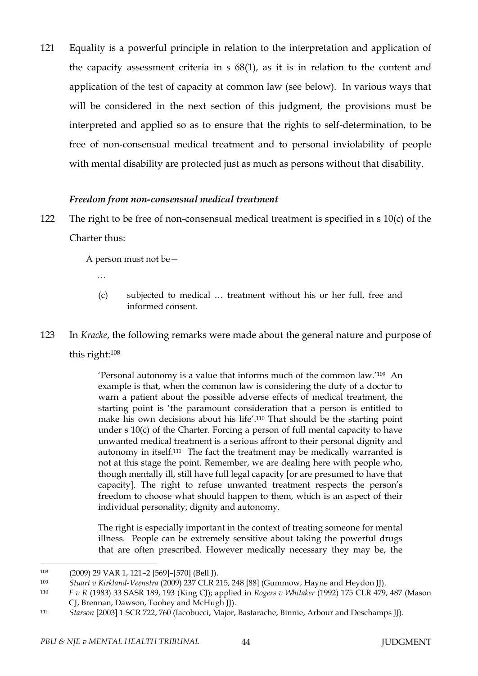121 Equality is a powerful principle in relation to the interpretation and application of the capacity assessment criteria in s 68(1), as it is in relation to the content and application of the test of capacity at common law (see below). In various ways that will be considered in the next section of this judgment, the provisions must be interpreted and applied so as to ensure that the rights to self-determination, to be free of non-consensual medical treatment and to personal inviolability of people with mental disability are protected just as much as persons without that disability.

#### *Freedom from non-consensual medical treatment*

122 The right to be free of non-consensual medical treatment is specified in s 10(c) of the Charter thus:

A person must not be—

- …
- (c) subjected to medical … treatment without his or her full, free and informed consent.
- 123 In *Kracke*, the following remarks were made about the general nature and purpose of this right:<sup>108</sup>

'Personal autonomy is a value that informs much of the common law.'109 An example is that, when the common law is considering the duty of a doctor to warn a patient about the possible adverse effects of medical treatment, the starting point is 'the paramount consideration that a person is entitled to make his own decisions about his life'. <sup>110</sup> That should be the starting point under s  $10(c)$  of the Charter. Forcing a person of full mental capacity to have unwanted medical treatment is a serious affront to their personal dignity and autonomy in itself.111 The fact the treatment may be medically warranted is not at this stage the point. Remember, we are dealing here with people who, though mentally ill, still have full legal capacity [or are presumed to have that capacity]. The right to refuse unwanted treatment respects the person's freedom to choose what should happen to them, which is an aspect of their individual personality, dignity and autonomy.

The right is especially important in the context of treating someone for mental illness. People can be extremely sensitive about taking the powerful drugs that are often prescribed. However medically necessary they may be, the

<sup>108</sup> (2009) 29 VAR 1, 121–2 [569]–[570] (Bell J).

<sup>109</sup> *Stuart v Kirkland-Veenstra* (2009) 237 CLR 215, 248 [88] (Gummow, Hayne and Heydon JJ).

<sup>110</sup> *F v R* (1983) 33 SASR 189, 193 (King CJ); applied in *Rogers v Whitaker* (1992) 175 CLR 479, 487 (Mason CJ, Brennan, Dawson, Toohey and McHugh JJ).

<sup>111</sup> *Starson* [2003] 1 SCR 722, 760 (Iacobucci, Major, Bastarache, Binnie, Arbour and Deschamps JJ).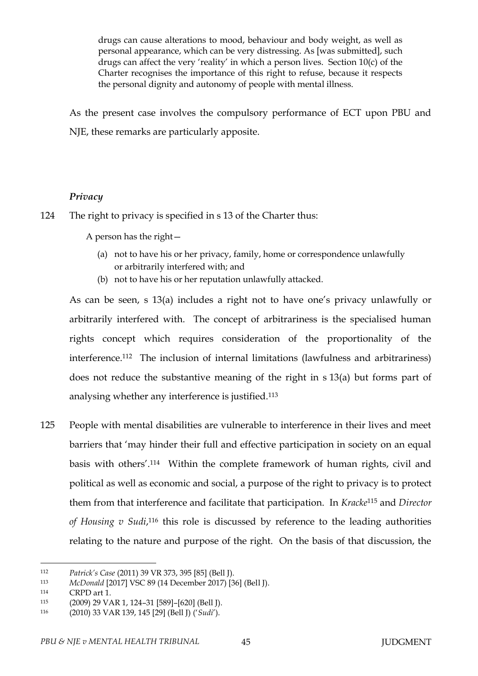drugs can cause alterations to mood, behaviour and body weight, as well as personal appearance, which can be very distressing. As [was submitted], such drugs can affect the very 'reality' in which a person lives. Section 10(c) of the Charter recognises the importance of this right to refuse, because it respects the personal dignity and autonomy of people with mental illness.

As the present case involves the compulsory performance of ECT upon PBU and NJE, these remarks are particularly apposite.

### *Privacy*

124 The right to privacy is specified in s 13 of the Charter thus:

A person has the right—

- (a) not to have his or her privacy, family, home or correspondence unlawfully or arbitrarily interfered with; and
- (b) not to have his or her reputation unlawfully attacked.

As can be seen, s 13(a) includes a right not to have one's privacy unlawfully or arbitrarily interfered with. The concept of arbitrariness is the specialised human rights concept which requires consideration of the proportionality of the interference.112 The inclusion of internal limitations (lawfulness and arbitrariness) does not reduce the substantive meaning of the right in s 13(a) but forms part of analysing whether any interference is justified.<sup>113</sup>

125 People with mental disabilities are vulnerable to interference in their lives and meet barriers that 'may hinder their full and effective participation in society on an equal basis with others'.114 Within the complete framework of human rights, civil and political as well as economic and social, a purpose of the right to privacy is to protect them from that interference and facilitate that participation. In *Kracke*<sup>115</sup> and *Director*  of Housing v Sudi,<sup>116</sup> this role is discussed by reference to the leading authorities relating to the nature and purpose of the right. On the basis of that discussion, the

<sup>112</sup> *Patrick's Case* (2011) 39 VR 373, 395 [85] (Bell J).

<sup>113</sup> *McDonald* [2017] VSC 89 (14 December 2017) [36] (Bell J).

<sup>114</sup> CRPD art 1.

<sup>115</sup> (2009) 29 VAR 1, 124–31 [589]–[620] (Bell J).

<sup>116</sup> (2010) 33 VAR 139, 145 [29] (Bell J) ('*Sudi*').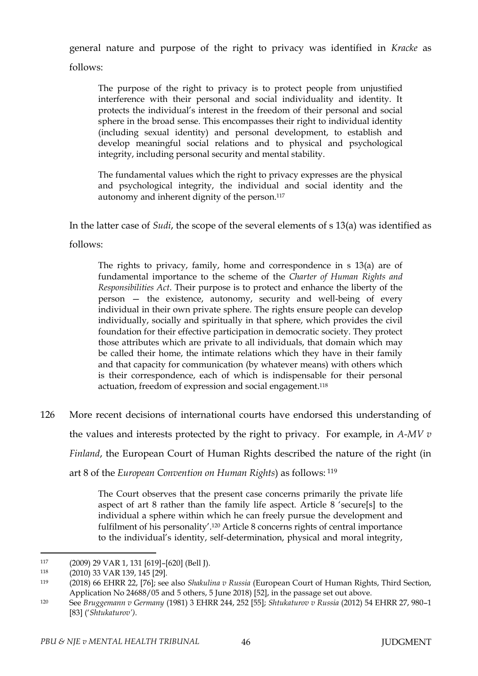general nature and purpose of the right to privacy was identified in *Kracke* as

follows:

The purpose of the right to privacy is to protect people from unjustified interference with their personal and social individuality and identity. It protects the individual's interest in the freedom of their personal and social sphere in the broad sense. This encompasses their right to individual identity (including sexual identity) and personal development, to establish and develop meaningful social relations and to physical and psychological integrity, including personal security and mental stability.

The fundamental values which the right to privacy expresses are the physical and psychological integrity, the individual and social identity and the autonomy and inherent dignity of the person.<sup>117</sup>

In the latter case of *Sudi*, the scope of the several elements of s 13(a) was identified as

follows:

The rights to privacy, family, home and correspondence in s 13(a) are of fundamental importance to the scheme of the *Charter of Human Rights and Responsibilities Act*. Their purpose is to protect and enhance the liberty of the person — the existence, autonomy, security and well-being of every individual in their own private sphere. The rights ensure people can develop individually, socially and spiritually in that sphere, which provides the civil foundation for their effective participation in democratic society. They protect those attributes which are private to all individuals, that domain which may be called their home, the intimate relations which they have in their family and that capacity for communication (by whatever means) with others which is their correspondence, each of which is indispensable for their personal actuation, freedom of expression and social engagement. 118

126 More recent decisions of international courts have endorsed this understanding of the values and interests protected by the right to privacy. For example, in *A-MV v Finland*, the European Court of Human Rights described the nature of the right (in art 8 of the *European Convention on Human Rights*) as follows: <sup>119</sup>

> The Court observes that the present case concerns primarily the private life aspect of art 8 rather than the family life aspect. Article 8 'secure[s] to the individual a sphere within which he can freely pursue the development and fulfilment of his personality'.<sup>120</sup> Article 8 concerns rights of central importance to the individual's identity, self-determination, physical and moral integrity,

<sup>117</sup> (2009) 29 VAR 1, 131 [619]–[620] (Bell J).

<sup>118</sup> (2010) 33 VAR 139, 145 [29].

<sup>119</sup> (2018) 66 EHRR 22, [76]; see also *Shakulina v Russia* (European Court of Human Rights, Third Section, Application No 24688/05 and 5 others, 5 June 2018) [52], in the passage set out above.

<sup>120</sup> See *Bruggemann v Germany* (1981) 3 EHRR 244, 252 [55]; *Shtukaturov v Russia* (2012) 54 EHRR 27, 980–1 [83] ('*Shtukaturov')*.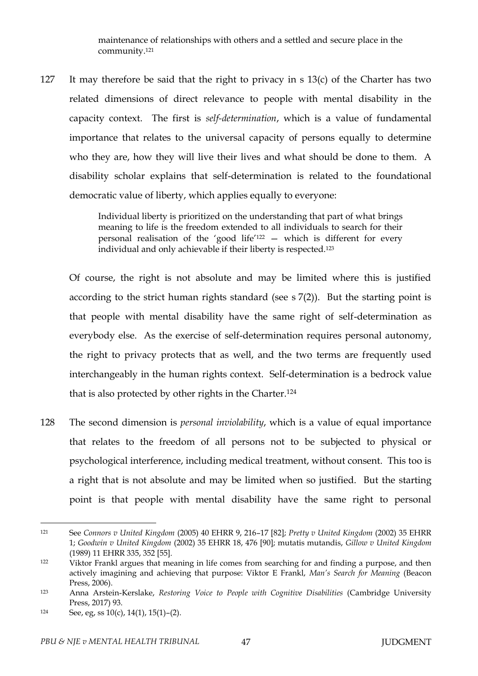maintenance of relationships with others and a settled and secure place in the community.<sup>121</sup>

127 It may therefore be said that the right to privacy in s 13(c) of the Charter has two related dimensions of direct relevance to people with mental disability in the capacity context. The first is *self-determination*, which is a value of fundamental importance that relates to the universal capacity of persons equally to determine who they are, how they will live their lives and what should be done to them. A disability scholar explains that self-determination is related to the foundational democratic value of liberty, which applies equally to everyone:

> Individual liberty is prioritized on the understanding that part of what brings meaning to life is the freedom extended to all individuals to search for their personal realisation of the 'good life'<sup>122</sup> — which is different for every individual and only achievable if their liberty is respected.<sup>123</sup>

Of course, the right is not absolute and may be limited where this is justified according to the strict human rights standard (see s 7(2)). But the starting point is that people with mental disability have the same right of self-determination as everybody else. As the exercise of self-determination requires personal autonomy, the right to privacy protects that as well, and the two terms are frequently used interchangeably in the human rights context. Self-determination is a bedrock value that is also protected by other rights in the Charter.<sup>124</sup>

128 The second dimension is *personal inviolability*, which is a value of equal importance that relates to the freedom of all persons not to be subjected to physical or psychological interference, including medical treatment, without consent. This too is a right that is not absolute and may be limited when so justified. But the starting point is that people with mental disability have the same right to personal

<sup>121</sup> See *Connors v United Kingdom* (2005) 40 EHRR 9, 216–17 [82]; *Pretty v United Kingdom* (2002) 35 EHRR 1; *Goodwin v United Kingdom* (2002) 35 EHRR 18, 476 [90]; mutatis mutandis, *Gillow v United Kingdom* (1989) 11 EHRR 335, 352 [55].

<sup>122</sup> Viktor Frankl argues that meaning in life comes from searching for and finding a purpose, and then actively imagining and achieving that purpose: Viktor E Frankl, *Man's Search for Meaning* (Beacon Press, 2006).

<sup>123</sup> Anna Arstein-Kerslake, *Restoring Voice to People with Cognitive Disabilities* (Cambridge University Press, 2017) 93.

<sup>124</sup> See, eg, ss  $10(c)$ ,  $14(1)$ ,  $15(1)-(2)$ .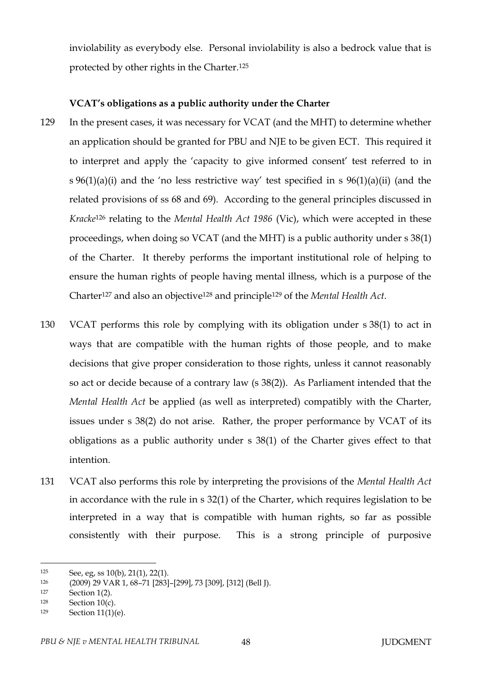inviolability as everybody else. Personal inviolability is also a bedrock value that is protected by other rights in the Charter.<sup>125</sup>

#### **VCAT's obligations as a public authority under the Charter**

- 129 In the present cases, it was necessary for VCAT (and the MHT) to determine whether an application should be granted for PBU and NJE to be given ECT. This required it to interpret and apply the 'capacity to give informed consent' test referred to in s  $96(1)(a)(i)$  and the 'no less restrictive way' test specified in s  $96(1)(a)(ii)$  (and the related provisions of ss 68 and 69). According to the general principles discussed in *Kracke*<sup>126</sup> relating to the *Mental Health Act 1986* (Vic), which were accepted in these proceedings, when doing so VCAT (and the MHT) is a public authority under s 38(1) of the Charter. It thereby performs the important institutional role of helping to ensure the human rights of people having mental illness, which is a purpose of the Charter<sup>127</sup> and also an objective<sup>128</sup> and principle<sup>129</sup> of the *Mental Health Act*.
- 130 VCAT performs this role by complying with its obligation under s 38(1) to act in ways that are compatible with the human rights of those people, and to make decisions that give proper consideration to those rights, unless it cannot reasonably so act or decide because of a contrary law (s 38(2)). As Parliament intended that the *Mental Health Act* be applied (as well as interpreted) compatibly with the Charter, issues under s 38(2) do not arise. Rather, the proper performance by VCAT of its obligations as a public authority under s 38(1) of the Charter gives effect to that intention.
- 131 VCAT also performs this role by interpreting the provisions of the *Mental Health Act* in accordance with the rule in s 32(1) of the Charter, which requires legislation to be interpreted in a way that is compatible with human rights, so far as possible consistently with their purpose. This is a strong principle of purposive

<sup>125</sup> See, eg, ss  $10(b)$ ,  $21(1)$ ,  $22(1)$ .

<sup>126</sup> (2009) 29 VAR 1, 68–71 [283]–[299], 73 [309], [312] (Bell J).

<sup>127</sup> Section 1(2).

 $128$  Section 10(c).

<sup>129</sup> Section 11(1)(e).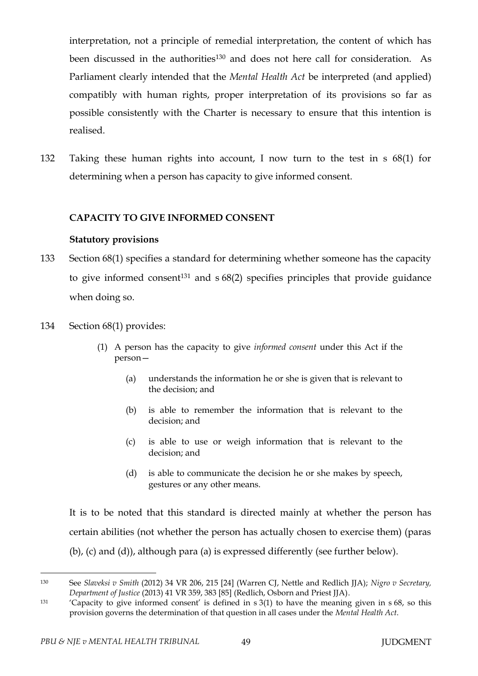interpretation, not a principle of remedial interpretation, the content of which has been discussed in the authorities<sup>130</sup> and does not here call for consideration. As Parliament clearly intended that the *Mental Health Act* be interpreted (and applied) compatibly with human rights, proper interpretation of its provisions so far as possible consistently with the Charter is necessary to ensure that this intention is realised.

132 Taking these human rights into account, I now turn to the test in s 68(1) for determining when a person has capacity to give informed consent.

# **CAPACITY TO GIVE INFORMED CONSENT**

#### **Statutory provisions**

- 133 Section 68(1) specifies a standard for determining whether someone has the capacity to give informed consent<sup>131</sup> and  $s$  68(2) specifies principles that provide guidance when doing so.
- 134 Section 68(1) provides:
	- (1) A person has the capacity to give *informed consent* under this Act if the person—
		- (a) understands the information he or she is given that is relevant to the decision; and
		- (b) is able to remember the information that is relevant to the decision; and
		- (c) is able to use or weigh information that is relevant to the decision; and
		- (d) is able to communicate the decision he or she makes by speech, gestures or any other means.

It is to be noted that this standard is directed mainly at whether the person has certain abilities (not whether the person has actually chosen to exercise them) (paras (b), (c) and (d)), although para (a) is expressed differently (see further below).

<sup>130</sup> See *Slaveksi v Smith* (2012) 34 VR 206, 215 [24] (Warren CJ, Nettle and Redlich JJA); *Nigro v Secretary, Department of Justice* (2013) 41 VR 359, 383 [85] (Redlich, Osborn and Priest JJA).

<sup>131</sup> 'Capacity to give informed consent' is defined in s 3(1) to have the meaning given in s 68, so this provision governs the determination of that question in all cases under the *Mental Health Act*.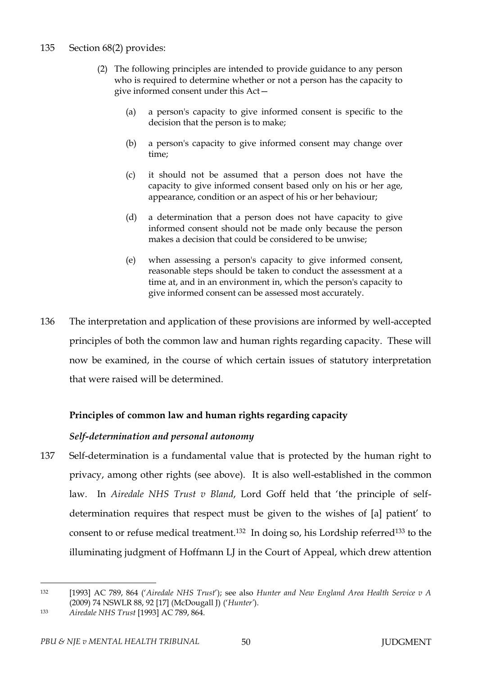### 135 Section 68(2) provides:

- (2) The following principles are intended to provide guidance to any person who is required to determine whether or not a person has the capacity to give informed consent under this Act—
	- (a) a person's capacity to give informed consent is specific to the decision that the person is to make;
	- (b) a person's capacity to give informed consent may change over time;
	- (c) it should not be assumed that a person does not have the capacity to give informed consent based only on his or her age, appearance, condition or an aspect of his or her behaviour;
	- (d) a determination that a person does not have capacity to give informed consent should not be made only because the person makes a decision that could be considered to be unwise;
	- (e) when assessing a person's capacity to give informed consent, reasonable steps should be taken to conduct the assessment at a time at, and in an environment in, which the person's capacity to give informed consent can be assessed most accurately.
- 136 The interpretation and application of these provisions are informed by well-accepted principles of both the common law and human rights regarding capacity. These will now be examined, in the course of which certain issues of statutory interpretation that were raised will be determined.

### **Principles of common law and human rights regarding capacity**

#### *Self-determination and personal autonomy*

137 Self-determination is a fundamental value that is protected by the human right to privacy, among other rights (see above). It is also well-established in the common law. In *Airedale NHS Trust v Bland*, Lord Goff held that 'the principle of selfdetermination requires that respect must be given to the wishes of [a] patient' to consent to or refuse medical treatment.132 In doing so, his Lordship referred<sup>133</sup> to the illuminating judgment of Hoffmann LJ in the Court of Appeal, which drew attention

<sup>132</sup> [1993] AC 789, 864 ('*Airedale NHS Trust*'); see also *Hunter and New England Area Health Service v A* (2009) 74 NSWLR 88, 92 [17] (McDougall J) ('*Hunter'*).

<sup>133</sup> *Airedale NHS Trust* [1993] AC 789, 864.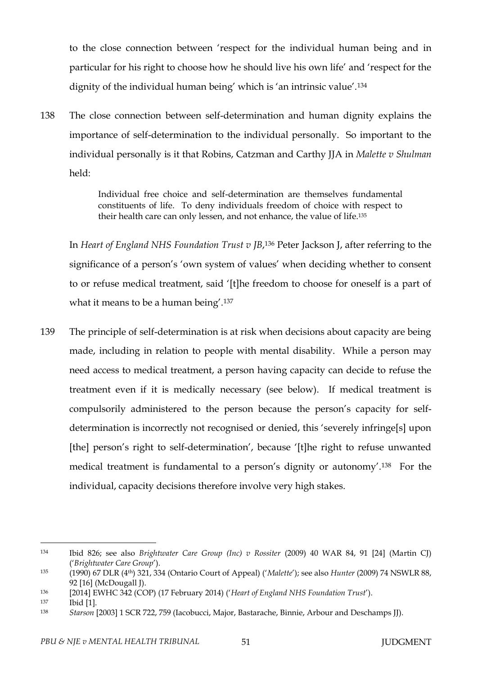to the close connection between 'respect for the individual human being and in particular for his right to choose how he should live his own life' and 'respect for the dignity of the individual human being' which is 'an intrinsic value'.<sup>134</sup>

138 The close connection between self-determination and human dignity explains the importance of self-determination to the individual personally. So important to the individual personally is it that Robins, Catzman and Carthy JJA in *Malette v Shulman* held:

> Individual free choice and self-determination are themselves fundamental constituents of life. To deny individuals freedom of choice with respect to their health care can only lessen, and not enhance, the value of life.<sup>135</sup>

In *Heart of England NHS Foundation Trust v JB*, <sup>136</sup> Peter Jackson J, after referring to the significance of a person's 'own system of values' when deciding whether to consent to or refuse medical treatment, said '[t]he freedom to choose for oneself is a part of what it means to be a human being'.<sup>137</sup>

139 The principle of self-determination is at risk when decisions about capacity are being made, including in relation to people with mental disability. While a person may need access to medical treatment, a person having capacity can decide to refuse the treatment even if it is medically necessary (see below). If medical treatment is compulsorily administered to the person because the person's capacity for selfdetermination is incorrectly not recognised or denied, this 'severely infringe[s] upon [the] person's right to self-determination', because '[t]he right to refuse unwanted medical treatment is fundamental to a person's dignity or autonomy'.138 For the individual, capacity decisions therefore involve very high stakes.

<sup>134</sup> Ibid 826; see also *Brightwater Care Group (Inc) v Rossiter* (2009) 40 WAR 84, 91 [24] (Martin CJ) ('*Brightwater Care Group*').

<sup>135</sup> (1990) 67 DLR (4th) 321, 334 (Ontario Court of Appeal) ('*Malette*'); see also *Hunter* (2009) 74 NSWLR 88, 92 [16] (McDougall J).

<sup>136</sup> [2014] EWHC 342 (COP) (17 February 2014) ('*Heart of England NHS Foundation Trust*').

<sup>137</sup> Ibid [1].

<sup>138</sup> *Starson* [2003] 1 SCR 722, 759 (Iacobucci, Major, Bastarache, Binnie, Arbour and Deschamps JJ).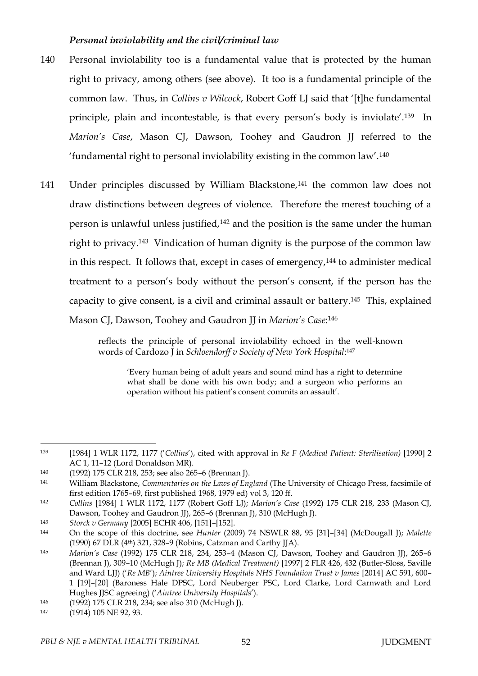### *Personal inviolability and the civil/criminal law*

- 140 Personal inviolability too is a fundamental value that is protected by the human right to privacy, among others (see above). It too is a fundamental principle of the common law. Thus, in *Collins v Wilcock*, Robert Goff LJ said that '[t]he fundamental principle, plain and incontestable, is that every person's body is inviolate'.139 In *Marion's Case*, Mason CJ, Dawson, Toohey and Gaudron JJ referred to the 'fundamental right to personal inviolability existing in the common law'.<sup>140</sup>
- 141 Under principles discussed by William Blackstone,<sup>141</sup> the common law does not draw distinctions between degrees of violence. Therefore the merest touching of a person is unlawful unless justified,<sup>142</sup> and the position is the same under the human right to privacy.143 Vindication of human dignity is the purpose of the common law in this respect. It follows that, except in cases of emergency, $144$  to administer medical treatment to a person's body without the person's consent, if the person has the capacity to give consent, is a civil and criminal assault or battery.145 This, explained Mason CJ, Dawson, Toohey and Gaudron JJ in *Marion's Case*: 146

reflects the principle of personal inviolability echoed in the well-known words of Cardozo J in *Schloendorff v Society of New York Hospital*: 147

'Every human being of adult years and sound mind has a right to determine what shall be done with his own body; and a surgeon who performs an operation without his patient's consent commits an assault'.

<sup>143</sup> *Storck v Germany* [2005] ECHR 406, [151]–[152].

<sup>139</sup> [1984] 1 WLR 1172, 1177 ('*Collins*'), cited with approval in *Re F (Medical Patient: Sterilisation)* [1990] 2 AC 1, 11–12 (Lord Donaldson MR).

<sup>140</sup> (1992) 175 CLR 218, 253; see also 265–6 (Brennan J).

<sup>141</sup> William Blackstone, *Commentaries on the Laws of England* (The University of Chicago Press, facsimile of first edition 1765–69, first published 1968, 1979 ed) vol 3, 120 ff.

<sup>142</sup> *Collins* [1984] 1 WLR 1172, 1177 (Robert Goff LJ); *Marion's Case* (1992) 175 CLR 218, 233 (Mason CJ, Dawson, Toohey and Gaudron JJ), 265-6 (Brennan J), 310 (McHugh J).

<sup>144</sup> On the scope of this doctrine, see *Hunter* (2009) 74 NSWLR 88, 95 [31]–[34] (McDougall J); *Malette* (1990) 67 DLR (4th) 321, 328–9 (Robins, Catzman and Carthy JJA).

<sup>145</sup> *Marion's Case* (1992) 175 CLR 218, 234, 253–4 (Mason CJ, Dawson, Toohey and Gaudron JJ), 265–6 (Brennan J), 309–10 (McHugh J); *Re MB (Medical Treatment)* [1997] 2 FLR 426, 432 (Butler-Sloss, Saville and Ward LJJ) ('*Re MB*'); *Aintree University Hospitals NHS Foundation Trust v James* [2014] AC 591, 600– 1 [19]–[20] (Baroness Hale DPSC, Lord Neuberger PSC, Lord Clarke, Lord Carnwath and Lord Hughes JJSC agreeing) ('*Aintree University Hospitals*').

<sup>146</sup> (1992) 175 CLR 218, 234; see also 310 (McHugh J).

<sup>147 (1914) 105</sup> NE 92, 93.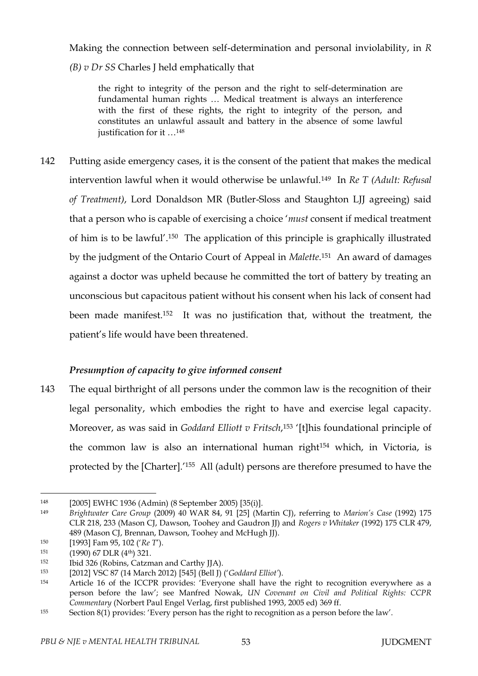Making the connection between self-determination and personal inviolability, in *R*

*(B) v Dr SS* Charles J held emphatically that

the right to integrity of the person and the right to self-determination are fundamental human rights … Medical treatment is always an interference with the first of these rights, the right to integrity of the person, and constitutes an unlawful assault and battery in the absence of some lawful justification for it …<sup>148</sup>

142 Putting aside emergency cases, it is the consent of the patient that makes the medical intervention lawful when it would otherwise be unlawful.149 In *Re T (Adult: Refusal of Treatment)*, Lord Donaldson MR (Butler-Sloss and Staughton LJJ agreeing) said that a person who is capable of exercising a choice '*must* consent if medical treatment of him is to be lawful'.150 The application of this principle is graphically illustrated by the judgment of the Ontario Court of Appeal in *Malette*. <sup>151</sup> An award of damages against a doctor was upheld because he committed the tort of battery by treating an unconscious but capacitous patient without his consent when his lack of consent had been made manifest.152 It was no justification that, without the treatment, the patient's life would have been threatened.

# *Presumption of capacity to give informed consent*

143 The equal birthright of all persons under the common law is the recognition of their legal personality, which embodies the right to have and exercise legal capacity. Moreover, as was said in *Goddard Elliott v Fritsch*, <sup>153</sup> '[t]his foundational principle of the common law is also an international human right<sup>154</sup> which, in Victoria, is protected by the [Charter].' <sup>155</sup> All (adult) persons are therefore presumed to have the

 $\overline{a}$ <sup>148</sup> [2005] EWHC 1936 (Admin) (8 September 2005) [35(i)].

<sup>149</sup> *Brightwater Care Group* (2009) 40 WAR 84, 91 [25] (Martin CJ), referring to *Marion's Case* (1992) 175 CLR 218, 233 (Mason CJ, Dawson, Toohey and Gaudron JJ) and *Rogers v Whitaker* (1992) 175 CLR 479, 489 (Mason CJ, Brennan, Dawson, Toohey and McHugh JJ).

<sup>150</sup> [1993] Fam 95, 102 ('*Re T*').

<sup>151 (1990) 67</sup> DLR (4<sup>th</sup>) 321.

<sup>152</sup> Ibid 326 (Robins, Catzman and Carthy JJA).

<sup>153</sup> [2012] VSC 87 (14 March 2012) [545] (Bell J) ('*Goddard Elliot'*).

<sup>154</sup> Article 16 of the ICCPR provides: 'Everyone shall have the right to recognition everywhere as a person before the law'; see Manfred Nowak, *UN Covenant on Civil and Political Rights: CCPR Commentary* (Norbert Paul Engel Verlag, first published 1993, 2005 ed) 369 ff.

<sup>155</sup> Section 8(1) provides: 'Every person has the right to recognition as a person before the law'.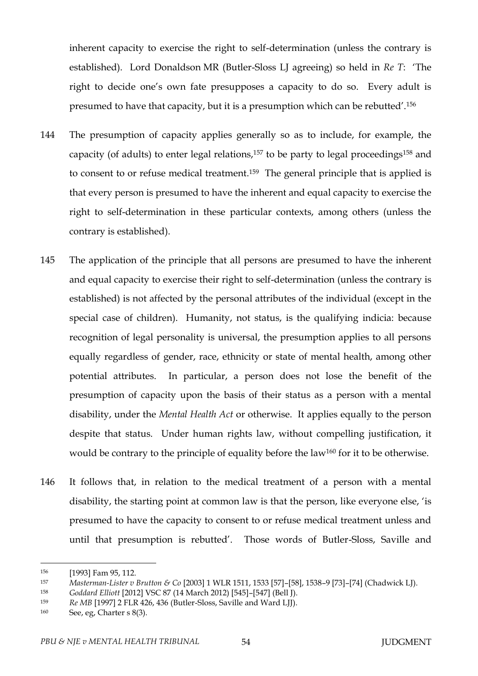inherent capacity to exercise the right to self-determination (unless the contrary is established). Lord Donaldson MR (Butler-Sloss LJ agreeing) so held in *Re T*: 'The right to decide one's own fate presupposes a capacity to do so. Every adult is presumed to have that capacity, but it is a presumption which can be rebutted'.<sup>156</sup>

- 144 The presumption of capacity applies generally so as to include, for example, the capacity (of adults) to enter legal relations,<sup>157</sup> to be party to legal proceedings<sup>158</sup> and to consent to or refuse medical treatment.159 The general principle that is applied is that every person is presumed to have the inherent and equal capacity to exercise the right to self-determination in these particular contexts, among others (unless the contrary is established).
- 145 The application of the principle that all persons are presumed to have the inherent and equal capacity to exercise their right to self-determination (unless the contrary is established) is not affected by the personal attributes of the individual (except in the special case of children). Humanity, not status, is the qualifying indicia: because recognition of legal personality is universal, the presumption applies to all persons equally regardless of gender, race, ethnicity or state of mental health, among other potential attributes. In particular, a person does not lose the benefit of the presumption of capacity upon the basis of their status as a person with a mental disability, under the *Mental Health Act* or otherwise. It applies equally to the person despite that status. Under human rights law, without compelling justification, it would be contrary to the principle of equality before the law<sup>160</sup> for it to be otherwise.
- 146 It follows that, in relation to the medical treatment of a person with a mental disability, the starting point at common law is that the person, like everyone else, 'is presumed to have the capacity to consent to or refuse medical treatment unless and until that presumption is rebutted'. Those words of Butler-Sloss, Saville and

<sup>156</sup> [1993] Fam 95, 112.

<sup>157</sup> *Masterman-Lister v Brutton & Co* [2003] 1 WLR 1511, 1533 [57]–[58], 1538–9 [73]–[74] (Chadwick LJ).

<sup>158</sup> *Goddard Elliott* [2012] VSC 87 (14 March 2012) [545]–[547] (Bell J).

<sup>159</sup> *Re MB* [1997] 2 FLR 426, 436 (Butler-Sloss, Saville and Ward LJJ).

<sup>160</sup> See, eg, Charter s 8(3).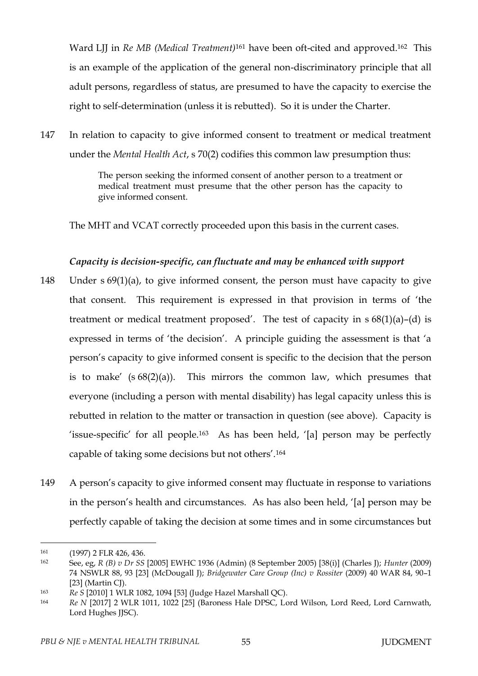Ward LJJ in *Re MB (Medical Treatment)*<sup>161</sup> have been oft-cited and approved.<sup>162</sup> This is an example of the application of the general non-discriminatory principle that all adult persons, regardless of status, are presumed to have the capacity to exercise the right to self-determination (unless it is rebutted). So it is under the Charter.

147 In relation to capacity to give informed consent to treatment or medical treatment under the *Mental Health Act*, s 70(2) codifies this common law presumption thus:

> The person seeking the informed consent of another person to a treatment or medical treatment must presume that the other person has the capacity to give informed consent.

The MHT and VCAT correctly proceeded upon this basis in the current cases.

### *Capacity is decision-specific, can fluctuate and may be enhanced with support*

- 148 Under s 69(1)(a), to give informed consent, the person must have capacity to give that consent. This requirement is expressed in that provision in terms of 'the treatment or medical treatment proposed'. The test of capacity in  $s 68(1)(a) - (d)$  is expressed in terms of 'the decision'. A principle guiding the assessment is that 'a person's capacity to give informed consent is specific to the decision that the person is to make'  $(s 68(2)(a))$ . This mirrors the common law, which presumes that everyone (including a person with mental disability) has legal capacity unless this is rebutted in relation to the matter or transaction in question (see above). Capacity is 'issue-specific' for all people.<sup>163</sup> As has been held, '[a] person may be perfectly capable of taking some decisions but not others'.<sup>164</sup>
- 149 A person's capacity to give informed consent may fluctuate in response to variations in the person's health and circumstances. As has also been held, '[a] person may be perfectly capable of taking the decision at some times and in some circumstances but

<sup>161 (1997) 2</sup> FLR 426, 436.

<sup>162</sup> See, eg, *R (B) v Dr SS* [2005] EWHC 1936 (Admin) (8 September 2005) [38(i)] (Charles J); *Hunter* (2009) 74 NSWLR 88, 93 [23] (McDougall J); *Bridgewater Care Group (Inc) v Rossiter* (2009) 40 WAR 84, 90–1 [23] (Martin CJ).

<sup>163</sup> *Re S* [2010] 1 WLR 1082, 1094 [53] (Judge Hazel Marshall QC).

<sup>164</sup> *Re N* [2017] 2 WLR 1011, 1022 [25] (Baroness Hale DPSC, Lord Wilson, Lord Reed, Lord Carnwath, Lord Hughes JJSC).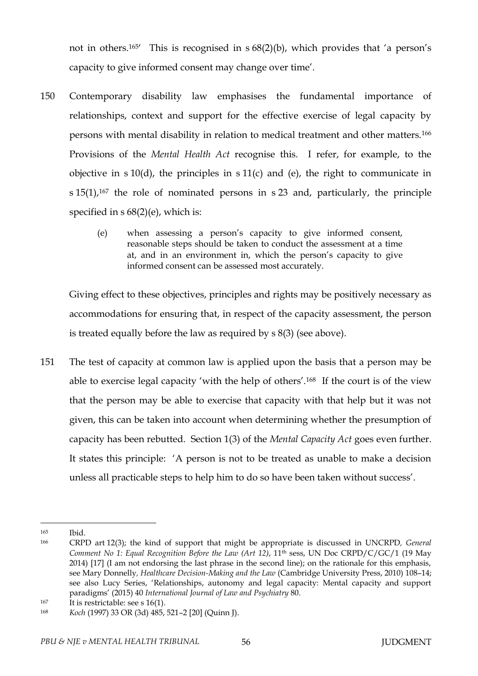not in others.165' This is recognised in s 68(2)(b), which provides that 'a person's capacity to give informed consent may change over time'.

- 150 Contemporary disability law emphasises the fundamental importance of relationships, context and support for the effective exercise of legal capacity by persons with mental disability in relation to medical treatment and other matters.<sup>166</sup> Provisions of the *Mental Health Act* recognise this. I refer, for example, to the objective in  $s 10(d)$ , the principles in  $s 11(c)$  and (e), the right to communicate in  $s$  15(1),<sup>167</sup> the role of nominated persons in s 23 and, particularly, the principle specified in s 68(2)(e), which is:
	- (e) when assessing a person's capacity to give informed consent, reasonable steps should be taken to conduct the assessment at a time at, and in an environment in, which the person's capacity to give informed consent can be assessed most accurately.

Giving effect to these objectives, principles and rights may be positively necessary as accommodations for ensuring that, in respect of the capacity assessment, the person is treated equally before the law as required by s 8(3) (see above).

151 The test of capacity at common law is applied upon the basis that a person may be able to exercise legal capacity 'with the help of others'.168 If the court is of the view that the person may be able to exercise that capacity with that help but it was not given, this can be taken into account when determining whether the presumption of capacity has been rebutted. Section 1(3) of the *Mental Capacity Act* goes even further. It states this principle: 'A person is not to be treated as unable to make a decision unless all practicable steps to help him to do so have been taken without success'.

<sup>165</sup> Ibid.

<sup>166</sup> CRPD art 12(3); the kind of support that might be appropriate is discussed in UNCRPD*, General Comment No 1: Equal Recognition Before the Law (Art 12)*, 11th sess, UN Doc CRPD/C/GC/1 (19 May 2014) [17] (I am not endorsing the last phrase in the second line); on the rationale for this emphasis, see Mary Donnelly*, Healthcare Decision-Making and the Law* (Cambridge University Press, 2010) 108–14; see also Lucy Series, 'Relationships, autonomy and legal capacity: Mental capacity and support paradigms' (2015) 40 *International Journal of Law and Psychiatry* 80.

<sup>&</sup>lt;sup>167</sup> It is restrictable: see s 16(1).

<sup>168</sup> *Koch* (1997) 33 OR (3d) 485, 521–2 [20] (Quinn J).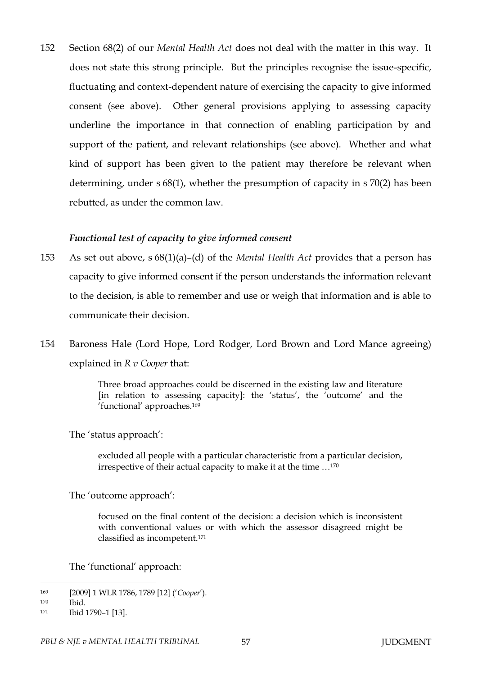152 Section 68(2) of our *Mental Health Act* does not deal with the matter in this way. It does not state this strong principle. But the principles recognise the issue-specific, fluctuating and context-dependent nature of exercising the capacity to give informed consent (see above). Other general provisions applying to assessing capacity underline the importance in that connection of enabling participation by and support of the patient, and relevant relationships (see above). Whether and what kind of support has been given to the patient may therefore be relevant when determining, under s 68(1), whether the presumption of capacity in s 70(2) has been rebutted, as under the common law.

#### *Functional test of capacity to give informed consent*

- 153 As set out above, s 68(1)(a)–(d) of the *Mental Health Act* provides that a person has capacity to give informed consent if the person understands the information relevant to the decision, is able to remember and use or weigh that information and is able to communicate their decision.
- 154 Baroness Hale (Lord Hope, Lord Rodger, Lord Brown and Lord Mance agreeing) explained in *R v Cooper* that:

Three broad approaches could be discerned in the existing law and literature [in relation to assessing capacity]: the 'status', the 'outcome' and the 'functional' approaches.<sup>169</sup>

The 'status approach':

excluded all people with a particular characteristic from a particular decision, irrespective of their actual capacity to make it at the time …<sup>170</sup>

The 'outcome approach':

focused on the final content of the decision: a decision which is inconsistent with conventional values or with which the assessor disagreed might be classified as incompetent.<sup>171</sup>

The 'functional' approach:

<sup>169</sup> [2009] 1 WLR 1786, 1789 [12] ('*Cooper*').

<sup>170</sup> Ibid.

<sup>171</sup> **Ibid 1790-1** [13].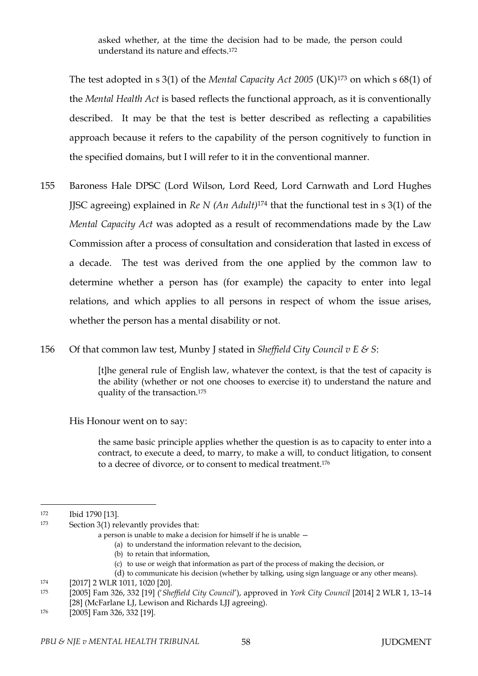asked whether, at the time the decision had to be made, the person could understand its nature and effects.<sup>172</sup>

The test adopted in s 3(1) of the *Mental Capacity Act 2005* (UK)<sup>173</sup> on which s 68(1) of the *Mental Health Act* is based reflects the functional approach, as it is conventionally described. It may be that the test is better described as reflecting a capabilities approach because it refers to the capability of the person cognitively to function in the specified domains, but I will refer to it in the conventional manner.

- 155 Baroness Hale DPSC (Lord Wilson, Lord Reed, Lord Carnwath and Lord Hughes JJSC agreeing) explained in *Re N (An Adult)*<sup>174</sup> that the functional test in s 3(1) of the *Mental Capacity Act* was adopted as a result of recommendations made by the Law Commission after a process of consultation and consideration that lasted in excess of a decade. The test was derived from the one applied by the common law to determine whether a person has (for example) the capacity to enter into legal relations, and which applies to all persons in respect of whom the issue arises, whether the person has a mental disability or not.
- 156 Of that common law test, Munby J stated in *Sheffield City Council v E & S*:

[t]he general rule of English law, whatever the context, is that the test of capacity is the ability (whether or not one chooses to exercise it) to understand the nature and quality of the transaction.<sup>175</sup>

His Honour went on to say:

the same basic principle applies whether the question is as to capacity to enter into a contract, to execute a deed, to marry, to make a will, to conduct litigation, to consent to a decree of divorce, or to consent to medical treatment.<sup>176</sup>

 $\overline{a}$ 

(b) to retain that information,

<sup>172</sup> Ibid 1790 [13].

<sup>173</sup> Section 3(1) relevantly provides that:

a person is unable to make a decision for himself if he is unable —

<sup>(</sup>a) to understand the information relevant to the decision,

<sup>(</sup>c) to use or weigh that information as part of the process of making the decision, or

<sup>(</sup>d) to communicate his decision (whether by talking, using sign language or any other means).

<sup>174</sup> [2017] 2 WLR 1011, 1020 [20].

<sup>175</sup> [2005] Fam 326, 332 [19] ('*Sheffield City Council*'), approved in *York City Council* [2014] 2 WLR 1, 13–14 [28] (McFarlane LJ, Lewison and Richards LJJ agreeing).

<sup>176</sup> [2005] Fam 326, 332 [19].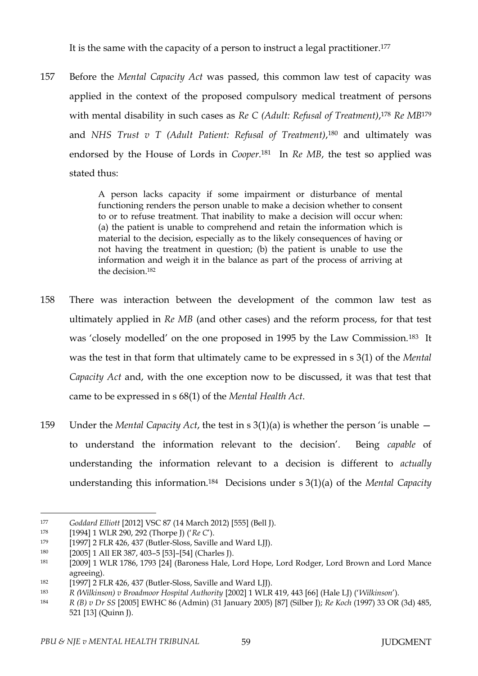It is the same with the capacity of a person to instruct a legal practitioner.<sup>177</sup>

157 Before the *Mental Capacity Act* was passed, this common law test of capacity was applied in the context of the proposed compulsory medical treatment of persons with mental disability in such cases as *Re C (Adult: Refusal of Treatment)*, <sup>178</sup> *Re MB*<sup>179</sup> and *NHS Trust v T (Adult Patient: Refusal of Treatment)*, <sup>180</sup> and ultimately was endorsed by the House of Lords in *Cooper*. <sup>181</sup> In *Re MB*, the test so applied was stated thus:

> A person lacks capacity if some impairment or disturbance of mental functioning renders the person unable to make a decision whether to consent to or to refuse treatment. That inability to make a decision will occur when: (a) the patient is unable to comprehend and retain the information which is material to the decision, especially as to the likely consequences of having or not having the treatment in question; (b) the patient is unable to use the information and weigh it in the balance as part of the process of arriving at the decision. 182

- 158 There was interaction between the development of the common law test as ultimately applied in *Re MB* (and other cases) and the reform process, for that test was 'closely modelled' on the one proposed in 1995 by the Law Commission.183 It was the test in that form that ultimately came to be expressed in s 3(1) of the *Mental Capacity Act* and, with the one exception now to be discussed, it was that test that came to be expressed in s 68(1) of the *Mental Health Act*.
- 159 Under the *Mental Capacity Act*, the test in s 3(1)(a) is whether the person 'is unable to understand the information relevant to the decision'. Being *capable* of understanding the information relevant to a decision is different to *actually* understanding this information.184 Decisions under s 3(1)(a) of the *Mental Capacity*

<sup>177</sup> *Goddard Elliott* [2012] VSC 87 (14 March 2012) [555] (Bell J).

<sup>178</sup> [1994] 1 WLR 290, 292 (Thorpe J) ('*Re C*').

<sup>179</sup> [1997] 2 FLR 426, 437 (Butler-Sloss, Saville and Ward LJJ).

<sup>180</sup> [2005] 1 All ER 387, 403–5 [53]–[54] (Charles J).

<sup>181</sup> [2009] 1 WLR 1786, 1793 [24] (Baroness Hale, Lord Hope, Lord Rodger, Lord Brown and Lord Mance agreeing).

<sup>182</sup> [1997] 2 FLR 426, 437 (Butler-Sloss, Saville and Ward LJJ).

<sup>183</sup> *R (Wilkinson) v Broadmoor Hospital Authority* [2002] 1 WLR 419, 443 [66] (Hale LJ) ('*Wilkinson*').

<sup>184</sup> *R (B) v Dr SS* [2005] EWHC 86 (Admin) (31 January 2005) [87] (Silber J); *Re Koch* (1997) 33 OR (3d) 485, 521 [13] (Quinn J).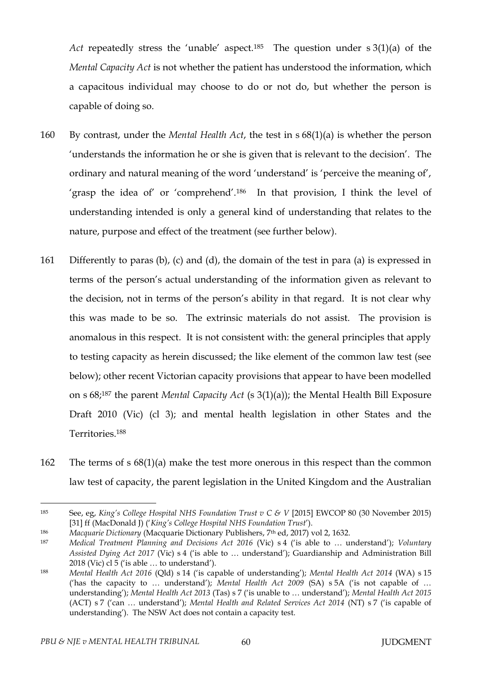*Act* repeatedly stress the 'unable' aspect.185 The question under s 3(1)(a) of the *Mental Capacity Act* is not whether the patient has understood the information, which a capacitous individual may choose to do or not do, but whether the person is capable of doing so.

- 160 By contrast, under the *Mental Health Act*, the test in s 68(1)(a) is whether the person 'understands the information he or she is given that is relevant to the decision'. The ordinary and natural meaning of the word 'understand' is 'perceive the meaning of', 'grasp the idea of' or 'comprehend'.186 In that provision, I think the level of understanding intended is only a general kind of understanding that relates to the nature, purpose and effect of the treatment (see further below).
- 161 Differently to paras (b), (c) and (d), the domain of the test in para (a) is expressed in terms of the person's actual understanding of the information given as relevant to the decision, not in terms of the person's ability in that regard. It is not clear why this was made to be so. The extrinsic materials do not assist. The provision is anomalous in this respect. It is not consistent with: the general principles that apply to testing capacity as herein discussed; the like element of the common law test (see below); other recent Victorian capacity provisions that appear to have been modelled on s 68;<sup>187</sup> the parent *Mental Capacity Act* (s 3(1)(a)); the Mental Health Bill Exposure Draft 2010 (Vic) (cl 3); and mental health legislation in other States and the Territories.<sup>188</sup>
- 162 The terms of s 68(1)(a) make the test more onerous in this respect than the common law test of capacity, the parent legislation in the United Kingdom and the Australian

<sup>185</sup> See, eg, *King's College Hospital NHS Foundation Trust v C & V* [2015] EWCOP 80 (30 November 2015) [31] ff (MacDonald J) ('*King's College Hospital NHS Foundation Trust*').

<sup>186</sup> *Macquarie Dictionary* (Macquarie Dictionary Publishers, 7th ed, 2017) vol 2, 1632.

<sup>187</sup> *Medical Treatment Planning and Decisions Act 2016* (Vic) s 4 ('is able to … understand'); *Voluntary Assisted Dying Act 2017* (Vic) s 4 ('is able to … understand'); Guardianship and Administration Bill 2018 (Vic) cl 5 ('is able … to understand').

<sup>188</sup> *Mental Health Act 2016* (Qld) s 14 ('is capable of understanding'); *Mental Health Act 2014* (WA) s 15 ('has the capacity to … understand'); *Mental Health Act 2009* (SA) s 5A ('is not capable of … understanding'); *Mental Health Act 2013* (Tas) s 7 ('is unable to … understand'); *Mental Health Act 2015* (ACT) s 7 ('can … understand'); *Mental Health and Related Services Act 2014* (NT) s 7 ('is capable of understanding'). The NSW Act does not contain a capacity test.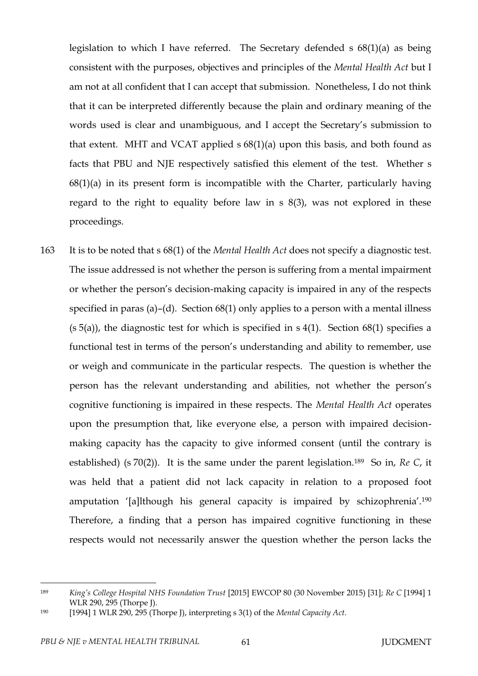legislation to which I have referred. The Secretary defended s 68(1)(a) as being consistent with the purposes, objectives and principles of the *Mental Health Act* but I am not at all confident that I can accept that submission. Nonetheless, I do not think that it can be interpreted differently because the plain and ordinary meaning of the words used is clear and unambiguous, and I accept the Secretary's submission to that extent. MHT and VCAT applied s 68(1)(a) upon this basis, and both found as facts that PBU and NJE respectively satisfied this element of the test. Whether s  $68(1)(a)$  in its present form is incompatible with the Charter, particularly having regard to the right to equality before law in s 8(3), was not explored in these proceedings.

163 It is to be noted that s 68(1) of the *Mental Health Act* does not specify a diagnostic test. The issue addressed is not whether the person is suffering from a mental impairment or whether the person's decision-making capacity is impaired in any of the respects specified in paras (a)–(d). Section 68(1) only applies to a person with a mental illness  $(s 5(a))$ , the diagnostic test for which is specified in s 4(1). Section 68(1) specifies a functional test in terms of the person's understanding and ability to remember, use or weigh and communicate in the particular respects. The question is whether the person has the relevant understanding and abilities, not whether the person's cognitive functioning is impaired in these respects. The *Mental Health Act* operates upon the presumption that, like everyone else, a person with impaired decisionmaking capacity has the capacity to give informed consent (until the contrary is established) (s 70(2)). It is the same under the parent legislation.189 So in, *Re C*, it was held that a patient did not lack capacity in relation to a proposed foot amputation '[a]lthough his general capacity is impaired by schizophrenia'.<sup>190</sup> Therefore, a finding that a person has impaired cognitive functioning in these respects would not necessarily answer the question whether the person lacks the

<sup>189</sup> *King's College Hospital NHS Foundation Trust* [2015] EWCOP 80 (30 November 2015) [31]; *Re C* [1994] 1 WLR 290, 295 (Thorpe J).

<sup>190</sup> [1994] 1 WLR 290, 295 (Thorpe J), interpreting s 3(1) of the *Mental Capacity Act*.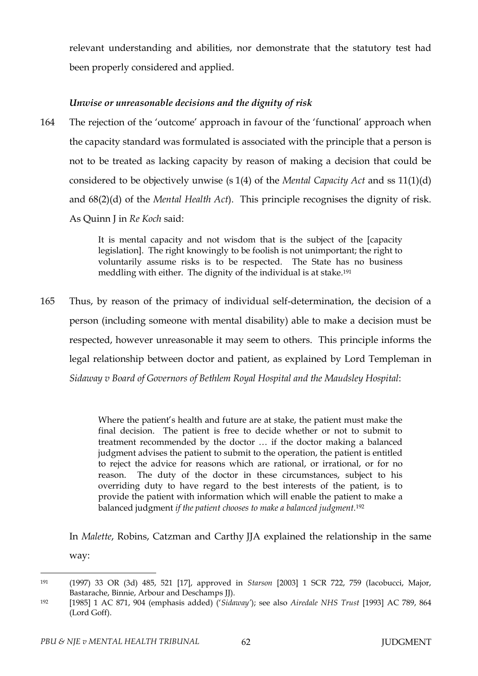relevant understanding and abilities, nor demonstrate that the statutory test had been properly considered and applied.

# *Unwise or unreasonable decisions and the dignity of risk*

164 The rejection of the 'outcome' approach in favour of the 'functional' approach when the capacity standard was formulated is associated with the principle that a person is not to be treated as lacking capacity by reason of making a decision that could be considered to be objectively unwise (s 1(4) of the *Mental Capacity Act* and ss 11(1)(d) and 68(2)(d) of the *Mental Health Act*). This principle recognises the dignity of risk. As Quinn J in *Re Koch* said:

> It is mental capacity and not wisdom that is the subject of the [capacity legislation]. The right knowingly to be foolish is not unimportant; the right to voluntarily assume risks is to be respected. The State has no business meddling with either. The dignity of the individual is at stake.<sup>191</sup>

165 Thus, by reason of the primacy of individual self-determination, the decision of a person (including someone with mental disability) able to make a decision must be respected, however unreasonable it may seem to others. This principle informs the legal relationship between doctor and patient, as explained by Lord Templeman in *Sidaway v Board of Governors of Bethlem Royal Hospital and the Maudsley Hospital*:

> Where the patient's health and future are at stake, the patient must make the final decision. The patient is free to decide whether or not to submit to treatment recommended by the doctor … if the doctor making a balanced judgment advises the patient to submit to the operation, the patient is entitled to reject the advice for reasons which are rational, or irrational, or for no reason. The duty of the doctor in these circumstances, subject to his overriding duty to have regard to the best interests of the patient, is to provide the patient with information which will enable the patient to make a balanced judgment *if the patient chooses to make a balanced judgment.*<sup>192</sup>

In *Malette*, Robins, Catzman and Carthy JJA explained the relationship in the same way:

<sup>191</sup> (1997) 33 OR (3d) 485, 521 [17], approved in *Starson* [2003] 1 SCR 722, 759 (Iacobucci, Major, Bastarache, Binnie, Arbour and Deschamps JJ).

<sup>192</sup> [1985] 1 AC 871, 904 (emphasis added) ('*Sidaway'*); see also *Airedale NHS Trust* [1993] AC 789, 864 (Lord Goff).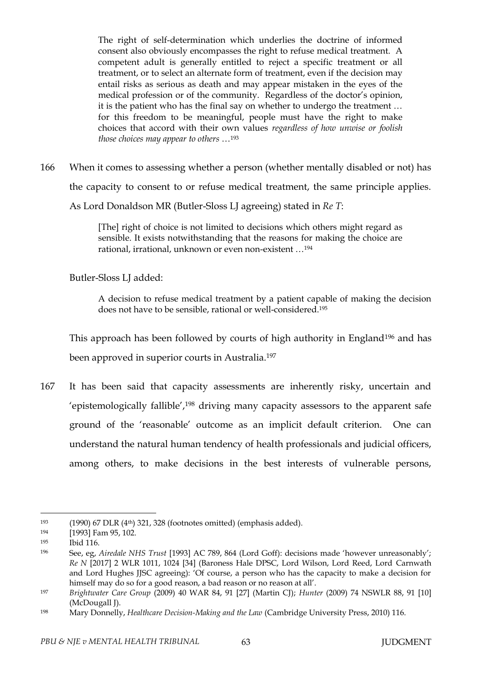The right of self-determination which underlies the doctrine of informed consent also obviously encompasses the right to refuse medical treatment. A competent adult is generally entitled to reject a specific treatment or all treatment, or to select an alternate form of treatment, even if the decision may entail risks as serious as death and may appear mistaken in the eyes of the medical profession or of the community. Regardless of the doctor's opinion, it is the patient who has the final say on whether to undergo the treatment … for this freedom to be meaningful, people must have the right to make choices that accord with their own values *regardless of how unwise or foolish those choices may appear to others* …<sup>193</sup>

166 When it comes to assessing whether a person (whether mentally disabled or not) has the capacity to consent to or refuse medical treatment, the same principle applies. As Lord Donaldson MR (Butler-Sloss LJ agreeing) stated in *Re T*:

> [The] right of choice is not limited to decisions which others might regard as sensible. It exists notwithstanding that the reasons for making the choice are rational, irrational, unknown or even non-existent …<sup>194</sup>

Butler-Sloss LJ added:

A decision to refuse medical treatment by a patient capable of making the decision does not have to be sensible, rational or well-considered. 195

This approach has been followed by courts of high authority in England<sup>196</sup> and has been approved in superior courts in Australia.<sup>197</sup>

167 It has been said that capacity assessments are inherently risky, uncertain and 'epistemologically fallible',<sup>198</sup> driving many capacity assessors to the apparent safe ground of the 'reasonable' outcome as an implicit default criterion. One can understand the natural human tendency of health professionals and judicial officers, among others, to make decisions in the best interests of vulnerable persons,

<sup>193</sup> (1990) 67 DLR (4th) 321, 328 (footnotes omitted) (emphasis added).

<sup>194</sup> [1993] Fam 95, 102.

<sup>195</sup> Ibid 116.

<sup>196</sup> See, eg, *Airedale NHS Trust* [1993] AC 789, 864 (Lord Goff): decisions made 'however unreasonably'; *Re N* [2017] 2 WLR 1011, 1024 [34] (Baroness Hale DPSC, Lord Wilson, Lord Reed, Lord Carnwath and Lord Hughes JJSC agreeing): 'Of course, a person who has the capacity to make a decision for himself may do so for a good reason, a bad reason or no reason at all'.

<sup>197</sup> *Brightwater Care Group* (2009) 40 WAR 84, 91 [27] (Martin CJ); *Hunter* (2009) 74 NSWLR 88, 91 [10] (McDougall J).

<sup>198</sup> Mary Donnelly, *Healthcare Decision-Making and the Law* (Cambridge University Press, 2010) 116.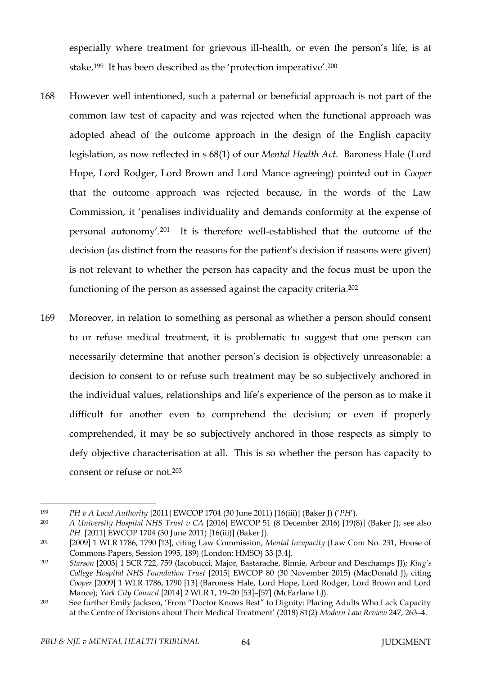especially where treatment for grievous ill-health, or even the person's life, is at stake.<sup>199</sup> It has been described as the 'protection imperative'.<sup>200</sup>

- 168 However well intentioned, such a paternal or beneficial approach is not part of the common law test of capacity and was rejected when the functional approach was adopted ahead of the outcome approach in the design of the English capacity legislation, as now reflected in s 68(1) of our *Mental Health Act*. Baroness Hale (Lord Hope, Lord Rodger, Lord Brown and Lord Mance agreeing) pointed out in *Cooper* that the outcome approach was rejected because, in the words of the Law Commission, it 'penalises individuality and demands conformity at the expense of personal autonomy'.201 It is therefore well-established that the outcome of the decision (as distinct from the reasons for the patient's decision if reasons were given) is not relevant to whether the person has capacity and the focus must be upon the functioning of the person as assessed against the capacity criteria.<sup>202</sup>
- 169 Moreover, in relation to something as personal as whether a person should consent to or refuse medical treatment, it is problematic to suggest that one person can necessarily determine that another person's decision is objectively unreasonable: a decision to consent to or refuse such treatment may be so subjectively anchored in the individual values, relationships and life's experience of the person as to make it difficult for another even to comprehend the decision; or even if properly comprehended, it may be so subjectively anchored in those respects as simply to defy objective characterisation at all. This is so whether the person has capacity to consent or refuse or not.<sup>203</sup>

<sup>199</sup> *PH v A Local Authority* [2011] EWCOP 1704 (30 June 2011) [16(iii)] (Baker J) ('*PH*').

<sup>200</sup> *A University Hospital NHS Trust v CA* [2016] EWCOP 51 (8 December 2016) [19(8)] (Baker J); see also *PH* [2011] EWCOP 1704 (30 June 2011) [16(iii)] (Baker J).

<sup>201</sup> [2009] 1 WLR 1786, 1790 [13], citing Law Commission, *Mental Incapacity* (Law Com No. 231, House of Commons Papers, Session 1995, 189) (London: HMSO) 33 [3.4].

<sup>202</sup> *Starson* [2003] 1 SCR 722, 759 (Iacobucci, Major, Bastarache, Binnie, Arbour and Deschamps JJ); *King's College Hospital NHS Foundation Trust* [2015] EWCOP 80 (30 November 2015) (MacDonald J), citing *Cooper* [2009] 1 WLR 1786, 1790 [13] (Baroness Hale, Lord Hope, Lord Rodger, Lord Brown and Lord Mance); *York City Council* [2014] 2 WLR 1, 19–20 [53]–[57] (McFarlane LJ).

<sup>203</sup> See further Emily Jackson, 'From "Doctor Knows Best" to Dignity: Placing Adults Who Lack Capacity at the Centre of Decisions about Their Medical Treatment' (2018) 81(2) *Modern Law Review* 247, 263–4.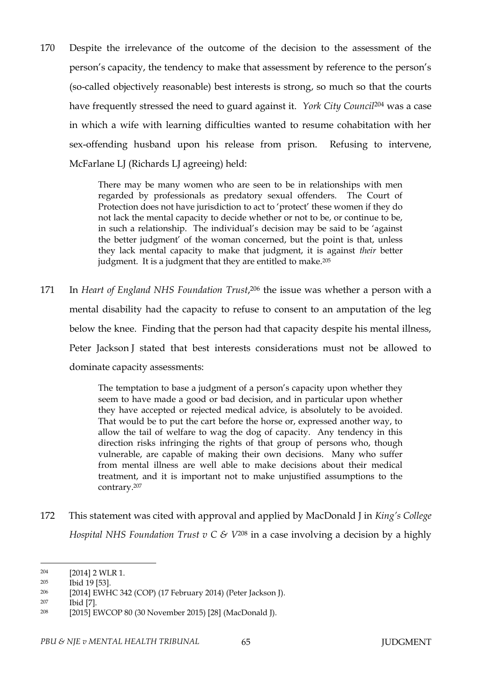170 Despite the irrelevance of the outcome of the decision to the assessment of the person's capacity, the tendency to make that assessment by reference to the person's (so-called objectively reasonable) best interests is strong, so much so that the courts have frequently stressed the need to guard against it. *York City Council*<sup>204</sup> was a case in which a wife with learning difficulties wanted to resume cohabitation with her sex-offending husband upon his release from prison. Refusing to intervene, McFarlane LJ (Richards LJ agreeing) held:

> There may be many women who are seen to be in relationships with men regarded by professionals as predatory sexual offenders. The Court of Protection does not have jurisdiction to act to 'protect' these women if they do not lack the mental capacity to decide whether or not to be, or continue to be, in such a relationship. The individual's decision may be said to be 'against the better judgment' of the woman concerned, but the point is that, unless they lack mental capacity to make that judgment, it is against *their* better judgment. It is a judgment that they are entitled to make.<sup>205</sup>

171 In *Heart of England NHS Foundation Trust*, <sup>206</sup> the issue was whether a person with a mental disability had the capacity to refuse to consent to an amputation of the leg below the knee. Finding that the person had that capacity despite his mental illness, Peter Jackson J stated that best interests considerations must not be allowed to dominate capacity assessments:

> The temptation to base a judgment of a person's capacity upon whether they seem to have made a good or bad decision, and in particular upon whether they have accepted or rejected medical advice, is absolutely to be avoided. That would be to put the cart before the horse or, expressed another way, to allow the tail of welfare to wag the dog of capacity. Any tendency in this direction risks infringing the rights of that group of persons who, though vulnerable, are capable of making their own decisions. Many who suffer from mental illness are well able to make decisions about their medical treatment, and it is important not to make unjustified assumptions to the contrary.<sup>207</sup>

172 This statement was cited with approval and applied by MacDonald J in *King's College Hospital NHS Foundation Trust v C & V*<sup>208</sup> in a case involving a decision by a highly

<sup>204</sup> [2014] 2 WLR 1.

<sup>205</sup> Ibid 19 [53].

<sup>206</sup> [2014] EWHC 342 (COP) (17 February 2014) (Peter Jackson J).

<sup>207</sup> Ibid [7].

<sup>208</sup> [2015] EWCOP 80 (30 November 2015) [28] (MacDonald J).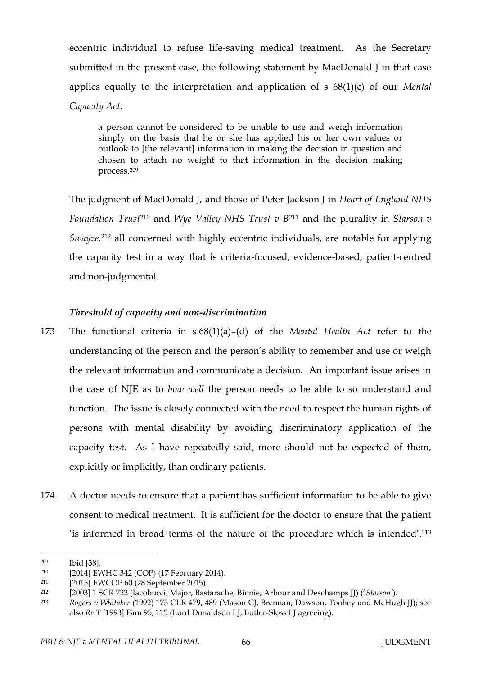eccentric individual to refuse life-saving medical treatment. As the Secretary submitted in the present case, the following statement by MacDonald J in that case applies equally to the interpretation and application of s 68(1)(c) of our *Mental Capacity Act:*

a person cannot be considered to be unable to use and weigh information simply on the basis that he or she has applied his or her own values or outlook to [the relevant] information in making the decision in question and chosen to attach no weight to that information in the decision making process.<sup>209</sup>

The judgment of MacDonald J, and those of Peter Jackson J in *Heart of England NHS Foundation Trust*<sup>210</sup> and *Wye Valley NHS Trust v B*<sup>211</sup> and the plurality in *Starson v Swayze,*<sup>212</sup> all concerned with highly eccentric individuals, are notable for applying the capacity test in a way that is criteria-focused, evidence-based, patient-centred and non-judgmental.

# *Threshold of capacity and non-discrimination*

- 173 The functional criteria in s 68(1)(a)–(d) of the *Mental Health Act* refer to the understanding of the person and the person's ability to remember and use or weigh the relevant information and communicate a decision. An important issue arises in the case of NJE as to *how well* the person needs to be able to so understand and function. The issue is closely connected with the need to respect the human rights of persons with mental disability by avoiding discriminatory application of the capacity test. As I have repeatedly said, more should not be expected of them, explicitly or implicitly, than ordinary patients.
- 174 A doctor needs to ensure that a patient has sufficient information to be able to give consent to medical treatment. It is sufficient for the doctor to ensure that the patient 'is informed in broad terms of the nature of the procedure which is intended'.<sup>213</sup>

<sup>209</sup> Ibid [38].

<sup>210</sup> [2014] EWHC 342 (COP) (17 February 2014).

<sup>211</sup> [2015] EWCOP 60 (28 September 2015).

<sup>212</sup> [2003] 1 SCR 722 (Iacobucci, Major, Bastarache, Binnie, Arbour and Deschamps JJ) ('*Starson'*).

<sup>213</sup> *Rogers v Whitaker* (1992) 175 CLR 479, 489 (Mason CJ, Brennan, Dawson, Toohey and McHugh JJ); see also *Re T* [1993] Fam 95, 115 (Lord Donaldson LJ, Butler-Sloss LJ agreeing).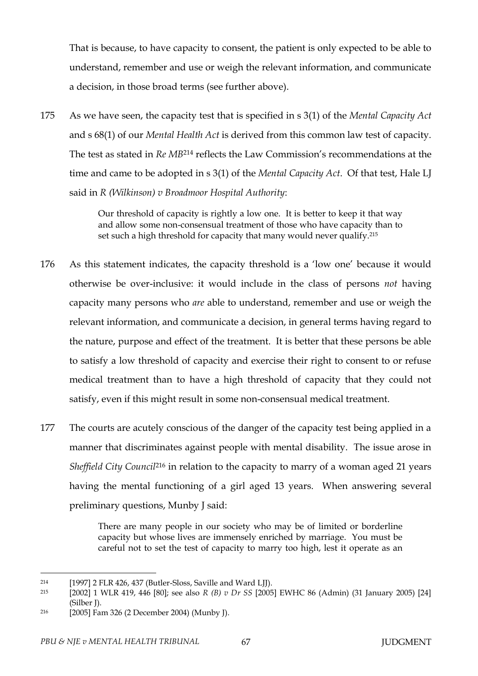That is because, to have capacity to consent, the patient is only expected to be able to understand, remember and use or weigh the relevant information, and communicate a decision, in those broad terms (see further above).

175 As we have seen, the capacity test that is specified in s 3(1) of the *Mental Capacity Act* and s 68(1) of our *Mental Health Act* is derived from this common law test of capacity. The test as stated in *Re MB*<sup>214</sup> reflects the Law Commission's recommendations at the time and came to be adopted in s 3(1) of the *Mental Capacity Act*. Of that test, Hale LJ said in *R (Wilkinson) v Broadmoor Hospital Authority*:

> Our threshold of capacity is rightly a low one. It is better to keep it that way and allow some non-consensual treatment of those who have capacity than to set such a high threshold for capacity that many would never qualify.<sup>215</sup>

- 176 As this statement indicates, the capacity threshold is a 'low one' because it would otherwise be over-inclusive: it would include in the class of persons *not* having capacity many persons who *are* able to understand, remember and use or weigh the relevant information, and communicate a decision, in general terms having regard to the nature, purpose and effect of the treatment. It is better that these persons be able to satisfy a low threshold of capacity and exercise their right to consent to or refuse medical treatment than to have a high threshold of capacity that they could not satisfy, even if this might result in some non-consensual medical treatment.
- 177 The courts are acutely conscious of the danger of the capacity test being applied in a manner that discriminates against people with mental disability. The issue arose in *Sheffield City Council*<sup>216</sup> in relation to the capacity to marry of a woman aged 21 years having the mental functioning of a girl aged 13 years. When answering several preliminary questions, Munby J said:

There are many people in our society who may be of limited or borderline capacity but whose lives are immensely enriched by marriage. You must be careful not to set the test of capacity to marry too high, lest it operate as an

<sup>214</sup> [1997] 2 FLR 426, 437 (Butler-Sloss, Saville and Ward LJJ).

<sup>215</sup> [2002] 1 WLR 419, 446 [80]; see also *R (B) v Dr SS* [2005] EWHC 86 (Admin) (31 January 2005) [24] (Silber J).

<sup>216</sup> [2005] Fam 326 (2 December 2004) (Munby J).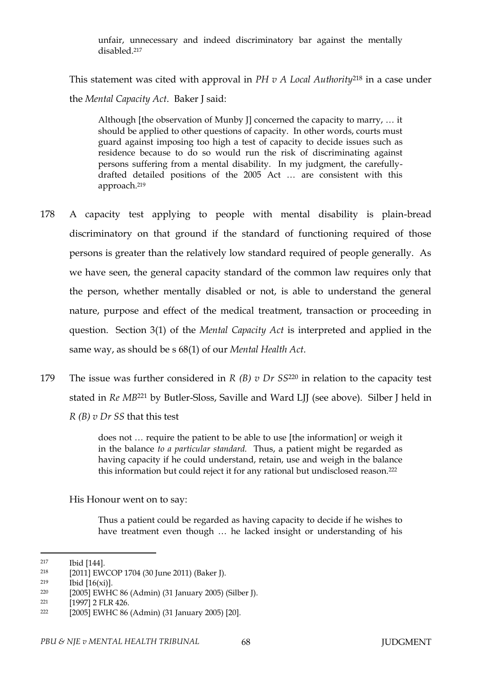unfair, unnecessary and indeed discriminatory bar against the mentally disabled<sup>217</sup>

This statement was cited with approval in *PH v A Local Authority*<sup>218</sup> in a case under the *Mental Capacity Act*. Baker J said:

Although [the observation of Munby J] concerned the capacity to marry, … it should be applied to other questions of capacity. In other words, courts must guard against imposing too high a test of capacity to decide issues such as residence because to do so would run the risk of discriminating against persons suffering from a mental disability. In my judgment, the carefullydrafted detailed positions of the 2005 Act … are consistent with this approach.<sup>219</sup>

- 178 A capacity test applying to people with mental disability is plain-bread discriminatory on that ground if the standard of functioning required of those persons is greater than the relatively low standard required of people generally. As we have seen, the general capacity standard of the common law requires only that the person, whether mentally disabled or not, is able to understand the general nature, purpose and effect of the medical treatment, transaction or proceeding in question. Section 3(1) of the *Mental Capacity Act* is interpreted and applied in the same way, as should be s 68(1) of our *Mental Health Act*.
- 179 The issue was further considered in *R (B) v Dr SS*<sup>220</sup> in relation to the capacity test stated in *Re MB*<sup>221</sup> by Butler-Sloss, Saville and Ward LJJ (see above). Silber J held in *R (B) v Dr SS* that this test

does not … require the patient to be able to use [the information] or weigh it in the balance *to a particular standard.* Thus, a patient might be regarded as having capacity if he could understand, retain, use and weigh in the balance this information but could reject it for any rational but undisclosed reason.<sup>222</sup>

His Honour went on to say:

Thus a patient could be regarded as having capacity to decide if he wishes to have treatment even though … he lacked insight or understanding of his

<sup>217</sup> Ibid [144].

<sup>218</sup> [2011] EWCOP 1704 (30 June 2011) (Baker J).

<sup>219</sup> Ibid [16(xi)].

<sup>220</sup> [2005] EWHC 86 (Admin) (31 January 2005) (Silber J).

<sup>221</sup> [1997] 2 FLR 426.

<sup>222</sup> [2005] EWHC 86 (Admin) (31 January 2005) [20].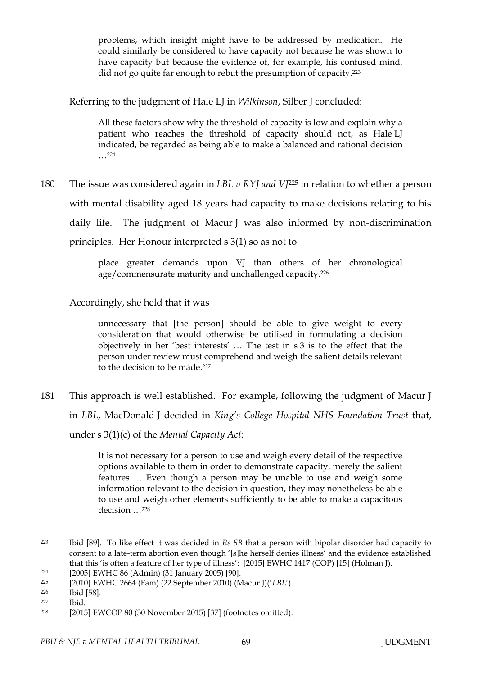problems, which insight might have to be addressed by medication. He could similarly be considered to have capacity not because he was shown to have capacity but because the evidence of, for example, his confused mind, did not go quite far enough to rebut the presumption of capacity.<sup>223</sup>

Referring to the judgment of Hale LJ in *Wilkinson*, Silber J concluded:

All these factors show why the threshold of capacity is low and explain why a patient who reaches the threshold of capacity should not, as Hale LJ indicated, be regarded as being able to make a balanced and rational decision …<sup>224</sup>

180 The issue was considered again in *LBL v RYJ and VJ*<sup>225</sup> in relation to whether a person with mental disability aged 18 years had capacity to make decisions relating to his daily life. The judgment of Macur J was also informed by non-discrimination principles. Her Honour interpreted s 3(1) so as not to

> place greater demands upon VJ than others of her chronological age/commensurate maturity and unchallenged capacity.<sup>226</sup>

Accordingly, she held that it was

unnecessary that [the person] should be able to give weight to every consideration that would otherwise be utilised in formulating a decision objectively in her 'best interests' … The test in s 3 is to the effect that the person under review must comprehend and weigh the salient details relevant to the decision to be made.<sup>227</sup>

181 This approach is well established. For example, following the judgment of Macur J in *LBL*, MacDonald J decided in *King's College Hospital NHS Foundation Trust* that, under s 3(1)(c) of the *Mental Capacity Act*:

> It is not necessary for a person to use and weigh every detail of the respective options available to them in order to demonstrate capacity, merely the salient features … Even though a person may be unable to use and weigh some information relevant to the decision in question, they may nonetheless be able to use and weigh other elements sufficiently to be able to make a capacitous decision …<sup>228</sup>

<sup>223</sup> Ibid [89]. To like effect it was decided in *Re SB* that a person with bipolar disorder had capacity to consent to a late-term abortion even though '[s]he herself denies illness' and the evidence established that this 'is often a feature of her type of illness': [2015] EWHC 1417 (COP) [15] (Holman J).

<sup>224</sup> [2005] EWHC 86 (Admin) (31 January 2005) [90].

<sup>225</sup> [2010] EWHC 2664 (Fam) (22 September 2010) (Macur J)('*LBL*').

<sup>226</sup> Ibid [58].

<sup>227</sup> Ibid.

<sup>228</sup> [2015] EWCOP 80 (30 November 2015) [37] (footnotes omitted).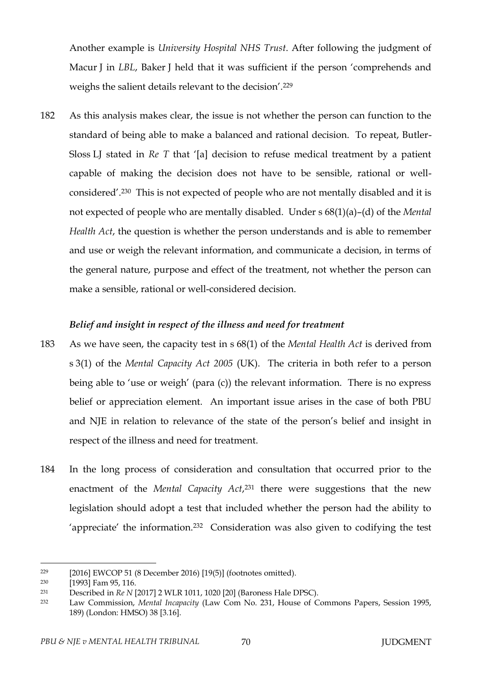Another example is *University Hospital NHS Trust*. After following the judgment of Macur J in *LBL*, Baker J held that it was sufficient if the person 'comprehends and weighs the salient details relevant to the decision'.<sup>229</sup>

182 As this analysis makes clear, the issue is not whether the person can function to the standard of being able to make a balanced and rational decision. To repeat, Butler-Sloss LJ stated in *Re T* that '[a] decision to refuse medical treatment by a patient capable of making the decision does not have to be sensible, rational or wellconsidered'.230 This is not expected of people who are not mentally disabled and it is not expected of people who are mentally disabled. Under s 68(1)(a)–(d) of the *Mental Health Act*, the question is whether the person understands and is able to remember and use or weigh the relevant information, and communicate a decision, in terms of the general nature, purpose and effect of the treatment, not whether the person can make a sensible, rational or well-considered decision.

## *Belief and insight in respect of the illness and need for treatment*

- 183 As we have seen, the capacity test in s 68(1) of the *Mental Health Act* is derived from s 3(1) of the *Mental Capacity Act 2005* (UK). The criteria in both refer to a person being able to 'use or weigh' (para (c)) the relevant information. There is no express belief or appreciation element. An important issue arises in the case of both PBU and NJE in relation to relevance of the state of the person's belief and insight in respect of the illness and need for treatment.
- 184 In the long process of consideration and consultation that occurred prior to the enactment of the *Mental Capacity Act*, <sup>231</sup> there were suggestions that the new legislation should adopt a test that included whether the person had the ability to 'appreciate' the information.232 Consideration was also given to codifying the test

<sup>229</sup> [2016] EWCOP 51 (8 December 2016) [19(5)] (footnotes omitted).

<sup>230</sup> [1993] Fam 95, 116.

<sup>231</sup> Described in *Re N* [2017] 2 WLR 1011, 1020 [20] (Baroness Hale DPSC).

<sup>232</sup> Law Commission, *Mental Incapacity* (Law Com No. 231, House of Commons Papers, Session 1995, 189) (London: HMSO) 38 [3.16].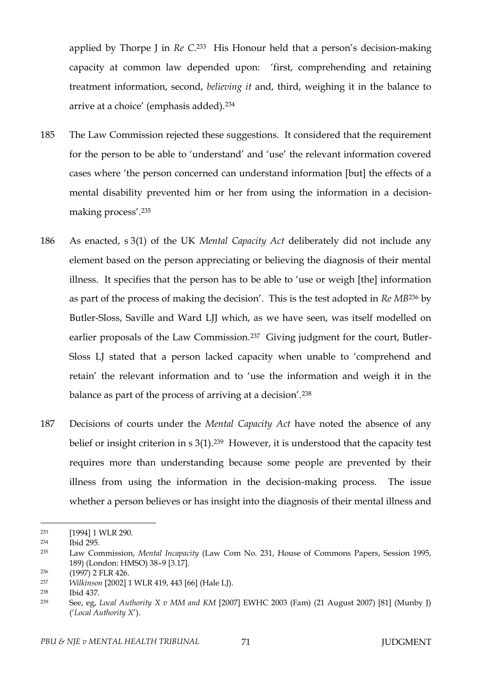applied by Thorpe J in *Re C*. <sup>233</sup> His Honour held that a person's decision-making capacity at common law depended upon: 'first, comprehending and retaining treatment information, second, *believing it* and, third, weighing it in the balance to arrive at a choice' (emphasis added).<sup>234</sup>

- 185 The Law Commission rejected these suggestions. It considered that the requirement for the person to be able to 'understand' and 'use' the relevant information covered cases where 'the person concerned can understand information [but] the effects of a mental disability prevented him or her from using the information in a decisionmaking process'.<sup>235</sup>
- 186 As enacted, s 3(1) of the UK *Mental Capacity Act* deliberately did not include any element based on the person appreciating or believing the diagnosis of their mental illness. It specifies that the person has to be able to 'use or weigh [the] information as part of the process of making the decision'. This is the test adopted in *Re MB*<sup>236</sup> by Butler-Sloss, Saville and Ward LJJ which, as we have seen, was itself modelled on earlier proposals of the Law Commission.<sup>237</sup> Giving judgment for the court, Butler-Sloss LJ stated that a person lacked capacity when unable to 'comprehend and retain' the relevant information and to 'use the information and weigh it in the balance as part of the process of arriving at a decision'.<sup>238</sup>
- 187 Decisions of courts under the *Mental Capacity Act* have noted the absence of any belief or insight criterion in s 3(1).<sup>239</sup> However, it is understood that the capacity test requires more than understanding because some people are prevented by their illness from using the information in the decision-making process. The issue whether a person believes or has insight into the diagnosis of their mental illness and

<sup>233</sup> [1994] 1 WLR 290.

<sup>234</sup> Ibid 295.

<sup>235</sup> Law Commission, *Mental Incapacity* (Law Com No. 231, House of Commons Papers, Session 1995, 189) (London: HMSO) 38–9 [3.17].

<sup>236</sup> (1997) 2 FLR 426.

<sup>237</sup> *Wilkinson* [2002] 1 WLR 419, 443 [66] (Hale LJ).

<sup>238</sup> Ibid 437.

<sup>239</sup> See, eg, *Local Authority X v MM and KM* [2007] EWHC 2003 (Fam) (21 August 2007) [81] (Munby J) ('*Local Authority X*').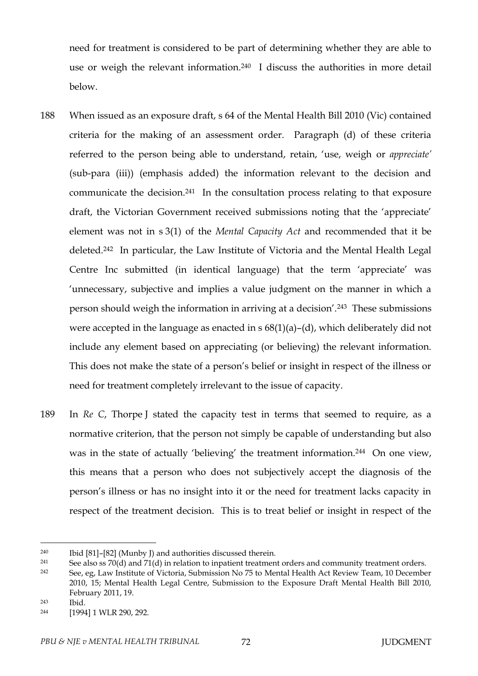need for treatment is considered to be part of determining whether they are able to use or weigh the relevant information.240 I discuss the authorities in more detail below.

- 188 When issued as an exposure draft, s 64 of the Mental Health Bill 2010 (Vic) contained criteria for the making of an assessment order. Paragraph (d) of these criteria referred to the person being able to understand, retain, 'use, weigh or *appreciate'* (sub-para (iii)) (emphasis added) the information relevant to the decision and communicate the decision.241 In the consultation process relating to that exposure draft, the Victorian Government received submissions noting that the 'appreciate' element was not in s 3(1) of the *Mental Capacity Act* and recommended that it be deleted.242 In particular, the Law Institute of Victoria and the Mental Health Legal Centre Inc submitted (in identical language) that the term 'appreciate' was 'unnecessary, subjective and implies a value judgment on the manner in which a person should weigh the information in arriving at a decision'.243 These submissions were accepted in the language as enacted in  $s$  68(1)(a)–(d), which deliberately did not include any element based on appreciating (or believing) the relevant information. This does not make the state of a person's belief or insight in respect of the illness or need for treatment completely irrelevant to the issue of capacity.
- 189 In *Re C*, Thorpe J stated the capacity test in terms that seemed to require, as a normative criterion, that the person not simply be capable of understanding but also was in the state of actually 'believing' the treatment information.<sup>244</sup> On one view, this means that a person who does not subjectively accept the diagnosis of the person's illness or has no insight into it or the need for treatment lacks capacity in respect of the treatment decision. This is to treat belief or insight in respect of the

<sup>243</sup> Ibid.

<sup>240</sup> Ibid [81]–[82] (Munby J) and authorities discussed therein.

<sup>&</sup>lt;sup>241</sup> See also ss 70(d) and 71(d) in relation to inpatient treatment orders and community treatment orders.

<sup>242</sup> See, eg, Law Institute of Victoria, Submission No 75 to Mental Health Act Review Team, 10 December 2010, 15; Mental Health Legal Centre, Submission to the Exposure Draft Mental Health Bill 2010, February 2011, 19.

<sup>244</sup> [1994] 1 WLR 290, 292.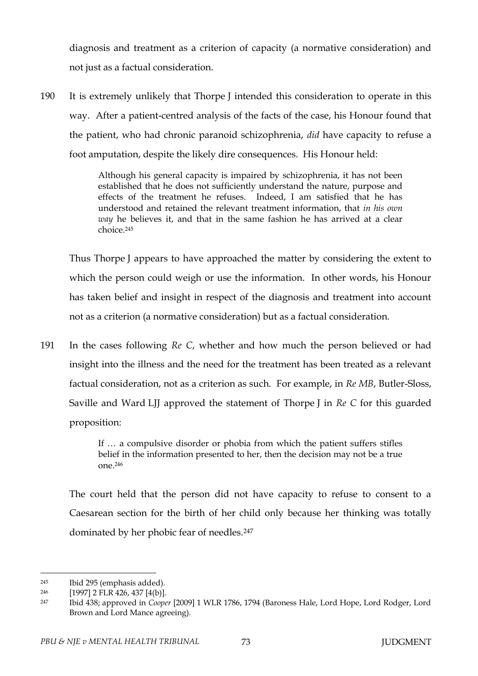diagnosis and treatment as a criterion of capacity (a normative consideration) and not just as a factual consideration.

190 It is extremely unlikely that Thorpe J intended this consideration to operate in this way. After a patient-centred analysis of the facts of the case, his Honour found that the patient, who had chronic paranoid schizophrenia, *did* have capacity to refuse a foot amputation, despite the likely dire consequences. His Honour held:

> Although his general capacity is impaired by schizophrenia, it has not been established that he does not sufficiently understand the nature, purpose and effects of the treatment he refuses. Indeed, I am satisfied that he has understood and retained the relevant treatment information, that *in his own way* he believes it, and that in the same fashion he has arrived at a clear choice.<sup>245</sup>

Thus Thorpe J appears to have approached the matter by considering the extent to which the person could weigh or use the information. In other words, his Honour has taken belief and insight in respect of the diagnosis and treatment into account not as a criterion (a normative consideration) but as a factual consideration.

191 In the cases following *Re C*, whether and how much the person believed or had insight into the illness and the need for the treatment has been treated as a relevant factual consideration, not as a criterion as such. For example, in *Re MB*, Butler-Sloss, Saville and Ward LJJ approved the statement of Thorpe J in *Re C* for this guarded proposition:

> If … a compulsive disorder or phobia from which the patient suffers stifles belief in the information presented to her, then the decision may not be a true one.<sup>246</sup>

The court held that the person did not have capacity to refuse to consent to a Caesarean section for the birth of her child only because her thinking was totally dominated by her phobic fear of needles.<sup>247</sup>

<sup>245</sup> Ibid 295 (emphasis added).

<sup>246</sup> [1997] 2 FLR 426, 437 [4(b)].

<sup>247</sup> Ibid 438; approved in *Cooper* [2009] 1 WLR 1786, 1794 (Baroness Hale, Lord Hope, Lord Rodger, Lord Brown and Lord Mance agreeing).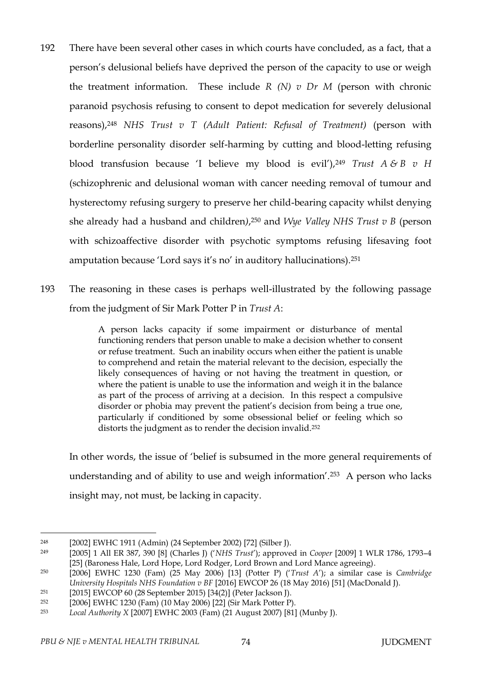- 192 There have been several other cases in which courts have concluded, as a fact, that a person's delusional beliefs have deprived the person of the capacity to use or weigh the treatment information. These include  $R(N)$  v  $Dr M$  (person with chronic paranoid psychosis refusing to consent to depot medication for severely delusional reasons),<sup>248</sup> *NHS Trust v T (Adult Patient: Refusal of Treatment)* (person with borderline personality disorder self-harming by cutting and blood-letting refusing blood transfusion because 'I believe my blood is evil'),<sup>249</sup> *Trust A & B v H*  (schizophrenic and delusional woman with cancer needing removal of tumour and hysterectomy refusing surgery to preserve her child-bearing capacity whilst denying she already had a husband and children*)*, <sup>250</sup> and *Wye Valley NHS Trust v B* (person with schizoaffective disorder with psychotic symptoms refusing lifesaving foot amputation because 'Lord says it's no' in auditory hallucinations).<sup>251</sup>
- 193 The reasoning in these cases is perhaps well-illustrated by the following passage from the judgment of Sir Mark Potter P in *Trust A*:

A person lacks capacity if some impairment or disturbance of mental functioning renders that person unable to make a decision whether to consent or refuse treatment. Such an inability occurs when either the patient is unable to comprehend and retain the material relevant to the decision, especially the likely consequences of having or not having the treatment in question, or where the patient is unable to use the information and weigh it in the balance as part of the process of arriving at a decision. In this respect a compulsive disorder or phobia may prevent the patient's decision from being a true one, particularly if conditioned by some obsessional belief or feeling which so distorts the judgment as to render the decision invalid.<sup>252</sup>

In other words, the issue of 'belief is subsumed in the more general requirements of understanding and of ability to use and weigh information'.253 A person who lacks insight may, not must, be lacking in capacity.

<sup>248</sup> [2002] EWHC 1911 (Admin) (24 September 2002) [72] (Silber J).

<sup>249</sup> [2005] 1 All ER 387, 390 [8] (Charles J) ('*NHS Trust*'); approved in *Cooper* [2009] 1 WLR 1786, 1793–4 [25] (Baroness Hale, Lord Hope, Lord Rodger, Lord Brown and Lord Mance agreeing).

<sup>250</sup> [2006] EWHC 1230 (Fam) (25 May 2006) [13] (Potter P) ('*Trust A*'); a similar case is *Cambridge University Hospitals NHS Foundation v BF* [2016] EWCOP 26 (18 May 2016) [51] (MacDonald J).

<sup>251</sup> [2015] EWCOP 60 (28 September 2015) [34(2)] (Peter Jackson J).

<sup>252</sup> [2006] EWHC 1230 (Fam) (10 May 2006) [22] (Sir Mark Potter P).

<sup>253</sup> *Local Authority X* [2007] EWHC 2003 (Fam) (21 August 2007) [81] (Munby J).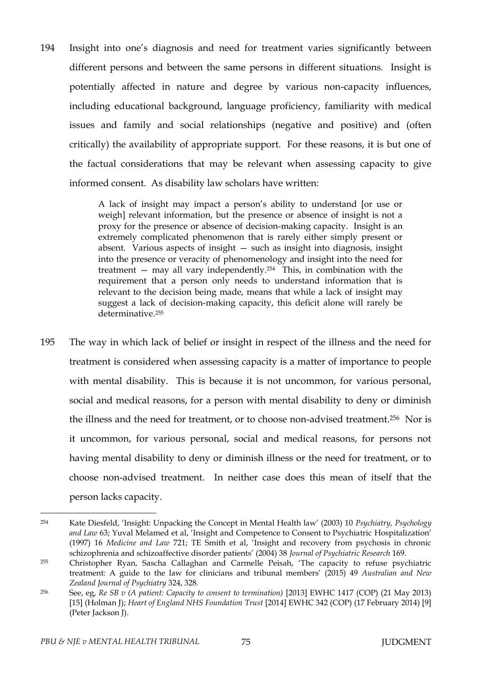194 Insight into one's diagnosis and need for treatment varies significantly between different persons and between the same persons in different situations. Insight is potentially affected in nature and degree by various non-capacity influences, including educational background, language proficiency, familiarity with medical issues and family and social relationships (negative and positive) and (often critically) the availability of appropriate support. For these reasons, it is but one of the factual considerations that may be relevant when assessing capacity to give informed consent. As disability law scholars have written:

> A lack of insight may impact a person's ability to understand [or use or weigh] relevant information, but the presence or absence of insight is not a proxy for the presence or absence of decision-making capacity. Insight is an extremely complicated phenomenon that is rarely either simply present or absent. Various aspects of insight — such as insight into diagnosis, insight into the presence or veracity of phenomenology and insight into the need for treatment  $-$  may all vary independently.<sup>254</sup> This, in combination with the requirement that a person only needs to understand information that is relevant to the decision being made, means that while a lack of insight may suggest a lack of decision-making capacity, this deficit alone will rarely be determinative<sup>255</sup>

195 The way in which lack of belief or insight in respect of the illness and the need for treatment is considered when assessing capacity is a matter of importance to people with mental disability. This is because it is not uncommon, for various personal, social and medical reasons, for a person with mental disability to deny or diminish the illness and the need for treatment, or to choose non-advised treatment.256 Nor is it uncommon, for various personal, social and medical reasons, for persons not having mental disability to deny or diminish illness or the need for treatment, or to choose non-advised treatment. In neither case does this mean of itself that the person lacks capacity.

<sup>254</sup> Kate Diesfeld, 'Insight: Unpacking the Concept in Mental Health law' (2003) 10 *Psychiatry, Psychology and Law* 63; Yuval Melamed et al, 'Insight and Competence to Consent to Psychiatric Hospitalization' (1997) 16 *Medicine and Law* 721; TE Smith et al, 'Insight and recovery from psychosis in chronic schizophrenia and schizoaffective disorder patients' (2004) 38 *Journal of Psychiatric Research* 169.

<sup>255</sup> Christopher Ryan, Sascha Callaghan and Carmelle Peisah, 'The capacity to refuse psychiatric treatment: A guide to the law for clinicians and tribunal members' (2015) 49 *Australian and New Zealand Journal of Psychiatry* 324, 328.

<sup>256</sup> See, eg, *Re SB v (A patient: Capacity to consent to termination)* [2013] EWHC 1417 (COP) (21 May 2013) [15] (Holman J); *Heart of England NHS Foundation Trust* [2014] EWHC 342 (COP) (17 February 2014) [9] (Peter Jackson J).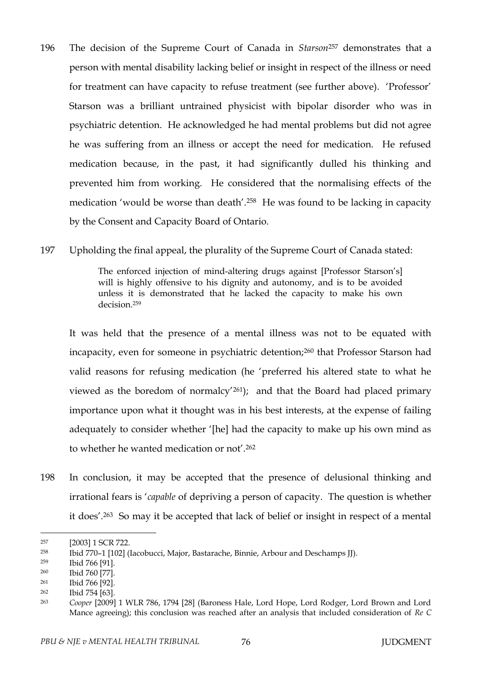196 The decision of the Supreme Court of Canada in *Starson*<sup>257</sup> demonstrates that a person with mental disability lacking belief or insight in respect of the illness or need for treatment can have capacity to refuse treatment (see further above). 'Professor' Starson was a brilliant untrained physicist with bipolar disorder who was in psychiatric detention. He acknowledged he had mental problems but did not agree he was suffering from an illness or accept the need for medication. He refused medication because, in the past, it had significantly dulled his thinking and prevented him from working. He considered that the normalising effects of the medication 'would be worse than death'.258 He was found to be lacking in capacity by the Consent and Capacity Board of Ontario.

197 Upholding the final appeal, the plurality of the Supreme Court of Canada stated:

The enforced injection of mind-altering drugs against [Professor Starson's] will is highly offensive to his dignity and autonomy, and is to be avoided unless it is demonstrated that he lacked the capacity to make his own decision.<sup>259</sup>

It was held that the presence of a mental illness was not to be equated with incapacity, even for someone in psychiatric detention;<sup>260</sup> that Professor Starson had valid reasons for refusing medication (he 'preferred his altered state to what he viewed as the boredom of normalcy'261); and that the Board had placed primary importance upon what it thought was in his best interests, at the expense of failing adequately to consider whether '[he] had the capacity to make up his own mind as to whether he wanted medication or not'.<sup>262</sup>

198 In conclusion, it may be accepted that the presence of delusional thinking and irrational fears is '*capable* of depriving a person of capacity. The question is whether it does'.263 So may it be accepted that lack of belief or insight in respect of a mental

<sup>259</sup> Ibid 766 [91].

 $\overline{a}$ 

<sup>260</sup> Ibid 760 [77].

<sup>257</sup> [2003] 1 SCR 722.

<sup>258</sup> Ibid 770–1 [102] (Iacobucci, Major, Bastarache, Binnie, Arbour and Deschamps JJ).

<sup>261</sup> Ibid 766 [92].

<sup>262</sup> Ibid 754 [63].

<sup>263</sup> *Cooper* [2009] 1 WLR 786, 1794 [28] (Baroness Hale, Lord Hope, Lord Rodger, Lord Brown and Lord Mance agreeing); this conclusion was reached after an analysis that included consideration of *Re C*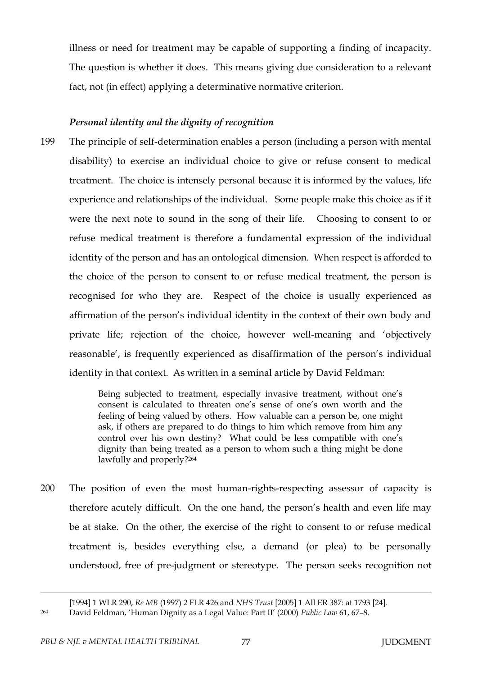illness or need for treatment may be capable of supporting a finding of incapacity. The question is whether it does. This means giving due consideration to a relevant fact, not (in effect) applying a determinative normative criterion.

# *Personal identity and the dignity of recognition*

199 The principle of self-determination enables a person (including a person with mental disability) to exercise an individual choice to give or refuse consent to medical treatment. The choice is intensely personal because it is informed by the values, life experience and relationships of the individual. Some people make this choice as if it were the next note to sound in the song of their life. Choosing to consent to or refuse medical treatment is therefore a fundamental expression of the individual identity of the person and has an ontological dimension. When respect is afforded to the choice of the person to consent to or refuse medical treatment, the person is recognised for who they are. Respect of the choice is usually experienced as affirmation of the person's individual identity in the context of their own body and private life; rejection of the choice, however well-meaning and 'objectively reasonable', is frequently experienced as disaffirmation of the person's individual identity in that context. As written in a seminal article by David Feldman:

> Being subjected to treatment, especially invasive treatment, without one's consent is calculated to threaten one's sense of one's own worth and the feeling of being valued by others. How valuable can a person be, one might ask, if others are prepared to do things to him which remove from him any control over his own destiny? What could be less compatible with one's dignity than being treated as a person to whom such a thing might be done lawfully and properly?<sup>264</sup>

200 The position of even the most human-rights-respecting assessor of capacity is therefore acutely difficult. On the one hand, the person's health and even life may be at stake. On the other, the exercise of the right to consent to or refuse medical treatment is, besides everything else, a demand (or plea) to be personally understood, free of pre-judgment or stereotype. The person seeks recognition not

<sup>[1994] 1</sup> WLR 290, *Re MB* (1997) 2 FLR 426 and *NHS Trust* [2005] 1 All ER 387: at 1793 [24].

<sup>264</sup> David Feldman, 'Human Dignity as a Legal Value: Part II' (2000) *Public Law* 61, 67–8.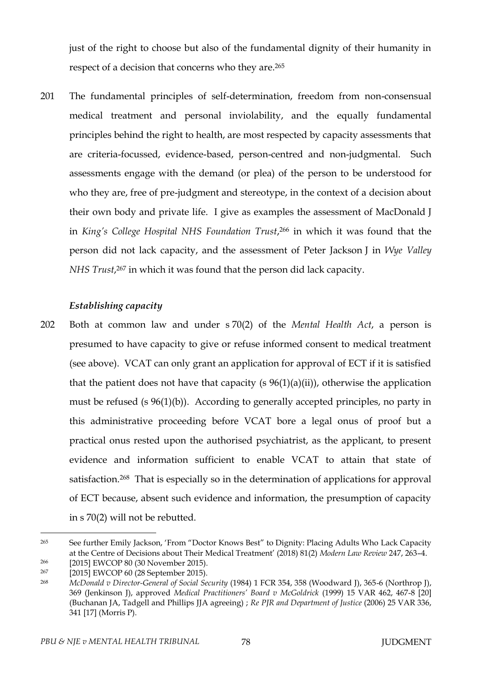just of the right to choose but also of the fundamental dignity of their humanity in respect of a decision that concerns who they are.<sup>265</sup>

201 The fundamental principles of self-determination, freedom from non-consensual medical treatment and personal inviolability, and the equally fundamental principles behind the right to health, are most respected by capacity assessments that are criteria-focussed, evidence-based, person-centred and non-judgmental. Such assessments engage with the demand (or plea) of the person to be understood for who they are, free of pre-judgment and stereotype, in the context of a decision about their own body and private life. I give as examples the assessment of MacDonald J in *King's College Hospital NHS Foundation Trust*, <sup>266</sup> in which it was found that the person did not lack capacity, and the assessment of Peter Jackson J in *Wye Valley NHS Trust*, <sup>267</sup> in which it was found that the person did lack capacity.

## *Establishing capacity*

202 Both at common law and under s 70(2) of the *Mental Health Act*, a person is presumed to have capacity to give or refuse informed consent to medical treatment (see above). VCAT can only grant an application for approval of ECT if it is satisfied that the patient does not have that capacity (s  $96(1)(a)(ii)$ ), otherwise the application must be refused (s 96(1)(b)). According to generally accepted principles, no party in this administrative proceeding before VCAT bore a legal onus of proof but a practical onus rested upon the authorised psychiatrist, as the applicant, to present evidence and information sufficient to enable VCAT to attain that state of satisfaction.<sup>268</sup> That is especially so in the determination of applications for approval of ECT because, absent such evidence and information, the presumption of capacity in s 70(2) will not be rebutted.

<sup>&</sup>lt;sup>265</sup> See further Emily Jackson, 'From "Doctor Knows Best" to Dignity: Placing Adults Who Lack Capacity at the Centre of Decisions about Their Medical Treatment' (2018) 81(2) *Modern Law Review* 247, 263–4. <sup>266</sup> [2015] EWCOP 80 (30 November 2015).

<sup>267</sup> [2015] EWCOP 60 (28 September 2015).

<sup>268</sup> *McDonald v Director-General of Social Security* (1984) 1 FCR 354, 358 (Woodward J), 365-6 (Northrop J), 369 (Jenkinson J), approved *Medical Practitioners' Board v McGoldrick* (1999) 15 VAR 462, 467-8 [20] (Buchanan JA, Tadgell and Phillips JJA agreeing) ; *Re PJR and Department of Justice* (2006) 25 VAR 336, 341 [17] (Morris P).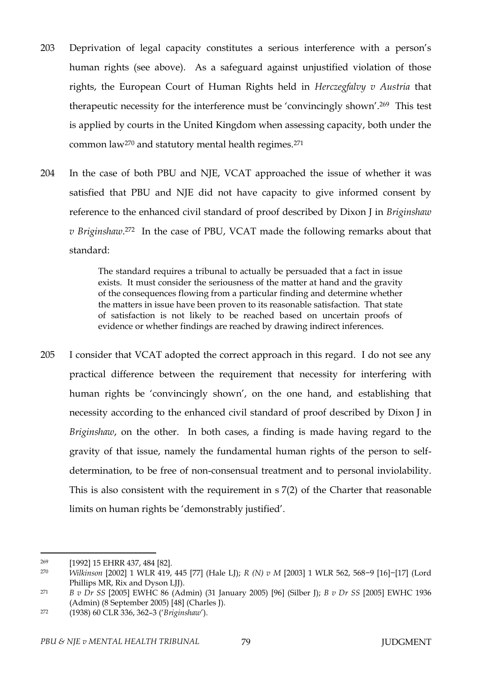- 203 Deprivation of legal capacity constitutes a serious interference with a person's human rights (see above). As a safeguard against unjustified violation of those rights, the European Court of Human Rights held in *Herczegfalvy v Austria* that therapeutic necessity for the interference must be 'convincingly shown'.269 This test is applied by courts in the United Kingdom when assessing capacity, both under the common law<sup>270</sup> and statutory mental health regimes.<sup>271</sup>
- 204 In the case of both PBU and NJE, VCAT approached the issue of whether it was satisfied that PBU and NJE did not have capacity to give informed consent by reference to the enhanced civil standard of proof described by Dixon J in *Briginshaw v Briginshaw*. <sup>272</sup> In the case of PBU, VCAT made the following remarks about that standard:

The standard requires a tribunal to actually be persuaded that a fact in issue exists. It must consider the seriousness of the matter at hand and the gravity of the consequences flowing from a particular finding and determine whether the matters in issue have been proven to its reasonable satisfaction. That state of satisfaction is not likely to be reached based on uncertain proofs of evidence or whether findings are reached by drawing indirect inferences.

205 I consider that VCAT adopted the correct approach in this regard. I do not see any practical difference between the requirement that necessity for interfering with human rights be 'convincingly shown', on the one hand, and establishing that necessity according to the enhanced civil standard of proof described by Dixon J in *Briginshaw*, on the other. In both cases, a finding is made having regard to the gravity of that issue, namely the fundamental human rights of the person to selfdetermination, to be free of non-consensual treatment and to personal inviolability. This is also consistent with the requirement in s 7(2) of the Charter that reasonable limits on human rights be 'demonstrably justified'.

<sup>269</sup> [1992] 15 EHRR 437, 484 [82].

<sup>270</sup> *Wilkinson* [2002] 1 WLR 419, 445 [77] (Hale LJ); *R (N) v M* [2003] 1 WLR 562, 568−9 [16]−[17] (Lord Phillips MR, Rix and Dyson LJJ).

<sup>271</sup> *B v Dr SS* [2005] EWHC 86 (Admin) (31 January 2005) [96] (Silber J); *B v Dr SS* [2005] EWHC 1936 (Admin) (8 September 2005) [48] (Charles J).

<sup>272</sup> (1938) 60 CLR 336, 362–3 ('*Briginshaw*').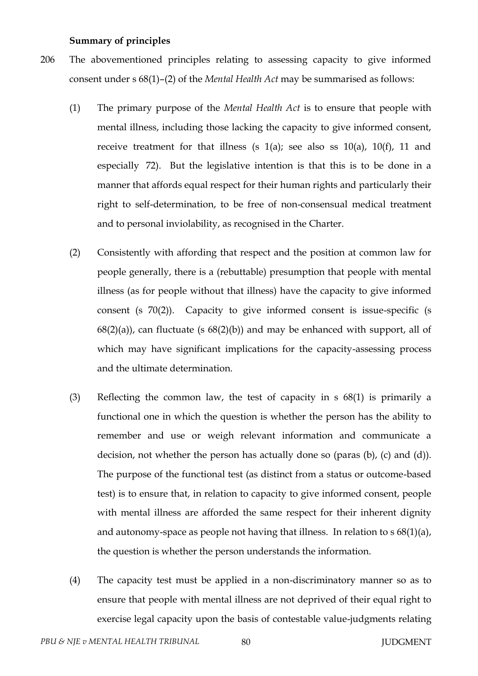### **Summary of principles**

- 206 The abovementioned principles relating to assessing capacity to give informed consent under s 68(1)–(2) of the *Mental Health Act* may be summarised as follows:
	- (1) The primary purpose of the *Mental Health Act* is to ensure that people with mental illness, including those lacking the capacity to give informed consent, receive treatment for that illness (s  $1(a)$ ; see also ss  $10(a)$ ,  $10(f)$ , 11 and especially 72). But the legislative intention is that this is to be done in a manner that affords equal respect for their human rights and particularly their right to self-determination, to be free of non-consensual medical treatment and to personal inviolability, as recognised in the Charter.
	- (2) Consistently with affording that respect and the position at common law for people generally, there is a (rebuttable) presumption that people with mental illness (as for people without that illness) have the capacity to give informed consent (s 70(2)). Capacity to give informed consent is issue-specific (s  $68(2)(a)$ , can fluctuate (s  $68(2)(b)$ ) and may be enhanced with support, all of which may have significant implications for the capacity-assessing process and the ultimate determination.
	- (3) Reflecting the common law, the test of capacity in s 68(1) is primarily a functional one in which the question is whether the person has the ability to remember and use or weigh relevant information and communicate a decision, not whether the person has actually done so (paras (b), (c) and (d)). The purpose of the functional test (as distinct from a status or outcome-based test) is to ensure that, in relation to capacity to give informed consent, people with mental illness are afforded the same respect for their inherent dignity and autonomy-space as people not having that illness. In relation to s 68(1)(a), the question is whether the person understands the information.
	- (4) The capacity test must be applied in a non-discriminatory manner so as to ensure that people with mental illness are not deprived of their equal right to exercise legal capacity upon the basis of contestable value-judgments relating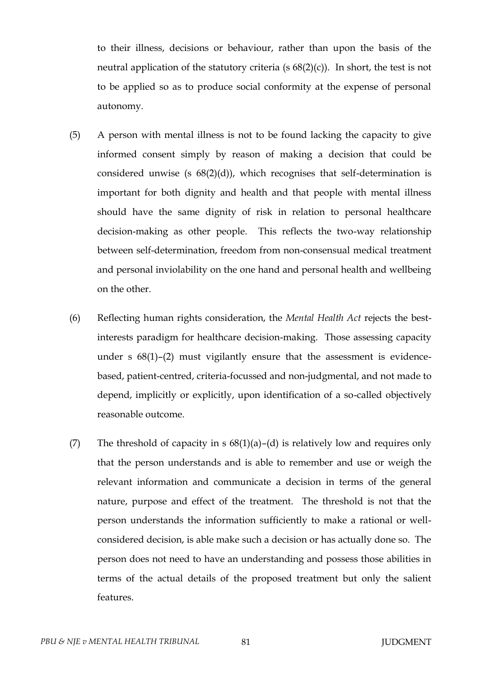to their illness, decisions or behaviour, rather than upon the basis of the neutral application of the statutory criteria (s  $68(2)(c)$ ). In short, the test is not to be applied so as to produce social conformity at the expense of personal autonomy.

- (5) A person with mental illness is not to be found lacking the capacity to give informed consent simply by reason of making a decision that could be considered unwise (s  $68(2)(d)$ ), which recognises that self-determination is important for both dignity and health and that people with mental illness should have the same dignity of risk in relation to personal healthcare decision-making as other people. This reflects the two-way relationship between self-determination, freedom from non-consensual medical treatment and personal inviolability on the one hand and personal health and wellbeing on the other.
- (6) Reflecting human rights consideration, the *Mental Health Act* rejects the bestinterests paradigm for healthcare decision-making. Those assessing capacity under s 68(1)–(2) must vigilantly ensure that the assessment is evidencebased, patient-centred, criteria-focussed and non-judgmental, and not made to depend, implicitly or explicitly, upon identification of a so-called objectively reasonable outcome.
- (7) The threshold of capacity in s  $68(1)(a)$ –(d) is relatively low and requires only that the person understands and is able to remember and use or weigh the relevant information and communicate a decision in terms of the general nature, purpose and effect of the treatment. The threshold is not that the person understands the information sufficiently to make a rational or wellconsidered decision, is able make such a decision or has actually done so. The person does not need to have an understanding and possess those abilities in terms of the actual details of the proposed treatment but only the salient features.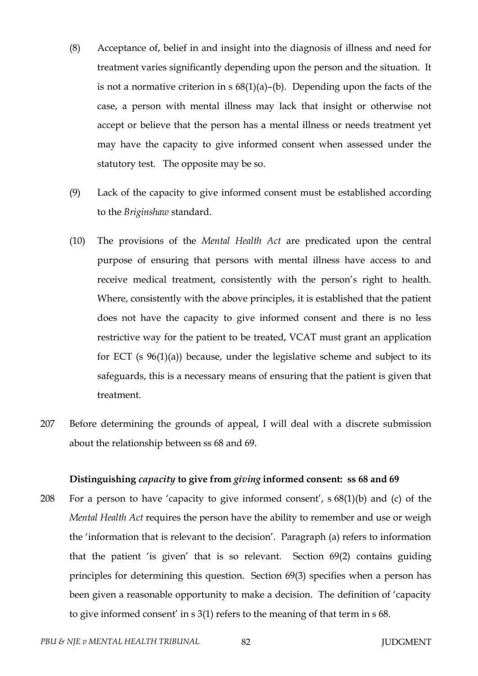- (8) Acceptance of, belief in and insight into the diagnosis of illness and need for treatment varies significantly depending upon the person and the situation. It is not a normative criterion in s  $68(1)(a)$ –(b). Depending upon the facts of the case, a person with mental illness may lack that insight or otherwise not accept or believe that the person has a mental illness or needs treatment yet may have the capacity to give informed consent when assessed under the statutory test. The opposite may be so.
- (9) Lack of the capacity to give informed consent must be established according to the *Briginshaw* standard.
- (10) The provisions of the *Mental Health Act* are predicated upon the central purpose of ensuring that persons with mental illness have access to and receive medical treatment, consistently with the person's right to health. Where, consistently with the above principles, it is established that the patient does not have the capacity to give informed consent and there is no less restrictive way for the patient to be treated, VCAT must grant an application for ECT (s  $96(1)(a)$ ) because, under the legislative scheme and subject to its safeguards, this is a necessary means of ensuring that the patient is given that treatment.
- 207 Before determining the grounds of appeal, I will deal with a discrete submission about the relationship between ss 68 and 69.

## **Distinguishing** *capacity* **to give from** *giving* **informed consent: ss 68 and 69**

208 For a person to have 'capacity to give informed consent', s 68(1)(b) and (c) of the *Mental Health Act* requires the person have the ability to remember and use or weigh the 'information that is relevant to the decision'. Paragraph (a) refers to information that the patient 'is given' that is so relevant. Section 69(2) contains guiding principles for determining this question. Section 69(3) specifies when a person has been given a reasonable opportunity to make a decision. The definition of 'capacity to give informed consent' in s 3(1) refers to the meaning of that term in s 68.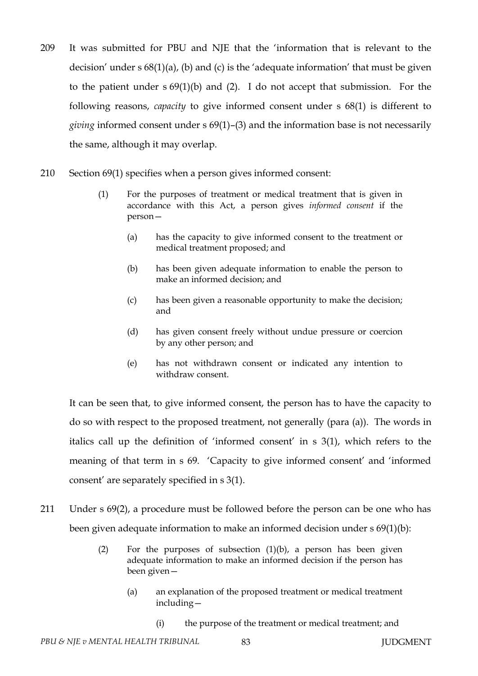- 209 It was submitted for PBU and NJE that the 'information that is relevant to the decision' under s 68(1)(a), (b) and (c) is the 'adequate information' that must be given to the patient under s 69(1)(b) and (2). I do not accept that submission. For the following reasons, *capacity* to give informed consent under s 68(1) is different to *giving* informed consent under s 69(1)–(3) and the information base is not necessarily the same, although it may overlap.
- 210 Section 69(1) specifies when a person gives informed consent:
	- (1) For the purposes of treatment or medical treatment that is given in accordance with this Act, a person gives *informed consent* if the person—
		- (a) has the capacity to give informed consent to the treatment or medical treatment proposed; and
		- (b) has been given adequate information to enable the person to make an informed decision; and
		- (c) has been given a reasonable opportunity to make the decision; and
		- (d) has given consent freely without undue pressure or coercion by any other person; and
		- (e) has not withdrawn consent or indicated any intention to withdraw consent.

It can be seen that, to give informed consent, the person has to have the capacity to do so with respect to the proposed treatment, not generally (para (a)). The words in italics call up the definition of 'informed consent' in s 3(1), which refers to the meaning of that term in s 69. 'Capacity to give informed consent' and 'informed consent' are separately specified in s 3(1).

- 211 Under s 69(2), a procedure must be followed before the person can be one who has been given adequate information to make an informed decision under s 69(1)(b):
	- (2) For the purposes of subsection (1)(b), a person has been given adequate information to make an informed decision if the person has been given—
		- (a) an explanation of the proposed treatment or medical treatment including—
			- (i) the purpose of the treatment or medical treatment; and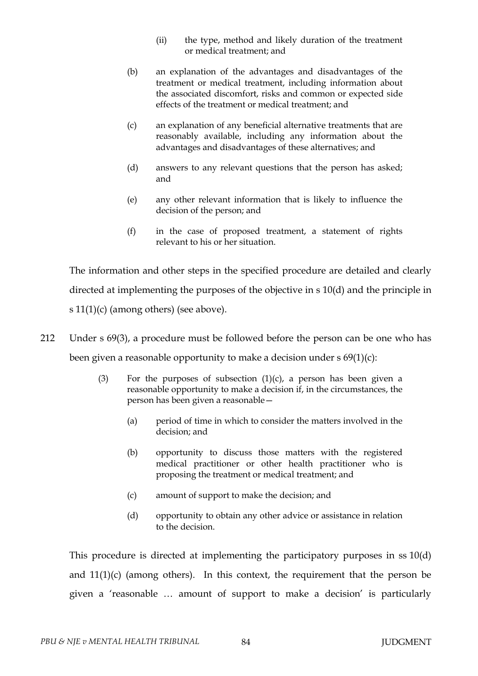- (ii) the type, method and likely duration of the treatment or medical treatment; and
- (b) an explanation of the advantages and disadvantages of the treatment or medical treatment, including information about the associated discomfort, risks and common or expected side effects of the treatment or medical treatment; and
- (c) an explanation of any beneficial alternative treatments that are reasonably available, including any information about the advantages and disadvantages of these alternatives; and
- (d) answers to any relevant questions that the person has asked; and
- (e) any other relevant information that is likely to influence the decision of the person; and
- (f) in the case of proposed treatment, a statement of rights relevant to his or her situation.

The information and other steps in the specified procedure are detailed and clearly directed at implementing the purposes of the objective in s 10(d) and the principle in s  $11(1)(c)$  (among others) (see above).

- 212 Under s 69(3), a procedure must be followed before the person can be one who has been given a reasonable opportunity to make a decision under s 69(1)(c):
	- (3) For the purposes of subsection  $(1)(c)$ , a person has been given a reasonable opportunity to make a decision if, in the circumstances, the person has been given a reasonable—
		- (a) period of time in which to consider the matters involved in the decision; and
		- (b) opportunity to discuss those matters with the registered medical practitioner or other health practitioner who is proposing the treatment or medical treatment; and
		- (c) amount of support to make the decision; and
		- (d) opportunity to obtain any other advice or assistance in relation to the decision.

This procedure is directed at implementing the participatory purposes in ss 10(d) and  $11(1)(c)$  (among others). In this context, the requirement that the person be given a 'reasonable … amount of support to make a decision' is particularly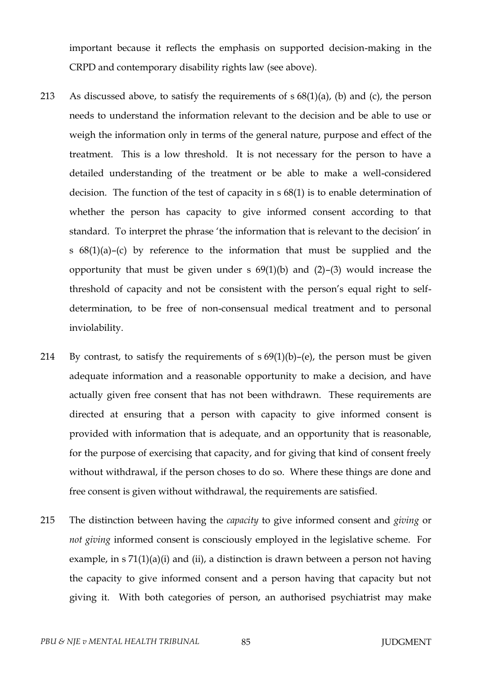important because it reflects the emphasis on supported decision-making in the CRPD and contemporary disability rights law (see above).

- 213 As discussed above, to satisfy the requirements of  $s 68(1)(a)$ , (b) and (c), the person needs to understand the information relevant to the decision and be able to use or weigh the information only in terms of the general nature, purpose and effect of the treatment. This is a low threshold. It is not necessary for the person to have a detailed understanding of the treatment or be able to make a well-considered decision. The function of the test of capacity in s 68(1) is to enable determination of whether the person has capacity to give informed consent according to that standard. To interpret the phrase 'the information that is relevant to the decision' in s 68(1)(a)–(c) by reference to the information that must be supplied and the opportunity that must be given under s  $69(1)(b)$  and  $(2)-(3)$  would increase the threshold of capacity and not be consistent with the person's equal right to selfdetermination, to be free of non-consensual medical treatment and to personal inviolability.
- 214 By contrast, to satisfy the requirements of  $s 69(1)(b)$ –(e), the person must be given adequate information and a reasonable opportunity to make a decision, and have actually given free consent that has not been withdrawn. These requirements are directed at ensuring that a person with capacity to give informed consent is provided with information that is adequate, and an opportunity that is reasonable, for the purpose of exercising that capacity, and for giving that kind of consent freely without withdrawal, if the person choses to do so. Where these things are done and free consent is given without withdrawal, the requirements are satisfied.
- 215 The distinction between having the *capacity* to give informed consent and *giving* or *not giving* informed consent is consciously employed in the legislative scheme. For example, in  $s 71(1)(a)(i)$  and (ii), a distinction is drawn between a person not having the capacity to give informed consent and a person having that capacity but not giving it. With both categories of person, an authorised psychiatrist may make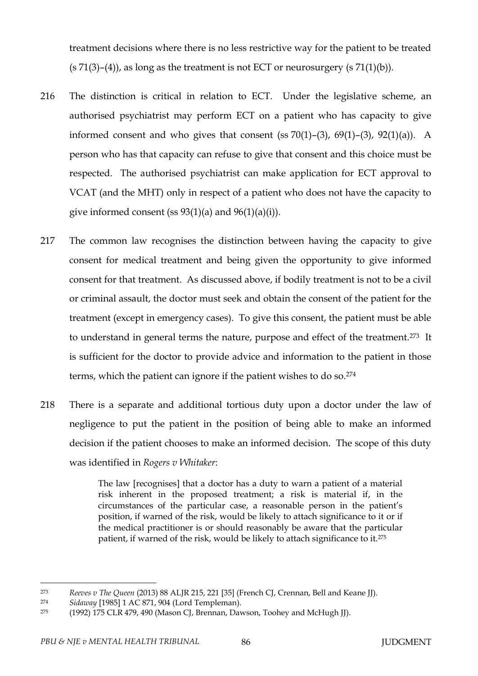treatment decisions where there is no less restrictive way for the patient to be treated  $(s 71(3)-(4))$ , as long as the treatment is not ECT or neurosurgery  $(s 71(1)(b))$ .

- 216 The distinction is critical in relation to ECT. Under the legislative scheme, an authorised psychiatrist may perform ECT on a patient who has capacity to give informed consent and who gives that consent (ss  $70(1)$ – $(3)$ ,  $69(1)$ – $(3)$ ,  $92(1)(a)$ ). A person who has that capacity can refuse to give that consent and this choice must be respected. The authorised psychiatrist can make application for ECT approval to VCAT (and the MHT) only in respect of a patient who does not have the capacity to give informed consent (ss  $93(1)(a)$  and  $96(1)(a)(i)$ ).
- 217 The common law recognises the distinction between having the capacity to give consent for medical treatment and being given the opportunity to give informed consent for that treatment. As discussed above, if bodily treatment is not to be a civil or criminal assault, the doctor must seek and obtain the consent of the patient for the treatment (except in emergency cases). To give this consent, the patient must be able to understand in general terms the nature, purpose and effect of the treatment.273 It is sufficient for the doctor to provide advice and information to the patient in those terms, which the patient can ignore if the patient wishes to do so.<sup>274</sup>
- 218 There is a separate and additional tortious duty upon a doctor under the law of negligence to put the patient in the position of being able to make an informed decision if the patient chooses to make an informed decision. The scope of this duty was identified in *Rogers v Whitaker*:

The law [recognises] that a doctor has a duty to warn a patient of a material risk inherent in the proposed treatment; a risk is material if, in the circumstances of the particular case, a reasonable person in the patient's position, if warned of the risk, would be likely to attach significance to it or if the medical practitioner is or should reasonably be aware that the particular patient, if warned of the risk, would be likely to attach significance to it.<sup>275</sup>

<sup>273</sup> *Reeves v The Queen* (2013) 88 ALJR 215, 221 [35] (French CJ, Crennan, Bell and Keane JJ).

<sup>274</sup> *Sidaway* [1985] 1 AC 871, 904 (Lord Templeman).

<sup>&</sup>lt;sup>275</sup> (1992) 175 CLR 479, 490 (Mason CJ, Brennan, Dawson, Toohey and McHugh JJ).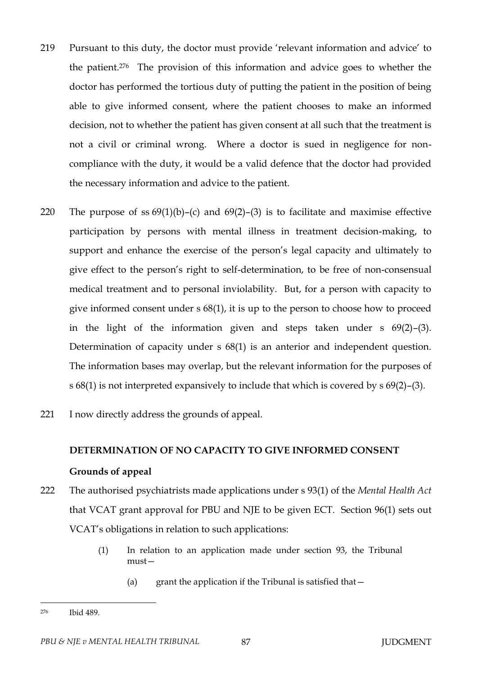- 219 Pursuant to this duty, the doctor must provide 'relevant information and advice' to the patient.276 The provision of this information and advice goes to whether the doctor has performed the tortious duty of putting the patient in the position of being able to give informed consent, where the patient chooses to make an informed decision, not to whether the patient has given consent at all such that the treatment is not a civil or criminal wrong. Where a doctor is sued in negligence for noncompliance with the duty, it would be a valid defence that the doctor had provided the necessary information and advice to the patient.
- 220 The purpose of ss  $69(1)(b)$ –(c) and  $69(2)$ –(3) is to facilitate and maximise effective participation by persons with mental illness in treatment decision-making, to support and enhance the exercise of the person's legal capacity and ultimately to give effect to the person's right to self-determination, to be free of non-consensual medical treatment and to personal inviolability. But, for a person with capacity to give informed consent under s 68(1), it is up to the person to choose how to proceed in the light of the information given and steps taken under s 69(2)–(3). Determination of capacity under s  $68(1)$  is an anterior and independent question. The information bases may overlap, but the relevant information for the purposes of s 68(1) is not interpreted expansively to include that which is covered by s 69(2)–(3).
- 221 I now directly address the grounds of appeal.

# **DETERMINATION OF NO CAPACITY TO GIVE INFORMED CONSENT**

### **Grounds of appeal**

- 222 The authorised psychiatrists made applications under s 93(1) of the *Mental Health Act* that VCAT grant approval for PBU and NJE to be given ECT. Section 96(1) sets out VCAT's obligations in relation to such applications:
	- (1) In relation to an application made under section 93, the Tribunal must—
		- (a) grant the application if the Tribunal is satisfied that  $-$

<sup>276</sup> Ibid 489.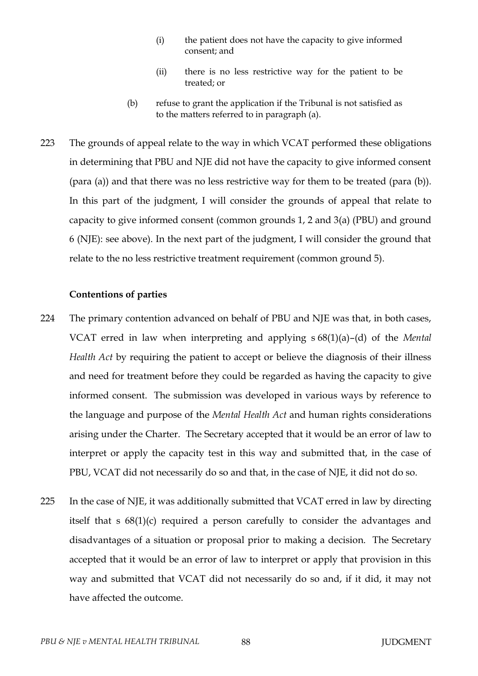- (i) the patient does not have the capacity to give informed consent; and
- (ii) there is no less restrictive way for the patient to be treated; or
- (b) refuse to grant the application if the Tribunal is not satisfied as to the matters referred to in paragraph (a).
- 223 The grounds of appeal relate to the way in which VCAT performed these obligations in determining that PBU and NJE did not have the capacity to give informed consent (para (a)) and that there was no less restrictive way for them to be treated (para (b)). In this part of the judgment, I will consider the grounds of appeal that relate to capacity to give informed consent (common grounds 1, 2 and 3(a) (PBU) and ground 6 (NJE): see above). In the next part of the judgment, I will consider the ground that relate to the no less restrictive treatment requirement (common ground 5).

## **Contentions of parties**

- 224 The primary contention advanced on behalf of PBU and NJE was that, in both cases, VCAT erred in law when interpreting and applying s 68(1)(a)–(d) of the *Mental Health Act* by requiring the patient to accept or believe the diagnosis of their illness and need for treatment before they could be regarded as having the capacity to give informed consent. The submission was developed in various ways by reference to the language and purpose of the *Mental Health Act* and human rights considerations arising under the Charter. The Secretary accepted that it would be an error of law to interpret or apply the capacity test in this way and submitted that, in the case of PBU, VCAT did not necessarily do so and that, in the case of NJE, it did not do so.
- 225 In the case of NJE, it was additionally submitted that VCAT erred in law by directing itself that s 68(1)(c) required a person carefully to consider the advantages and disadvantages of a situation or proposal prior to making a decision. The Secretary accepted that it would be an error of law to interpret or apply that provision in this way and submitted that VCAT did not necessarily do so and, if it did, it may not have affected the outcome.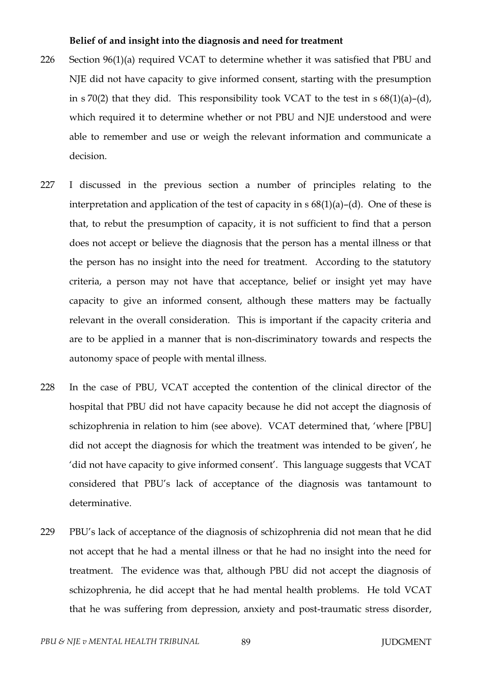### **Belief of and insight into the diagnosis and need for treatment**

- 226 Section 96(1)(a) required VCAT to determine whether it was satisfied that PBU and NJE did not have capacity to give informed consent, starting with the presumption in s 70(2) that they did. This responsibility took VCAT to the test in  $s$  68(1)(a)–(d), which required it to determine whether or not PBU and NJE understood and were able to remember and use or weigh the relevant information and communicate a decision.
- 227 I discussed in the previous section a number of principles relating to the interpretation and application of the test of capacity in  $s$  68(1)(a)–(d). One of these is that, to rebut the presumption of capacity, it is not sufficient to find that a person does not accept or believe the diagnosis that the person has a mental illness or that the person has no insight into the need for treatment. According to the statutory criteria, a person may not have that acceptance, belief or insight yet may have capacity to give an informed consent, although these matters may be factually relevant in the overall consideration. This is important if the capacity criteria and are to be applied in a manner that is non-discriminatory towards and respects the autonomy space of people with mental illness.
- 228 In the case of PBU, VCAT accepted the contention of the clinical director of the hospital that PBU did not have capacity because he did not accept the diagnosis of schizophrenia in relation to him (see above). VCAT determined that, 'where [PBU] did not accept the diagnosis for which the treatment was intended to be given', he 'did not have capacity to give informed consent'. This language suggests that VCAT considered that PBU's lack of acceptance of the diagnosis was tantamount to determinative.
- 229 PBU's lack of acceptance of the diagnosis of schizophrenia did not mean that he did not accept that he had a mental illness or that he had no insight into the need for treatment. The evidence was that, although PBU did not accept the diagnosis of schizophrenia, he did accept that he had mental health problems. He told VCAT that he was suffering from depression, anxiety and post-traumatic stress disorder,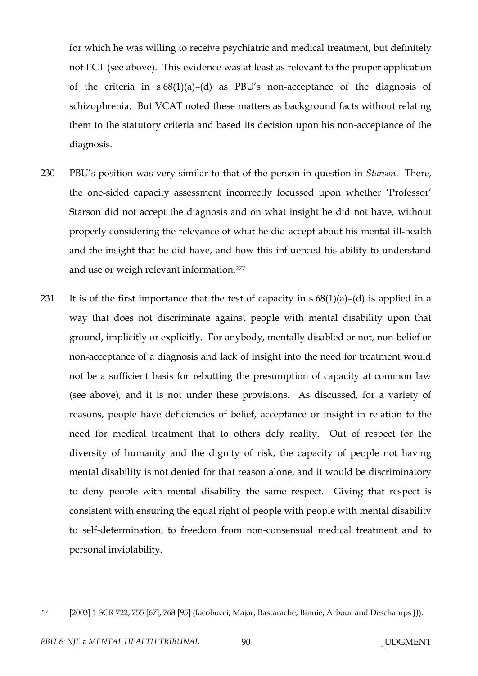for which he was willing to receive psychiatric and medical treatment, but definitely not ECT (see above). This evidence was at least as relevant to the proper application of the criteria in s 68(1)(a)–(d) as PBU's non-acceptance of the diagnosis of schizophrenia. But VCAT noted these matters as background facts without relating them to the statutory criteria and based its decision upon his non-acceptance of the diagnosis.

- 230 PBU's position was very similar to that of the person in question in *Starson*. There, the one-sided capacity assessment incorrectly focussed upon whether 'Professor' Starson did not accept the diagnosis and on what insight he did not have, without properly considering the relevance of what he did accept about his mental ill-health and the insight that he did have, and how this influenced his ability to understand and use or weigh relevant information.<sup>277</sup>
- 231 It is of the first importance that the test of capacity in  $s 68(1)(a) (d)$  is applied in a way that does not discriminate against people with mental disability upon that ground, implicitly or explicitly. For anybody, mentally disabled or not, non-belief or non-acceptance of a diagnosis and lack of insight into the need for treatment would not be a sufficient basis for rebutting the presumption of capacity at common law (see above), and it is not under these provisions. As discussed, for a variety of reasons, people have deficiencies of belief, acceptance or insight in relation to the need for medical treatment that to others defy reality. Out of respect for the diversity of humanity and the dignity of risk, the capacity of people not having mental disability is not denied for that reason alone, and it would be discriminatory to deny people with mental disability the same respect. Giving that respect is consistent with ensuring the equal right of people with people with mental disability to self-determination, to freedom from non-consensual medical treatment and to personal inviolability.

<sup>277</sup> [2003] 1 SCR 722, 755 [67], 768 [95] (Iacobucci, Major, Bastarache, Binnie, Arbour and Deschamps JJ).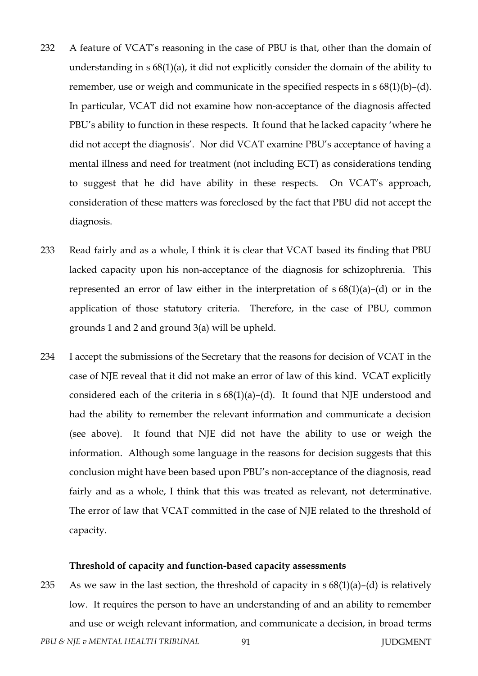- 232 A feature of VCAT's reasoning in the case of PBU is that, other than the domain of understanding in s 68(1)(a), it did not explicitly consider the domain of the ability to remember, use or weigh and communicate in the specified respects in s 68(1)(b)–(d). In particular, VCAT did not examine how non-acceptance of the diagnosis affected PBU's ability to function in these respects. It found that he lacked capacity 'where he did not accept the diagnosis'. Nor did VCAT examine PBU's acceptance of having a mental illness and need for treatment (not including ECT) as considerations tending to suggest that he did have ability in these respects. On VCAT's approach, consideration of these matters was foreclosed by the fact that PBU did not accept the diagnosis.
- 233 Read fairly and as a whole, I think it is clear that VCAT based its finding that PBU lacked capacity upon his non-acceptance of the diagnosis for schizophrenia. This represented an error of law either in the interpretation of  $s 68(1)(a) - (d)$  or in the application of those statutory criteria. Therefore, in the case of PBU, common grounds 1 and 2 and ground 3(a) will be upheld.
- 234 I accept the submissions of the Secretary that the reasons for decision of VCAT in the case of NJE reveal that it did not make an error of law of this kind. VCAT explicitly considered each of the criteria in  $s 68(1)(a) - (d)$ . It found that NJE understood and had the ability to remember the relevant information and communicate a decision (see above). It found that NJE did not have the ability to use or weigh the information. Although some language in the reasons for decision suggests that this conclusion might have been based upon PBU's non-acceptance of the diagnosis, read fairly and as a whole, I think that this was treated as relevant, not determinative. The error of law that VCAT committed in the case of NJE related to the threshold of capacity.

#### **Threshold of capacity and function-based capacity assessments**

*PBU & NJE v MENTAL HEALTH TRIBUNAL* 91 91 235 As we saw in the last section, the threshold of capacity in  $s 68(1)(a) - (d)$  is relatively low. It requires the person to have an understanding of and an ability to remember and use or weigh relevant information, and communicate a decision, in broad terms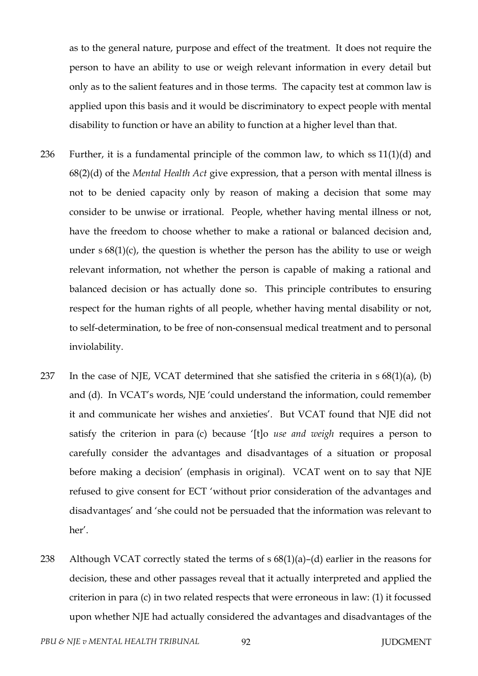as to the general nature, purpose and effect of the treatment. It does not require the person to have an ability to use or weigh relevant information in every detail but only as to the salient features and in those terms. The capacity test at common law is applied upon this basis and it would be discriminatory to expect people with mental disability to function or have an ability to function at a higher level than that.

- 236 Further, it is a fundamental principle of the common law, to which ss 11(1)(d) and 68(2)(d) of the *Mental Health Act* give expression, that a person with mental illness is not to be denied capacity only by reason of making a decision that some may consider to be unwise or irrational. People, whether having mental illness or not, have the freedom to choose whether to make a rational or balanced decision and, under  $s$  68(1)(c), the question is whether the person has the ability to use or weigh relevant information, not whether the person is capable of making a rational and balanced decision or has actually done so. This principle contributes to ensuring respect for the human rights of all people, whether having mental disability or not, to self-determination, to be free of non-consensual medical treatment and to personal inviolability.
- 237 In the case of NJE, VCAT determined that she satisfied the criteria in  $s$  68(1)(a), (b) and (d). In VCAT's words, NJE 'could understand the information, could remember it and communicate her wishes and anxieties'. But VCAT found that NJE did not satisfy the criterion in para (c) because '[t]o *use and weigh* requires a person to carefully consider the advantages and disadvantages of a situation or proposal before making a decision' (emphasis in original). VCAT went on to say that NJE refused to give consent for ECT 'without prior consideration of the advantages and disadvantages' and 'she could not be persuaded that the information was relevant to her'.
- 238 Although VCAT correctly stated the terms of  $s$  68(1)(a)–(d) earlier in the reasons for decision, these and other passages reveal that it actually interpreted and applied the criterion in para (c) in two related respects that were erroneous in law: (1) it focussed upon whether NJE had actually considered the advantages and disadvantages of the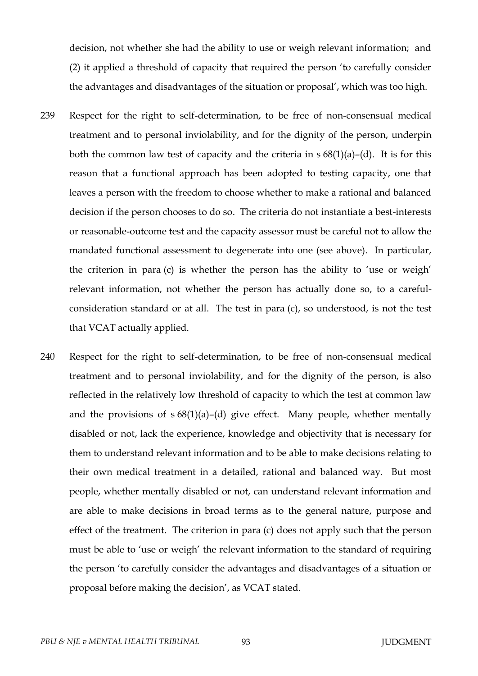decision, not whether she had the ability to use or weigh relevant information; and (2) it applied a threshold of capacity that required the person 'to carefully consider the advantages and disadvantages of the situation or proposal', which was too high.

- 239 Respect for the right to self-determination, to be free of non-consensual medical treatment and to personal inviolability, and for the dignity of the person, underpin both the common law test of capacity and the criteria in  $s 68(1)(a) - (d)$ . It is for this reason that a functional approach has been adopted to testing capacity, one that leaves a person with the freedom to choose whether to make a rational and balanced decision if the person chooses to do so. The criteria do not instantiate a best-interests or reasonable-outcome test and the capacity assessor must be careful not to allow the mandated functional assessment to degenerate into one (see above). In particular, the criterion in para (c) is whether the person has the ability to 'use or weigh' relevant information, not whether the person has actually done so, to a carefulconsideration standard or at all. The test in para (c), so understood, is not the test that VCAT actually applied.
- 240 Respect for the right to self-determination, to be free of non-consensual medical treatment and to personal inviolability, and for the dignity of the person, is also reflected in the relatively low threshold of capacity to which the test at common law and the provisions of  $s 68(1)(a)$ –(d) give effect. Many people, whether mentally disabled or not, lack the experience, knowledge and objectivity that is necessary for them to understand relevant information and to be able to make decisions relating to their own medical treatment in a detailed, rational and balanced way. But most people, whether mentally disabled or not, can understand relevant information and are able to make decisions in broad terms as to the general nature, purpose and effect of the treatment. The criterion in para (c) does not apply such that the person must be able to 'use or weigh' the relevant information to the standard of requiring the person 'to carefully consider the advantages and disadvantages of a situation or proposal before making the decision', as VCAT stated.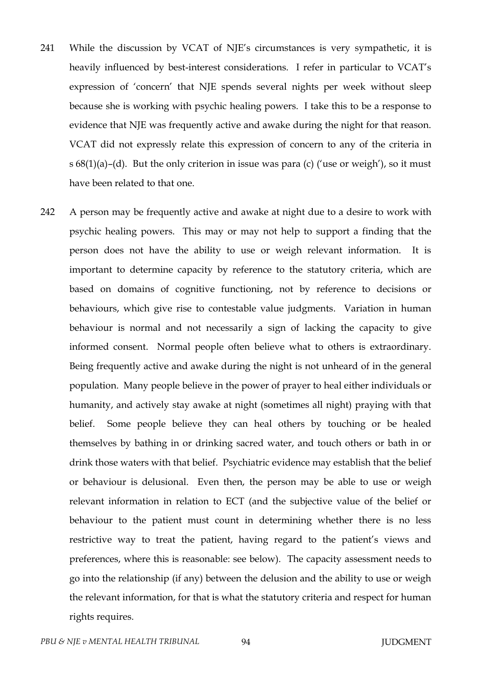- 241 While the discussion by VCAT of NJE's circumstances is very sympathetic, it is heavily influenced by best-interest considerations. I refer in particular to VCAT's expression of 'concern' that NJE spends several nights per week without sleep because she is working with psychic healing powers. I take this to be a response to evidence that NJE was frequently active and awake during the night for that reason. VCAT did not expressly relate this expression of concern to any of the criteria in s 68(1)(a)–(d). But the only criterion in issue was para (c) ('use or weigh'), so it must have been related to that one.
- 242 A person may be frequently active and awake at night due to a desire to work with psychic healing powers. This may or may not help to support a finding that the person does not have the ability to use or weigh relevant information. It is important to determine capacity by reference to the statutory criteria, which are based on domains of cognitive functioning, not by reference to decisions or behaviours, which give rise to contestable value judgments. Variation in human behaviour is normal and not necessarily a sign of lacking the capacity to give informed consent. Normal people often believe what to others is extraordinary. Being frequently active and awake during the night is not unheard of in the general population. Many people believe in the power of prayer to heal either individuals or humanity, and actively stay awake at night (sometimes all night) praying with that belief. Some people believe they can heal others by touching or be healed themselves by bathing in or drinking sacred water, and touch others or bath in or drink those waters with that belief. Psychiatric evidence may establish that the belief or behaviour is delusional. Even then, the person may be able to use or weigh relevant information in relation to ECT (and the subjective value of the belief or behaviour to the patient must count in determining whether there is no less restrictive way to treat the patient, having regard to the patient's views and preferences, where this is reasonable: see below). The capacity assessment needs to go into the relationship (if any) between the delusion and the ability to use or weigh the relevant information, for that is what the statutory criteria and respect for human rights requires.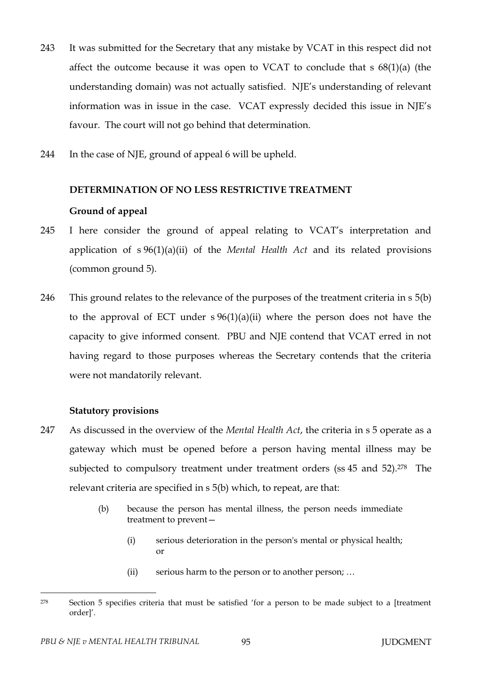- 243 It was submitted for the Secretary that any mistake by VCAT in this respect did not affect the outcome because it was open to VCAT to conclude that s 68(1)(a) (the understanding domain) was not actually satisfied. NJE's understanding of relevant information was in issue in the case. VCAT expressly decided this issue in NJE's favour. The court will not go behind that determination.
- 244 In the case of NJE, ground of appeal 6 will be upheld.

# **DETERMINATION OF NO LESS RESTRICTIVE TREATMENT**

# **Ground of appeal**

- 245 I here consider the ground of appeal relating to VCAT's interpretation and application of s 96(1)(a)(ii) of the *Mental Health Act* and its related provisions (common ground 5).
- 246 This ground relates to the relevance of the purposes of the treatment criteria in s 5(b) to the approval of ECT under  $s \frac{96(1)(a)(ii)}{i}$  where the person does not have the capacity to give informed consent. PBU and NJE contend that VCAT erred in not having regard to those purposes whereas the Secretary contends that the criteria were not mandatorily relevant.

# **Statutory provisions**

- 247 As discussed in the overview of the *Mental Health Act*, the criteria in s 5 operate as a gateway which must be opened before a person having mental illness may be subjected to compulsory treatment under treatment orders (ss 45 and 52).<sup>278</sup> The relevant criteria are specified in s 5(b) which, to repeat, are that:
	- (b) because the person has mental illness, the person needs immediate treatment to prevent—
		- (i) serious deterioration in the person's mental or physical health; or
		- (ii) serious harm to the person or to another person; …

 $\overline{a}$ <sup>278</sup> Section 5 specifies criteria that must be satisfied 'for a person to be made subject to a [treatment order]'.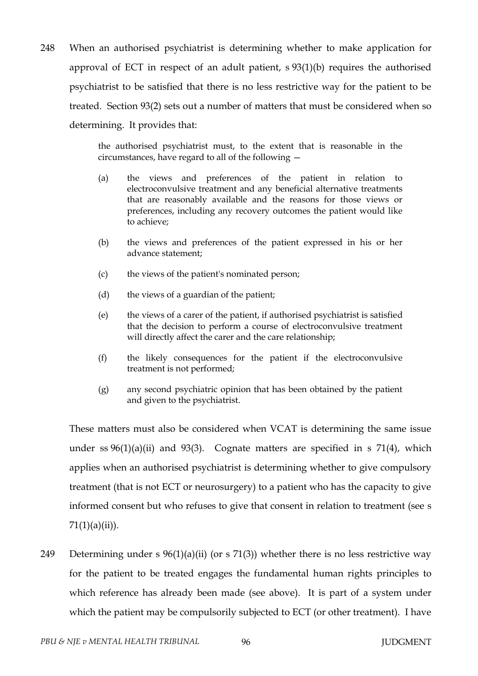248 When an authorised psychiatrist is determining whether to make application for approval of ECT in respect of an adult patient, s 93(1)(b) requires the authorised psychiatrist to be satisfied that there is no less restrictive way for the patient to be treated. Section 93(2) sets out a number of matters that must be considered when so determining. It provides that:

> the authorised psychiatrist must, to the extent that is reasonable in the circumstances, have regard to all of the following —

- (a) the views and preferences of the patient in relation to electroconvulsive treatment and any beneficial alternative treatments that are reasonably available and the reasons for those views or preferences, including any recovery outcomes the patient would like to achieve;
- (b) the views and preferences of the patient expressed in his or her advance statement;
- (c) the views of the patient's nominated person;
- (d) the views of a guardian of the patient;
- (e) the views of a carer of the patient, if authorised psychiatrist is satisfied that the decision to perform a course of electroconvulsive treatment will directly affect the carer and the care relationship;
- (f) the likely consequences for the patient if the electroconvulsive treatment is not performed;
- (g) any second psychiatric opinion that has been obtained by the patient and given to the psychiatrist.

These matters must also be considered when VCAT is determining the same issue under ss  $96(1)(a)(ii)$  and  $93(3)$ . Cognate matters are specified in s  $71(4)$ , which applies when an authorised psychiatrist is determining whether to give compulsory treatment (that is not ECT or neurosurgery) to a patient who has the capacity to give informed consent but who refuses to give that consent in relation to treatment (see s  $71(1)(a)(ii)$ ).

249 Determining under s  $96(1)(a)(ii)$  (or s 71(3)) whether there is no less restrictive way for the patient to be treated engages the fundamental human rights principles to which reference has already been made (see above). It is part of a system under which the patient may be compulsorily subjected to ECT (or other treatment). I have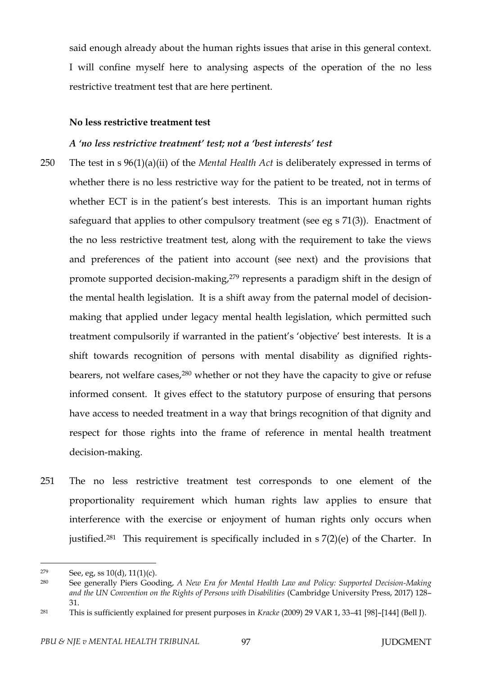said enough already about the human rights issues that arise in this general context. I will confine myself here to analysing aspects of the operation of the no less restrictive treatment test that are here pertinent.

#### **No less restrictive treatment test**

#### *A 'no less restrictive treatment' test; not a 'best interests' test*

- 250 The test in s 96(1)(a)(ii) of the *Mental Health Act* is deliberately expressed in terms of whether there is no less restrictive way for the patient to be treated, not in terms of whether ECT is in the patient's best interests. This is an important human rights safeguard that applies to other compulsory treatment (see eg s 71(3)). Enactment of the no less restrictive treatment test, along with the requirement to take the views and preferences of the patient into account (see next) and the provisions that promote supported decision-making,<sup>279</sup> represents a paradigm shift in the design of the mental health legislation. It is a shift away from the paternal model of decisionmaking that applied under legacy mental health legislation, which permitted such treatment compulsorily if warranted in the patient's 'objective' best interests. It is a shift towards recognition of persons with mental disability as dignified rightsbearers, not welfare cases,<sup>280</sup> whether or not they have the capacity to give or refuse informed consent. It gives effect to the statutory purpose of ensuring that persons have access to needed treatment in a way that brings recognition of that dignity and respect for those rights into the frame of reference in mental health treatment decision-making.
- 251 The no less restrictive treatment test corresponds to one element of the proportionality requirement which human rights law applies to ensure that interference with the exercise or enjoyment of human rights only occurs when justified.<sup>281</sup> This requirement is specifically included in  $s$  7(2)(e) of the Charter. In

 $279$  See, eg, ss  $10(d)$ ,  $11(1)(c)$ .

<sup>280</sup> See generally Piers Gooding, *A New Era for Mental Health Law and Policy: Supported Decision-Making and the UN Convention on the Rights of Persons with Disabilities* (Cambridge University Press, 2017) 128– 31.

<sup>281</sup> This is sufficiently explained for present purposes in *Kracke* (2009) 29 VAR 1, 33–41 [98]–[144] (Bell J).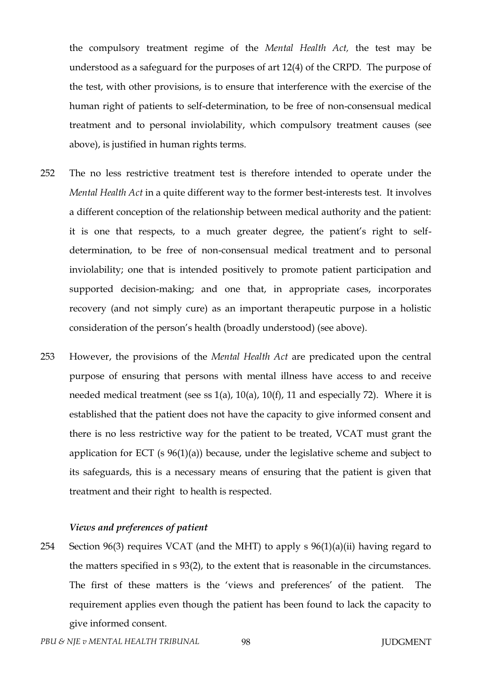the compulsory treatment regime of the *Mental Health Act,* the test may be understood as a safeguard for the purposes of art 12(4) of the CRPD. The purpose of the test, with other provisions, is to ensure that interference with the exercise of the human right of patients to self-determination, to be free of non-consensual medical treatment and to personal inviolability, which compulsory treatment causes (see above), is justified in human rights terms.

- 252 The no less restrictive treatment test is therefore intended to operate under the *Mental Health Act* in a quite different way to the former best-interests test. It involves a different conception of the relationship between medical authority and the patient: it is one that respects, to a much greater degree, the patient's right to selfdetermination, to be free of non-consensual medical treatment and to personal inviolability; one that is intended positively to promote patient participation and supported decision-making; and one that, in appropriate cases, incorporates recovery (and not simply cure) as an important therapeutic purpose in a holistic consideration of the person's health (broadly understood) (see above).
- 253 However, the provisions of the *Mental Health Act* are predicated upon the central purpose of ensuring that persons with mental illness have access to and receive needed medical treatment (see ss  $1(a)$ ,  $10(a)$ ,  $10(f)$ ,  $11$  and especially 72). Where it is established that the patient does not have the capacity to give informed consent and there is no less restrictive way for the patient to be treated, VCAT must grant the application for ECT (s 96(1)(a)) because, under the legislative scheme and subject to its safeguards, this is a necessary means of ensuring that the patient is given that treatment and their right to health is respected.

### *Views and preferences of patient*

254 Section 96(3) requires VCAT (and the MHT) to apply s 96(1)(a)(ii) having regard to the matters specified in s 93(2), to the extent that is reasonable in the circumstances. The first of these matters is the 'views and preferences' of the patient. The requirement applies even though the patient has been found to lack the capacity to give informed consent.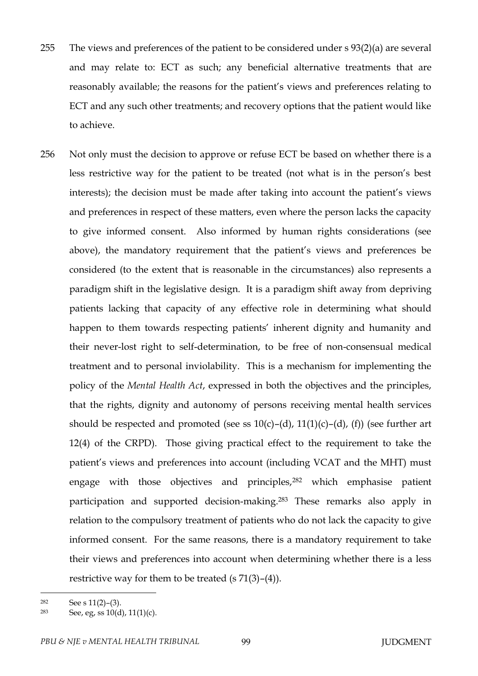- 255 The views and preferences of the patient to be considered under s 93(2)(a) are several and may relate to: ECT as such; any beneficial alternative treatments that are reasonably available; the reasons for the patient's views and preferences relating to ECT and any such other treatments; and recovery options that the patient would like to achieve.
- 256 Not only must the decision to approve or refuse ECT be based on whether there is a less restrictive way for the patient to be treated (not what is in the person's best interests); the decision must be made after taking into account the patient's views and preferences in respect of these matters, even where the person lacks the capacity to give informed consent. Also informed by human rights considerations (see above), the mandatory requirement that the patient's views and preferences be considered (to the extent that is reasonable in the circumstances) also represents a paradigm shift in the legislative design. It is a paradigm shift away from depriving patients lacking that capacity of any effective role in determining what should happen to them towards respecting patients' inherent dignity and humanity and their never-lost right to self-determination, to be free of non-consensual medical treatment and to personal inviolability. This is a mechanism for implementing the policy of the *Mental Health Act*, expressed in both the objectives and the principles, that the rights, dignity and autonomy of persons receiving mental health services should be respected and promoted (see ss  $10(c)$ –(d),  $11(1)(c)$ –(d), (f)) (see further art 12(4) of the CRPD). Those giving practical effect to the requirement to take the patient's views and preferences into account (including VCAT and the MHT) must engage with those objectives and principles,<sup>282</sup> which emphasise patient participation and supported decision-making.<sup>283</sup> These remarks also apply in relation to the compulsory treatment of patients who do not lack the capacity to give informed consent. For the same reasons, there is a mandatory requirement to take their views and preferences into account when determining whether there is a less restrictive way for them to be treated  $(s 71(3)–(4))$ .

 $282$  See s  $11(2)$ –(3).

<sup>283</sup> See, eg, ss  $10(d)$ ,  $11(1)(c)$ .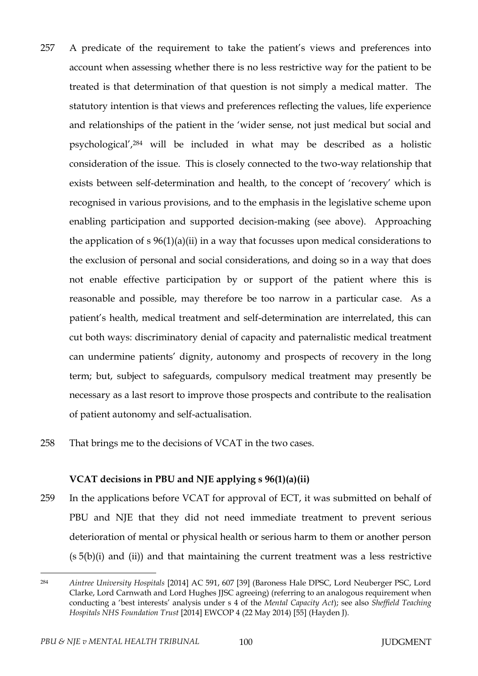- 257 A predicate of the requirement to take the patient's views and preferences into account when assessing whether there is no less restrictive way for the patient to be treated is that determination of that question is not simply a medical matter. The statutory intention is that views and preferences reflecting the values, life experience and relationships of the patient in the 'wider sense, not just medical but social and psychological',<sup>284</sup> will be included in what may be described as a holistic consideration of the issue. This is closely connected to the two-way relationship that exists between self-determination and health, to the concept of 'recovery' which is recognised in various provisions, and to the emphasis in the legislative scheme upon enabling participation and supported decision-making (see above). Approaching the application of  $s \frac{96(1)(a)(ii)}{i}$  in a way that focusses upon medical considerations to the exclusion of personal and social considerations, and doing so in a way that does not enable effective participation by or support of the patient where this is reasonable and possible, may therefore be too narrow in a particular case. As a patient's health, medical treatment and self-determination are interrelated, this can cut both ways: discriminatory denial of capacity and paternalistic medical treatment can undermine patients' dignity, autonomy and prospects of recovery in the long term; but, subject to safeguards, compulsory medical treatment may presently be necessary as a last resort to improve those prospects and contribute to the realisation of patient autonomy and self-actualisation.
- 258 That brings me to the decisions of VCAT in the two cases.

# **VCAT decisions in PBU and NJE applying s 96(1)(a)(ii)**

259 In the applications before VCAT for approval of ECT, it was submitted on behalf of PBU and NJE that they did not need immediate treatment to prevent serious deterioration of mental or physical health or serious harm to them or another person  $(s 5(b)(i)$  and  $(ii))$  and that maintaining the current treatment was a less restrictive

<sup>284</sup> *Aintree University Hospitals* [2014] AC 591, 607 [39] (Baroness Hale DPSC, Lord Neuberger PSC, Lord Clarke, Lord Carnwath and Lord Hughes JJSC agreeing) (referring to an analogous requirement when conducting a 'best interests' analysis under s 4 of the *Mental Capacity Act*); see also *Sheffield Teaching Hospitals NHS Foundation Trust* [2014] EWCOP 4 (22 May 2014) [55] (Hayden J).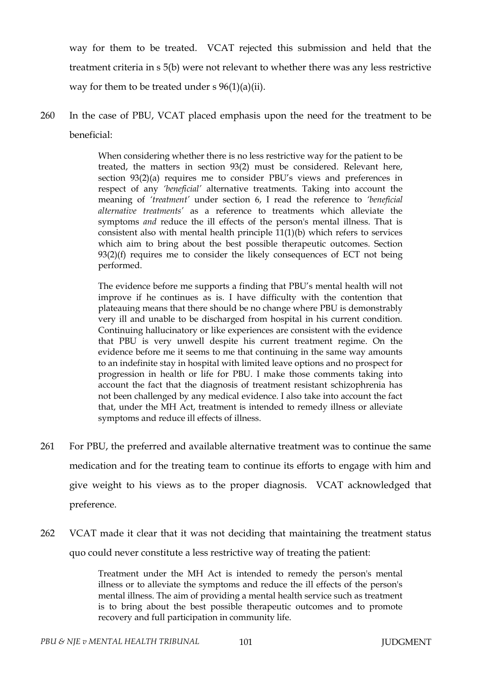way for them to be treated. VCAT rejected this submission and held that the treatment criteria in s 5(b) were not relevant to whether there was any less restrictive way for them to be treated under  $s \frac{96(1)}{a}$ ii).

260 In the case of PBU, VCAT placed emphasis upon the need for the treatment to be beneficial:

> When considering whether there is no less restrictive way for the patient to be treated, the matters in section 93(2) must be considered. Relevant here, section 93(2)(a) requires me to consider PBU's views and preferences in respect of any *'beneficial'* alternative treatments. Taking into account the meaning of *'treatment'* under section 6, I read the reference to *'beneficial alternative treatments'* as a reference to treatments which alleviate the symptoms *and* reduce the ill effects of the person's mental illness. That is consistent also with mental health principle 11(1)(b) which refers to services which aim to bring about the best possible therapeutic outcomes. Section  $93(2)(f)$  requires me to consider the likely consequences of ECT not being performed.

> The evidence before me supports a finding that PBU's mental health will not improve if he continues as is. I have difficulty with the contention that plateauing means that there should be no change where PBU is demonstrably very ill and unable to be discharged from hospital in his current condition. Continuing hallucinatory or like experiences are consistent with the evidence that PBU is very unwell despite his current treatment regime. On the evidence before me it seems to me that continuing in the same way amounts to an indefinite stay in hospital with limited leave options and no prospect for progression in health or life for PBU. I make those comments taking into account the fact that the diagnosis of treatment resistant schizophrenia has not been challenged by any medical evidence. I also take into account the fact that, under the MH Act, treatment is intended to remedy illness or alleviate symptoms and reduce ill effects of illness.

- 261 For PBU, the preferred and available alternative treatment was to continue the same medication and for the treating team to continue its efforts to engage with him and give weight to his views as to the proper diagnosis. VCAT acknowledged that preference.
- 262 VCAT made it clear that it was not deciding that maintaining the treatment status quo could never constitute a less restrictive way of treating the patient:

Treatment under the MH Act is intended to remedy the person's mental illness or to alleviate the symptoms and reduce the ill effects of the person's mental illness. The aim of providing a mental health service such as treatment is to bring about the best possible therapeutic outcomes and to promote recovery and full participation in community life.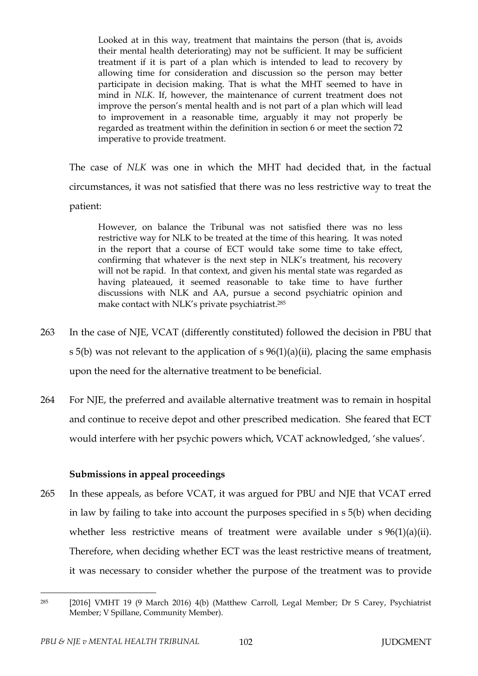Looked at in this way, treatment that maintains the person (that is, avoids their mental health deteriorating) may not be sufficient. It may be sufficient treatment if it is part of a plan which is intended to lead to recovery by allowing time for consideration and discussion so the person may better participate in decision making. That is what the MHT seemed to have in mind in *NLK*. If, however, the maintenance of current treatment does not improve the person's mental health and is not part of a plan which will lead to improvement in a reasonable time, arguably it may not properly be regarded as treatment within the definition in section 6 or meet the section 72 imperative to provide treatment.

The case of *NLK* was one in which the MHT had decided that, in the factual circumstances, it was not satisfied that there was no less restrictive way to treat the patient:

However, on balance the Tribunal was not satisfied there was no less restrictive way for NLK to be treated at the time of this hearing. It was noted in the report that a course of ECT would take some time to take effect, confirming that whatever is the next step in NLK's treatment, his recovery will not be rapid. In that context, and given his mental state was regarded as having plateaued, it seemed reasonable to take time to have further discussions with NLK and AA, pursue a second psychiatric opinion and make contact with NLK's private psychiatrist.<sup>285</sup>

- 263 In the case of NJE, VCAT (differently constituted) followed the decision in PBU that s 5(b) was not relevant to the application of  $s$  96(1)(a)(ii), placing the same emphasis upon the need for the alternative treatment to be beneficial.
- 264 For NJE, the preferred and available alternative treatment was to remain in hospital and continue to receive depot and other prescribed medication. She feared that ECT would interfere with her psychic powers which, VCAT acknowledged, 'she values'.

# **Submissions in appeal proceedings**

265 In these appeals, as before VCAT, it was argued for PBU and NJE that VCAT erred in law by failing to take into account the purposes specified in s 5(b) when deciding whether less restrictive means of treatment were available under s 96(1)(a)(ii). Therefore, when deciding whether ECT was the least restrictive means of treatment, it was necessary to consider whether the purpose of the treatment was to provide

<sup>285</sup> [2016] VMHT 19 (9 March 2016) 4(b) (Matthew Carroll, Legal Member; Dr S Carey, Psychiatrist Member; V Spillane, Community Member).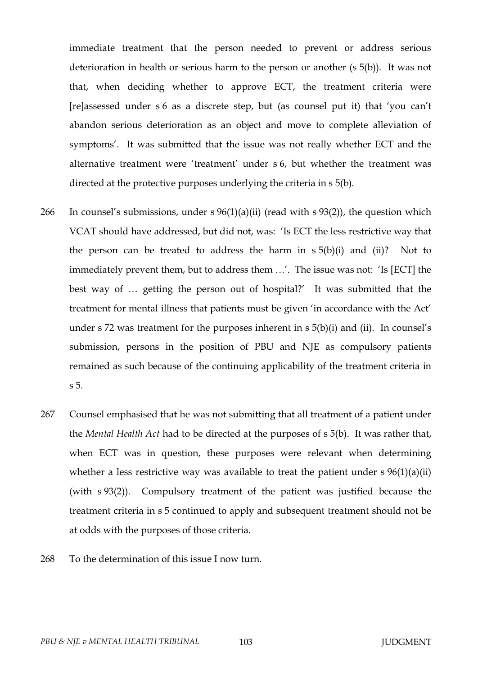immediate treatment that the person needed to prevent or address serious deterioration in health or serious harm to the person or another (s 5(b)). It was not that, when deciding whether to approve ECT, the treatment criteria were [re]assessed under s 6 as a discrete step, but (as counsel put it) that 'you can't abandon serious deterioration as an object and move to complete alleviation of symptoms'. It was submitted that the issue was not really whether ECT and the alternative treatment were 'treatment' under s 6, but whether the treatment was directed at the protective purposes underlying the criteria in s 5(b).

- 266 In counsel's submissions, under  $s \frac{96(1)(a)(ii)}{i}$  (read with s 93(2)), the question which VCAT should have addressed, but did not, was: 'Is ECT the less restrictive way that the person can be treated to address the harm in  $s 5(b)(i)$  and  $(ii)?$  Not to immediately prevent them, but to address them …'. The issue was not: 'Is [ECT] the best way of … getting the person out of hospital?' It was submitted that the treatment for mental illness that patients must be given 'in accordance with the Act' under s  $72$  was treatment for the purposes inherent in s  $5(b)(i)$  and (ii). In counsel's submission, persons in the position of PBU and NJE as compulsory patients remained as such because of the continuing applicability of the treatment criteria in s 5.
- 267 Counsel emphasised that he was not submitting that all treatment of a patient under the *Mental Health Act* had to be directed at the purposes of s 5(b). It was rather that, when ECT was in question, these purposes were relevant when determining whether a less restrictive way was available to treat the patient under  $s \frac{96(1)(a)(ii)}{i}$ (with s 93(2)). Compulsory treatment of the patient was justified because the treatment criteria in s 5 continued to apply and subsequent treatment should not be at odds with the purposes of those criteria.
- 268 To the determination of this issue I now turn.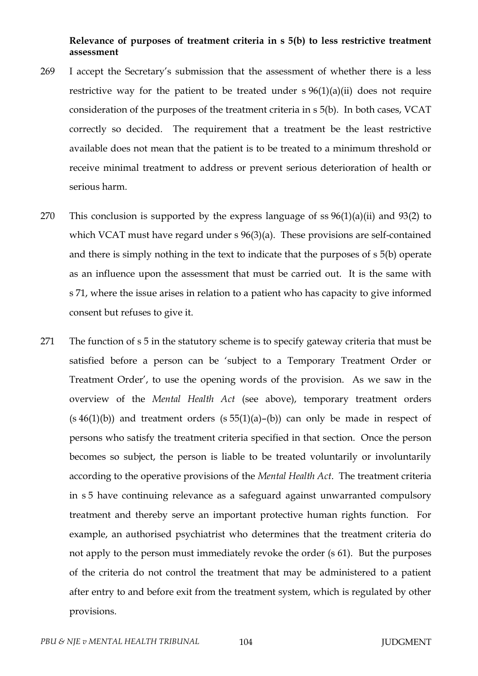## **Relevance of purposes of treatment criteria in s 5(b) to less restrictive treatment assessment**

- 269 I accept the Secretary's submission that the assessment of whether there is a less restrictive way for the patient to be treated under  $s \frac{96(1)(a)(ii)}{2}$  does not require consideration of the purposes of the treatment criteria in s 5(b). In both cases, VCAT correctly so decided. The requirement that a treatment be the least restrictive available does not mean that the patient is to be treated to a minimum threshold or receive minimal treatment to address or prevent serious deterioration of health or serious harm.
- 270 This conclusion is supported by the express language of ss  $96(1)(a)(ii)$  and  $93(2)$  to which VCAT must have regard under s 96(3)(a). These provisions are self-contained and there is simply nothing in the text to indicate that the purposes of s 5(b) operate as an influence upon the assessment that must be carried out. It is the same with s 71, where the issue arises in relation to a patient who has capacity to give informed consent but refuses to give it.
- 271 The function of s 5 in the statutory scheme is to specify gateway criteria that must be satisfied before a person can be 'subject to a Temporary Treatment Order or Treatment Order', to use the opening words of the provision. As we saw in the overview of the *Mental Health Act* (see above), temporary treatment orders  $(s 46(1)(b))$  and treatment orders  $(s 55(1)(a)–(b))$  can only be made in respect of persons who satisfy the treatment criteria specified in that section. Once the person becomes so subject, the person is liable to be treated voluntarily or involuntarily according to the operative provisions of the *Mental Health Act*. The treatment criteria in s 5 have continuing relevance as a safeguard against unwarranted compulsory treatment and thereby serve an important protective human rights function. For example, an authorised psychiatrist who determines that the treatment criteria do not apply to the person must immediately revoke the order (s 61). But the purposes of the criteria do not control the treatment that may be administered to a patient after entry to and before exit from the treatment system, which is regulated by other provisions.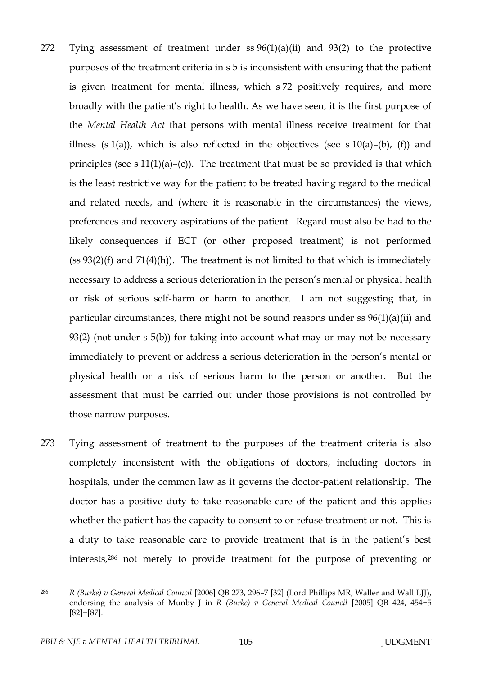- 272 Tying assessment of treatment under ss 96(1)(a)(ii) and 93(2) to the protective purposes of the treatment criteria in s 5 is inconsistent with ensuring that the patient is given treatment for mental illness, which s 72 positively requires, and more broadly with the patient's right to health. As we have seen, it is the first purpose of the *Mental Health Act* that persons with mental illness receive treatment for that illness (s 1(a)), which is also reflected in the objectives (see s 10(a)–(b), (f)) and principles (see s  $11(1)(a)$ –(c)). The treatment that must be so provided is that which is the least restrictive way for the patient to be treated having regard to the medical and related needs, and (where it is reasonable in the circumstances) the views, preferences and recovery aspirations of the patient. Regard must also be had to the likely consequences if ECT (or other proposed treatment) is not performed  $(s<sub>s</sub> 93(2)(f)$  and  $71(4)(h)$ ). The treatment is not limited to that which is immediately necessary to address a serious deterioration in the person's mental or physical health or risk of serious self-harm or harm to another. I am not suggesting that, in particular circumstances, there might not be sound reasons under ss 96(1)(a)(ii) and 93(2) (not under s 5(b)) for taking into account what may or may not be necessary immediately to prevent or address a serious deterioration in the person's mental or physical health or a risk of serious harm to the person or another. But the assessment that must be carried out under those provisions is not controlled by those narrow purposes.
- 273 Tying assessment of treatment to the purposes of the treatment criteria is also completely inconsistent with the obligations of doctors, including doctors in hospitals, under the common law as it governs the doctor-patient relationship. The doctor has a positive duty to take reasonable care of the patient and this applies whether the patient has the capacity to consent to or refuse treatment or not. This is a duty to take reasonable care to provide treatment that is in the patient's best interests,<sup>286</sup> not merely to provide treatment for the purpose of preventing or

<sup>286</sup> *R (Burke) v General Medical Council* [2006] QB 273, 296–7 [32] (Lord Phillips MR, Waller and Wall LJJ), endorsing the analysis of Munby J in *R (Burke) v General Medical Council* [2005] QB 424, 454−5 [82]−[87].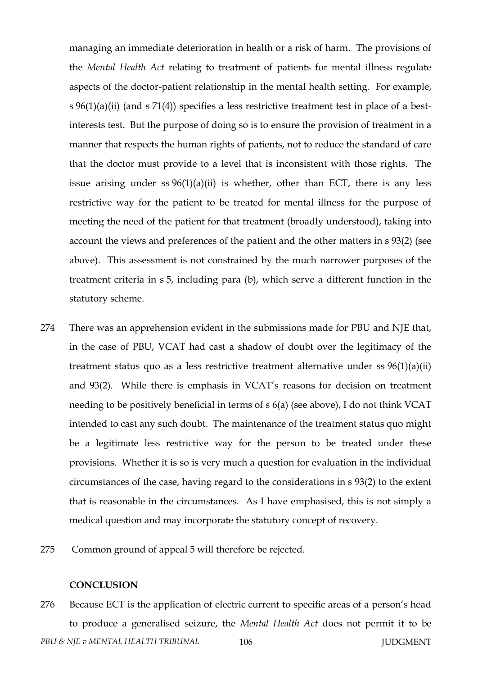managing an immediate deterioration in health or a risk of harm. The provisions of the *Mental Health Act* relating to treatment of patients for mental illness regulate aspects of the doctor-patient relationship in the mental health setting. For example, s 96(1)(a)(ii) (and s 71(4)) specifies a less restrictive treatment test in place of a bestinterests test. But the purpose of doing so is to ensure the provision of treatment in a manner that respects the human rights of patients, not to reduce the standard of care that the doctor must provide to a level that is inconsistent with those rights. The issue arising under ss  $96(1)(a)(ii)$  is whether, other than ECT, there is any less restrictive way for the patient to be treated for mental illness for the purpose of meeting the need of the patient for that treatment (broadly understood), taking into account the views and preferences of the patient and the other matters in s 93(2) (see above). This assessment is not constrained by the much narrower purposes of the treatment criteria in s 5, including para (b), which serve a different function in the statutory scheme.

- 274 There was an apprehension evident in the submissions made for PBU and NJE that, in the case of PBU, VCAT had cast a shadow of doubt over the legitimacy of the treatment status quo as a less restrictive treatment alternative under ss 96(1)(a)(ii) and 93(2). While there is emphasis in VCAT's reasons for decision on treatment needing to be positively beneficial in terms of s 6(a) (see above), I do not think VCAT intended to cast any such doubt. The maintenance of the treatment status quo might be a legitimate less restrictive way for the person to be treated under these provisions. Whether it is so is very much a question for evaluation in the individual circumstances of the case, having regard to the considerations in s 93(2) to the extent that is reasonable in the circumstances. As I have emphasised, this is not simply a medical question and may incorporate the statutory concept of recovery.
- 275 Common ground of appeal 5 will therefore be rejected.

## **CONCLUSION**

*PBU & NJE v MENTAL HEALTH TRIBUNAL* 106 106 JUDGMENT 276 Because ECT is the application of electric current to specific areas of a person's head to produce a generalised seizure, the *Mental Health Act* does not permit it to be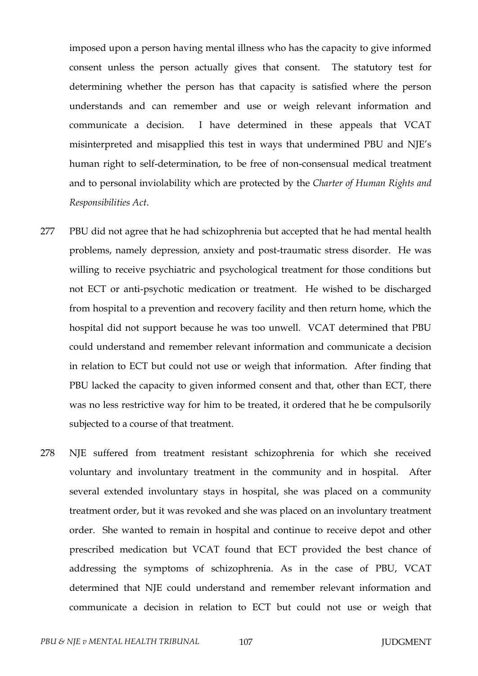imposed upon a person having mental illness who has the capacity to give informed consent unless the person actually gives that consent. The statutory test for determining whether the person has that capacity is satisfied where the person understands and can remember and use or weigh relevant information and communicate a decision. I have determined in these appeals that VCAT misinterpreted and misapplied this test in ways that undermined PBU and NJE's human right to self-determination, to be free of non-consensual medical treatment and to personal inviolability which are protected by the *Charter of Human Rights and Responsibilities Act*.

- 277 PBU did not agree that he had schizophrenia but accepted that he had mental health problems, namely depression, anxiety and post-traumatic stress disorder. He was willing to receive psychiatric and psychological treatment for those conditions but not ECT or anti-psychotic medication or treatment. He wished to be discharged from hospital to a prevention and recovery facility and then return home, which the hospital did not support because he was too unwell. VCAT determined that PBU could understand and remember relevant information and communicate a decision in relation to ECT but could not use or weigh that information. After finding that PBU lacked the capacity to given informed consent and that, other than ECT, there was no less restrictive way for him to be treated, it ordered that he be compulsorily subjected to a course of that treatment.
- 278 NJE suffered from treatment resistant schizophrenia for which she received voluntary and involuntary treatment in the community and in hospital. After several extended involuntary stays in hospital, she was placed on a community treatment order, but it was revoked and she was placed on an involuntary treatment order. She wanted to remain in hospital and continue to receive depot and other prescribed medication but VCAT found that ECT provided the best chance of addressing the symptoms of schizophrenia. As in the case of PBU, VCAT determined that NJE could understand and remember relevant information and communicate a decision in relation to ECT but could not use or weigh that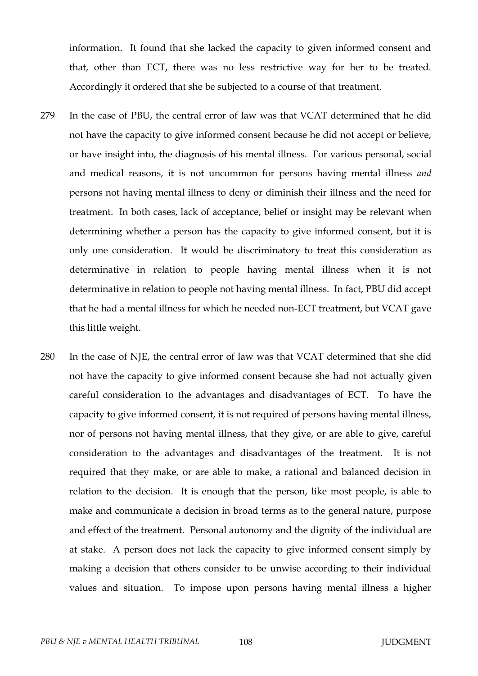information. It found that she lacked the capacity to given informed consent and that, other than ECT, there was no less restrictive way for her to be treated. Accordingly it ordered that she be subjected to a course of that treatment.

- 279 In the case of PBU, the central error of law was that VCAT determined that he did not have the capacity to give informed consent because he did not accept or believe, or have insight into, the diagnosis of his mental illness. For various personal, social and medical reasons, it is not uncommon for persons having mental illness *and* persons not having mental illness to deny or diminish their illness and the need for treatment. In both cases, lack of acceptance, belief or insight may be relevant when determining whether a person has the capacity to give informed consent, but it is only one consideration. It would be discriminatory to treat this consideration as determinative in relation to people having mental illness when it is not determinative in relation to people not having mental illness. In fact, PBU did accept that he had a mental illness for which he needed non-ECT treatment, but VCAT gave this little weight.
- 280 In the case of NJE, the central error of law was that VCAT determined that she did not have the capacity to give informed consent because she had not actually given careful consideration to the advantages and disadvantages of ECT. To have the capacity to give informed consent, it is not required of persons having mental illness, nor of persons not having mental illness, that they give, or are able to give, careful consideration to the advantages and disadvantages of the treatment. It is not required that they make, or are able to make, a rational and balanced decision in relation to the decision. It is enough that the person, like most people, is able to make and communicate a decision in broad terms as to the general nature, purpose and effect of the treatment. Personal autonomy and the dignity of the individual are at stake. A person does not lack the capacity to give informed consent simply by making a decision that others consider to be unwise according to their individual values and situation. To impose upon persons having mental illness a higher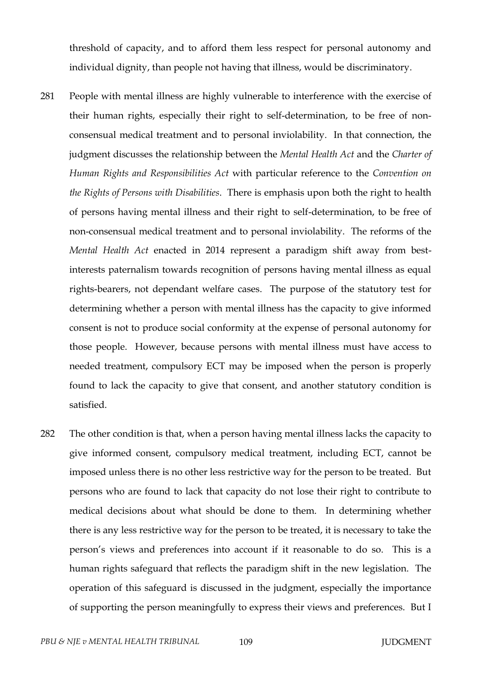threshold of capacity, and to afford them less respect for personal autonomy and individual dignity, than people not having that illness, would be discriminatory.

- 281 People with mental illness are highly vulnerable to interference with the exercise of their human rights, especially their right to self-determination, to be free of nonconsensual medical treatment and to personal inviolability. In that connection, the judgment discusses the relationship between the *Mental Health Act* and the *Charter of Human Rights and Responsibilities Act* with particular reference to the *Convention on the Rights of Persons with Disabilities*. There is emphasis upon both the right to health of persons having mental illness and their right to self-determination, to be free of non-consensual medical treatment and to personal inviolability. The reforms of the *Mental Health Act* enacted in 2014 represent a paradigm shift away from bestinterests paternalism towards recognition of persons having mental illness as equal rights-bearers, not dependant welfare cases. The purpose of the statutory test for determining whether a person with mental illness has the capacity to give informed consent is not to produce social conformity at the expense of personal autonomy for those people. However, because persons with mental illness must have access to needed treatment, compulsory ECT may be imposed when the person is properly found to lack the capacity to give that consent, and another statutory condition is satisfied.
- 282 The other condition is that, when a person having mental illness lacks the capacity to give informed consent, compulsory medical treatment, including ECT, cannot be imposed unless there is no other less restrictive way for the person to be treated. But persons who are found to lack that capacity do not lose their right to contribute to medical decisions about what should be done to them. In determining whether there is any less restrictive way for the person to be treated, it is necessary to take the person's views and preferences into account if it reasonable to do so. This is a human rights safeguard that reflects the paradigm shift in the new legislation. The operation of this safeguard is discussed in the judgment, especially the importance of supporting the person meaningfully to express their views and preferences. But I